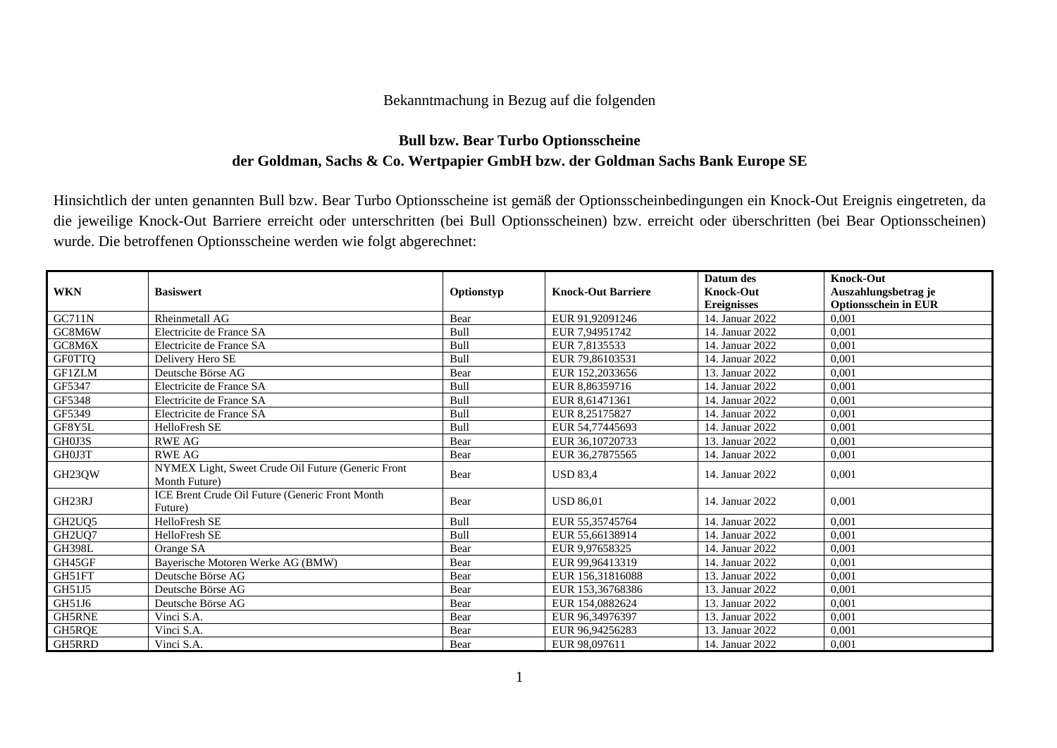## Bekanntmachung in Bezug auf die folgenden

## **Bull bzw. Bear Turbo Optionsscheine der Goldman, Sachs & Co. Wertpapier GmbH bzw. der Goldman Sachs Bank Europe SE**

Hinsichtlich der unten genannten Bull bzw. Bear Turbo Optionsscheine ist gemäß der Optionsscheinbedingungen ein Knock-Out Ereignis eingetreten, da die jeweilige Knock-Out Barriere erreicht oder unterschritten (bei Bull Optionsscheinen) bzw. erreicht oder überschritten (bei Bear Optionsscheinen) wurde. Die betroffenen Optionsscheine werden wie folgt abgerechnet:

|                                 |                                                                     |            |                           | Datum des          | <b>Knock-Out</b>            |
|---------------------------------|---------------------------------------------------------------------|------------|---------------------------|--------------------|-----------------------------|
| <b>WKN</b>                      | <b>Basiswert</b>                                                    | Optionstyp | <b>Knock-Out Barriere</b> | <b>Knock-Out</b>   | Auszahlungsbetrag je        |
|                                 |                                                                     |            |                           | <b>Ereignisses</b> | <b>Optionsschein in EUR</b> |
| <b>GC711N</b>                   | Rheinmetall AG                                                      | Bear       | EUR 91.92091246           | 14. Januar 2022    | 0.001                       |
| GC8M6W                          | Electricite de France SA                                            | Bull       | EUR 7.94951742            | 14. Januar 2022    | 0,001                       |
| GC8M6X                          | Electricite de France SA                                            | Bull       | EUR 7.8135533             | 14. Januar 2022    | 0,001                       |
| <b>GF0TTQ</b>                   | Delivery Hero SE                                                    | Bull       | EUR 79.86103531           | 14. Januar 2022    | 0,001                       |
| GF1ZLM                          | Deutsche Börse AG                                                   | Bear       | EUR 152,2033656           | 13. Januar 2022    | 0,001                       |
| GF5347                          | Electricite de France SA                                            | Bull       | EUR 8,86359716            | 14. Januar 2022    | 0,001                       |
| GF5348                          | Electricite de France SA                                            | Bull       | EUR 8.61471361            | 14. Januar 2022    | 0,001                       |
| GF5349                          | Electricite de France SA                                            | Bull       | EUR 8.25175827            | 14. Januar 2022    | 0,001                       |
| GF8Y5L                          | HelloFresh SE                                                       | Bull       | EUR 54,77445693           | 14. Januar 2022    | 0,001                       |
| GH0J3S                          | <b>RWE AG</b>                                                       | Bear       | EUR 36,10720733           | 13. Januar 2022    | 0,001                       |
| GH0J3T                          | <b>RWE AG</b>                                                       | Bear       | EUR 36,27875565           | 14. Januar 2022    | 0,001                       |
| GH23QW                          | NYMEX Light, Sweet Crude Oil Future (Generic Front<br>Month Future) | Bear       | <b>USD 83.4</b>           | 14. Januar 2022    | 0,001                       |
| GH23RJ                          | ICE Brent Crude Oil Future (Generic Front Month<br>Future)          | Bear       | <b>USD 86,01</b>          | 14. Januar 2022    | 0,001                       |
| GH <sub>2</sub> U <sub>O5</sub> | HelloFresh SE                                                       | Bull       | EUR 55,35745764           | 14. Januar 2022    | 0,001                       |
| GH <sub>2</sub> UQ7             | HelloFresh SE                                                       | Bull       | EUR 55,66138914           | 14. Januar 2022    | 0,001                       |
| <b>GH398L</b>                   | Orange SA                                                           | Bear       | EUR 9.97658325            | 14. Januar 2022    | 0,001                       |
| GH45GF                          | Bayerische Motoren Werke AG (BMW)                                   | Bear       | EUR 99.96413319           | 14. Januar 2022    | 0,001                       |
| GH51FT                          | Deutsche Börse AG                                                   | Bear       | EUR 156,31816088          | 13. Januar 2022    | 0,001                       |
| GH51J5                          | Deutsche Börse AG                                                   | Bear       | EUR 153,36768386          | 13. Januar 2022    | 0,001                       |
| GH51J6                          | Deutsche Börse AG                                                   | Bear       | EUR 154,0882624           | 13. Januar 2022    | 0,001                       |
| GH5RNE                          | Vinci S.A.                                                          | Bear       | EUR 96,34976397           | 13. Januar 2022    | 0,001                       |
| GH5RQE                          | Vinci S.A.                                                          | Bear       | EUR 96,94256283           | 13. Januar 2022    | 0,001                       |
| GH5RRD                          | Vinci S.A.                                                          | Bear       | EUR 98,097611             | 14. Januar 2022    | 0,001                       |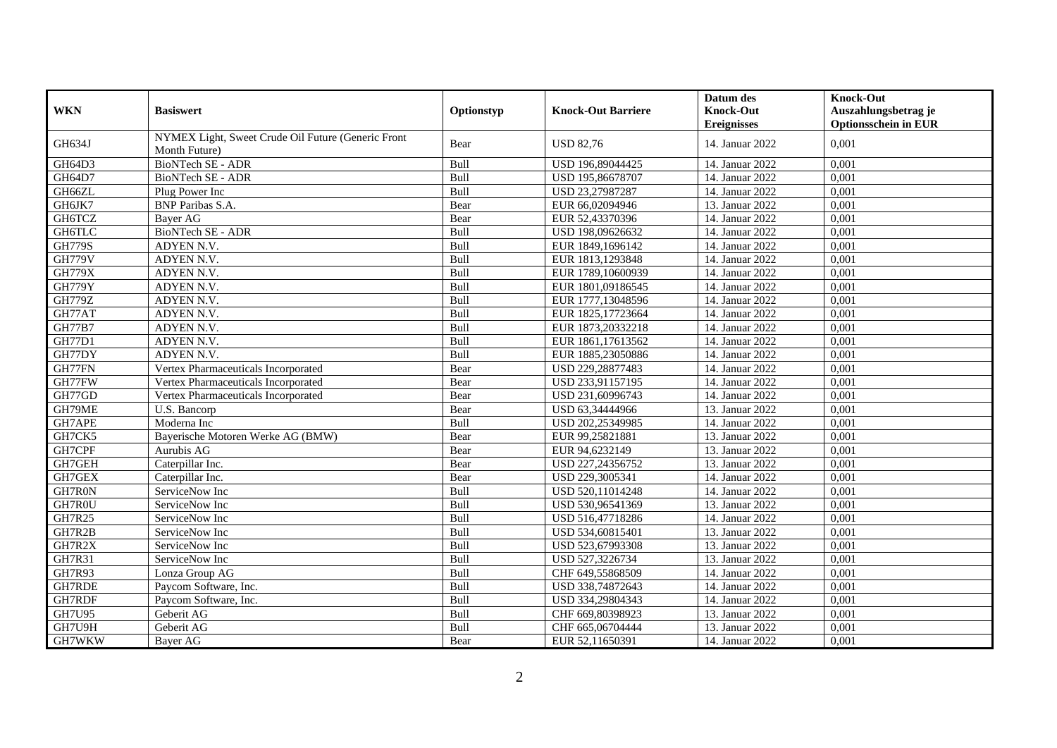|               |                                                                     |            |                           | Datum des          | <b>Knock-Out</b>            |
|---------------|---------------------------------------------------------------------|------------|---------------------------|--------------------|-----------------------------|
| <b>WKN</b>    | <b>Basiswert</b>                                                    | Optionstyp | <b>Knock-Out Barriere</b> | <b>Knock-Out</b>   | Auszahlungsbetrag je        |
|               |                                                                     |            |                           | <b>Ereignisses</b> | <b>Optionsschein in EUR</b> |
| GH634J        | NYMEX Light, Sweet Crude Oil Future (Generic Front<br>Month Future) | Bear       | <b>USD 82,76</b>          | 14. Januar 2022    | 0,001                       |
| GH64D3        | BioNTech SE - ADR                                                   | Bull       | USD 196,89044425          | 14. Januar 2022    | 0.001                       |
| GH64D7        | <b>BioNTech SE - ADR</b>                                            | Bull       | USD 195,86678707          | 14. Januar 2022    | 0,001                       |
| GH66ZL        | Plug Power Inc                                                      | Bull       | USD 23,27987287           | 14. Januar 2022    | 0,001                       |
| GH6JK7        | <b>BNP</b> Paribas S.A.                                             | Bear       | EUR 66,02094946           | 13. Januar 2022    | 0,001                       |
| GH6TCZ        | Bayer AG                                                            | Bear       | EUR 52,43370396           | 14. Januar 2022    | 0.001                       |
| GH6TLC        | <b>BioNTech SE - ADR</b>                                            | Bull       | USD 198,09626632          | 14. Januar 2022    | 0,001                       |
| <b>GH779S</b> | ADYEN N.V.                                                          | Bull       | EUR 1849,1696142          | 14. Januar 2022    | 0.001                       |
| <b>GH779V</b> | ADYEN N.V.                                                          | Bull       | EUR 1813,1293848          | 14. Januar 2022    | 0,001                       |
| <b>GH779X</b> | ADYEN N.V.                                                          | Bull       | EUR 1789,10600939         | 14. Januar 2022    | 0,001                       |
| <b>GH779Y</b> | ADYEN N.V.                                                          | Bull       | EUR 1801,09186545         | 14. Januar 2022    | 0,001                       |
| <b>GH779Z</b> | ADYEN N.V.                                                          | Bull       | EUR 1777,13048596         | 14. Januar 2022    | 0,001                       |
| GH77AT        | ADYEN N.V.                                                          | Bull       | EUR 1825,17723664         | 14. Januar 2022    | 0,001                       |
| <b>GH77B7</b> | ADYEN N.V.                                                          | Bull       | EUR 1873,20332218         | 14. Januar 2022    | 0,001                       |
| <b>GH77D1</b> | ADYEN N.V.                                                          | Bull       | EUR 1861,17613562         | 14. Januar 2022    | 0,001                       |
| GH77DY        | ADYEN N.V.                                                          | Bull       | EUR 1885,23050886         | 14. Januar 2022    | 0,001                       |
| GH77FN        | Vertex Pharmaceuticals Incorporated                                 | Bear       | USD 229,28877483          | 14. Januar 2022    | 0,001                       |
| GH77FW        | Vertex Pharmaceuticals Incorporated                                 | Bear       | USD 233,91157195          | 14. Januar 2022    | 0,001                       |
| GH77GD        | Vertex Pharmaceuticals Incorporated                                 | Bear       | USD 231,60996743          | 14. Januar 2022    | 0,001                       |
| GH79ME        | U.S. Bancorp                                                        | Bear       | USD 63,34444966           | 13. Januar 2022    | 0,001                       |
| GH7APE        | Moderna Inc                                                         | Bull       | USD 202,25349985          | 14. Januar 2022    | 0,001                       |
| GH7CK5        | Baverische Motoren Werke AG (BMW)                                   | Bear       | EUR 99,25821881           | 13. Januar 2022    | 0,001                       |
| GH7CPF        | Aurubis AG                                                          | Bear       | EUR 94,6232149            | 13. Januar 2022    | 0,001                       |
| GH7GEH        | Caterpillar Inc.                                                    | Bear       | USD 227,24356752          | 13. Januar 2022    | 0,001                       |
| GH7GEX        | Caterpillar Inc.                                                    | Bear       | USD 229,3005341           | 14. Januar 2022    | 0,001                       |
| GH7R0N        | ServiceNow Inc                                                      | Bull       | USD 520,11014248          | 14. Januar 2022    | 0,001                       |
| GH7R0U        | ServiceNow Inc                                                      | Bull       | USD 530,96541369          | 13. Januar 2022    | 0,001                       |
| GH7R25        | ServiceNow Inc                                                      | Bull       | USD 516,47718286          | 14. Januar 2022    | 0,001                       |
| GH7R2B        | ServiceNow Inc                                                      | Bull       | USD 534,60815401          | 13. Januar 2022    | 0,001                       |
| GH7R2X        | ServiceNow Inc                                                      | Bull       | USD 523,67993308          | 13. Januar 2022    | 0,001                       |
| GH7R31        | ServiceNow Inc                                                      | Bull       | USD 527,3226734           | 13. Januar 2022    | 0,001                       |
| <b>GH7R93</b> | Lonza Group AG                                                      | Bull       | CHF 649,55868509          | 14. Januar 2022    | 0,001                       |
| <b>GH7RDE</b> | Paycom Software, Inc.                                               | Bull       | USD 338,74872643          | 14. Januar 2022    | 0,001                       |
| GH7RDF        | Paycom Software, Inc.                                               | Bull       | USD 334,29804343          | 14. Januar 2022    | 0,001                       |
| GH7U95        | Geberit AG                                                          | Bull       | CHF 669,80398923          | 13. Januar 2022    | 0,001                       |
| GH7U9H        | Geberit AG                                                          | Bull       | CHF 665,06704444          | 13. Januar 2022    | 0,001                       |
| GH7WKW        | Bayer AG                                                            | Bear       | EUR 52,11650391           | 14. Januar 2022    | 0,001                       |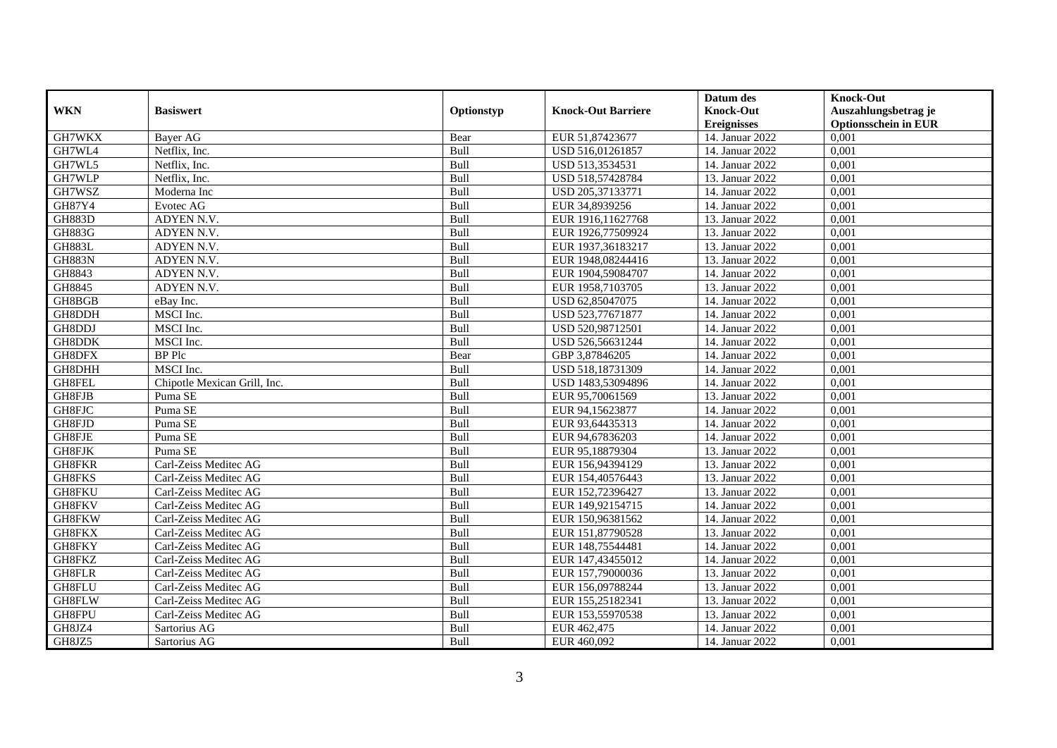|               |                              |            |                           | Datum des          | <b>Knock-Out</b>            |
|---------------|------------------------------|------------|---------------------------|--------------------|-----------------------------|
| <b>WKN</b>    | <b>Basiswert</b>             | Optionstyp | <b>Knock-Out Barriere</b> | <b>Knock-Out</b>   | Auszahlungsbetrag je        |
|               |                              |            |                           | <b>Ereignisses</b> | <b>Optionsschein in EUR</b> |
| GH7WKX        | <b>Bayer AG</b>              | Bear       | EUR 51,87423677           | 14. Januar 2022    | 0,001                       |
| GH7WL4        | Netflix. Inc.                | Bull       | USD 516,01261857          | 14. Januar 2022    | 0,001                       |
| GH7WL5        | Netflix, Inc.                | Bull       | USD 513,3534531           | 14. Januar 2022    | 0,001                       |
| GH7WLP        | Netflix, Inc.                | Bull       | USD 518,57428784          | 13. Januar 2022    | 0,001                       |
| GH7WSZ        | Moderna Inc                  | Bull       | USD 205,37133771          | 14. Januar 2022    | 0,001                       |
| GH87Y4        | Evotec AG                    | Bull       | EUR 34,8939256            | 14. Januar 2022    | 0,001                       |
| <b>GH883D</b> | ADYEN N.V.                   | Bull       | EUR 1916,11627768         | 13. Januar 2022    | 0,001                       |
| <b>GH883G</b> | ADYEN N.V.                   | Bull       | EUR 1926,77509924         | 13. Januar 2022    | 0,001                       |
| <b>GH883L</b> | ADYEN N.V.                   | Bull       | EUR 1937,36183217         | 13. Januar 2022    | 0,001                       |
| <b>GH883N</b> | ADYEN N.V.                   | Bull       | EUR 1948,08244416         | 13. Januar 2022    | 0,001                       |
| GH8843        | ADYEN N.V.                   | Bull       | EUR 1904,59084707         | 14. Januar 2022    | 0,001                       |
| GH8845        | ADYEN N.V.                   | Bull       | EUR 1958,7103705          | 13. Januar 2022    | 0,001                       |
| GH8BGB        | eBay Inc.                    | Bull       | USD 62,85047075           | 14. Januar 2022    | 0,001                       |
| GH8DDH        | MSCI Inc.                    | Bull       | USD 523,77671877          | 14. Januar 2022    | 0,001                       |
| GH8DDJ        | MSCI Inc.                    | Bull       | USD 520,98712501          | 14. Januar 2022    | 0,001                       |
| GH8DDK        | MSCI Inc.                    | Bull       | USD 526,56631244          | 14. Januar 2022    | 0,001                       |
| GH8DFX        | <b>BP</b> Plc                | Bear       | GBP 3,87846205            | 14. Januar 2022    | 0,001                       |
| GH8DHH        | MSCI Inc.                    | Bull       | USD 518.18731309          | 14. Januar 2022    | 0.001                       |
| GH8FEL        | Chipotle Mexican Grill, Inc. | Bull       | USD 1483,53094896         | 14. Januar 2022    | 0,001                       |
| GH8FJB        | Puma SE                      | Bull       | EUR 95,70061569           | 13. Januar 2022    | 0,001                       |
| GH8FJC        | Puma <sub>SE</sub>           | Bull       | EUR 94,15623877           | 14. Januar 2022    | 0,001                       |
| GH8FJD        | Puma SE                      | Bull       | EUR 93,64435313           | 14. Januar 2022    | 0,001                       |
| GH8FJE        | Puma SE                      | Bull       | EUR 94,67836203           | 14. Januar 2022    | 0,001                       |
| GH8FJK        | Puma SE                      | Bull       | EUR 95,18879304           | 13. Januar 2022    | 0,001                       |
| GH8FKR        | Carl-Zeiss Meditec AG        | Bull       | EUR 156,94394129          | 13. Januar 2022    | 0,001                       |
| GH8FKS        | Carl-Zeiss Meditec AG        | Bull       | EUR 154,40576443          | 13. Januar 2022    | 0,001                       |
| GH8FKU        | Carl-Zeiss Meditec AG        | Bull       | EUR 152,72396427          | 13. Januar 2022    | 0,001                       |
| GH8FKV        | Carl-Zeiss Meditec AG        | Bull       | EUR 149,92154715          | 14. Januar 2022    | 0,001                       |
| GH8FKW        | Carl-Zeiss Meditec AG        | Bull       | EUR 150,96381562          | 14. Januar 2022    | 0,001                       |
| GH8FKX        | Carl-Zeiss Meditec AG        | Bull       | EUR 151,87790528          | 13. Januar 2022    | 0,001                       |
| GH8FKY        | Carl-Zeiss Meditec AG        | Bull       | EUR 148,75544481          | 14. Januar 2022    | 0,001                       |
| GH8FKZ        | Carl-Zeiss Meditec AG        | Bull       | EUR 147,43455012          | 14. Januar 2022    | 0,001                       |
| GH8FLR        | Carl-Zeiss Meditec AG        | Bull       | EUR 157,79000036          | 13. Januar 2022    | 0,001                       |
| GH8FLU        | Carl-Zeiss Meditec AG        | Bull       | EUR 156,09788244          | 13. Januar 2022    | 0,001                       |
| GH8FLW        | Carl-Zeiss Meditec AG        | Bull       | EUR 155,25182341          | 13. Januar 2022    | 0,001                       |
| GH8FPU        | Carl-Zeiss Meditec AG        | Bull       | EUR 153,55970538          | 13. Januar 2022    | 0,001                       |
| GH8JZ4        | Sartorius AG                 | Bull       | EUR 462,475               | 14. Januar 2022    | 0,001                       |
| GH8JZ5        | Sartorius AG                 | Bull       | EUR 460,092               | 14. Januar 2022    | 0,001                       |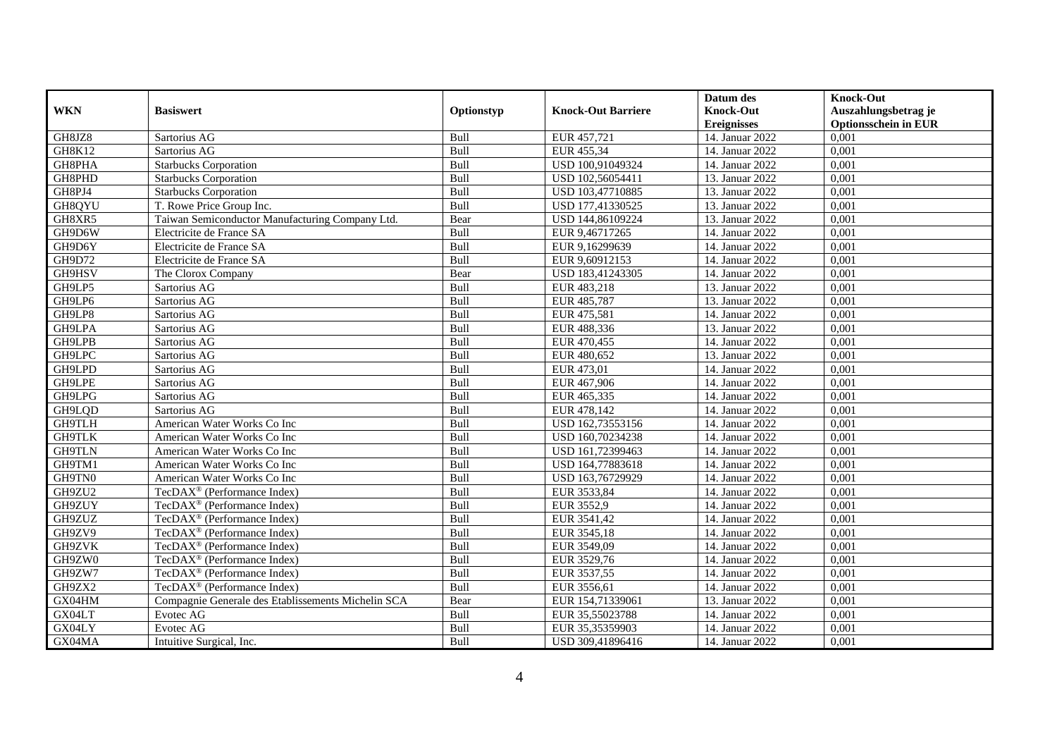|               |                                                    |            |                           | Datum des          | <b>Knock-Out</b>            |
|---------------|----------------------------------------------------|------------|---------------------------|--------------------|-----------------------------|
| <b>WKN</b>    | <b>Basiswert</b>                                   | Optionstyp | <b>Knock-Out Barriere</b> | <b>Knock-Out</b>   | Auszahlungsbetrag je        |
|               |                                                    |            |                           | <b>Ereignisses</b> | <b>Optionsschein in EUR</b> |
| GH8JZ8        | Sartorius AG                                       | Bull       | EUR 457,721               | 14. Januar 2022    | 0,001                       |
| <b>GH8K12</b> | Sartorius AG                                       | Bull       | EUR 455,34                | 14. Januar 2022    | 0,001                       |
| GH8PHA        | <b>Starbucks Corporation</b>                       | Bull       | USD 100,91049324          | 14. Januar 2022    | 0,001                       |
| GH8PHD        | <b>Starbucks Corporation</b>                       | Bull       | USD 102,56054411          | 13. Januar 2022    | 0,001                       |
| GH8PJ4        | <b>Starbucks Corporation</b>                       | Bull       | USD 103,47710885          | 13. Januar 2022    | 0,001                       |
| GH8QYU        | T. Rowe Price Group Inc.                           | Bull       | USD 177,41330525          | 13. Januar 2022    | 0,001                       |
| GH8XR5        | Taiwan Semiconductor Manufacturing Company Ltd.    | Bear       | USD 144,86109224          | 13. Januar 2022    | 0,001                       |
| GH9D6W        | Electricite de France SA                           | Bull       | EUR 9,46717265            | 14. Januar 2022    | 0,001                       |
| GH9D6Y        | Electricite de France SA                           | Bull       | EUR 9,16299639            | 14. Januar 2022    | 0,001                       |
| GH9D72        | Electricite de France SA                           | Bull       | EUR 9,60912153            | 14. Januar 2022    | 0,001                       |
| GH9HSV        | The Clorox Company                                 | Bear       | USD 183,41243305          | 14. Januar 2022    | 0,001                       |
| GH9LP5        | Sartorius AG                                       | Bull       | EUR 483,218               | 13. Januar 2022    | 0,001                       |
| GH9LP6        | Sartorius AG                                       | Bull       | EUR 485,787               | 13. Januar 2022    | 0,001                       |
| GH9LP8        | Sartorius AG                                       | Bull       | EUR 475,581               | 14. Januar 2022    | 0,001                       |
| GH9LPA        | Sartorius AG                                       | Bull       | EUR 488,336               | 13. Januar 2022    | 0,001                       |
| GH9LPB        | Sartorius AG                                       | Bull       | EUR 470,455               | 14. Januar 2022    | 0,001                       |
| GH9LPC        | Sartorius AG                                       | Bull       | EUR 480,652               | 13. Januar 2022    | 0,001                       |
| GH9LPD        | Sartorius AG                                       | Bull       | EUR 473,01                | 14. Januar 2022    | 0,001                       |
| GH9LPE        | Sartorius AG                                       | Bull       | EUR 467,906               | 14. Januar 2022    | 0,001                       |
| GH9LPG        | Sartorius AG                                       | Bull       | EUR 465,335               | 14. Januar 2022    | 0,001                       |
| GH9LQD        | Sartorius AG                                       | Bull       | EUR 478,142               | 14. Januar 2022    | 0,001                       |
| GH9TLH        | American Water Works Co Inc                        | Bull       | USD 162,73553156          | 14. Januar 2022    | 0,001                       |
| <b>GH9TLK</b> | American Water Works Co Inc                        | Bull       | USD 160,70234238          | 14. Januar 2022    | 0,001                       |
| <b>GH9TLN</b> | American Water Works Co Inc                        | Bull       | USD 161,72399463          | 14. Januar 2022    | 0,001                       |
| GH9TM1        | American Water Works Co Inc                        | Bull       | USD 164,77883618          | 14. Januar 2022    | 0,001                       |
| GH9TN0        | American Water Works Co Inc                        | Bull       | USD 163,76729929          | 14. Januar 2022    | 0,001                       |
| GH9ZU2        | TecDAX <sup>®</sup> (Performance Index)            | Bull       | EUR 3533,84               | 14. Januar 2022    | 0,001                       |
| GH9ZUY        | TecDAX <sup>®</sup> (Performance Index)            | Bull       | EUR 3552,9                | 14. Januar 2022    | 0,001                       |
| GH9ZUZ        | TecDAX <sup>®</sup> (Performance Index)            | Bull       | EUR 3541,42               | 14. Januar 2022    | 0,001                       |
| GH9ZV9        | TecDAX <sup>®</sup> (Performance Index)            | Bull       | EUR 3545,18               | 14. Januar 2022    | 0.001                       |
| GH9ZVK        | TecDAX <sup>®</sup> (Performance Index)            | Bull       | EUR 3549,09               | 14. Januar 2022    | 0,001                       |
| GH9ZW0        | TecDAX <sup>®</sup> (Performance Index)            | Bull       | EUR 3529,76               | 14. Januar 2022    | 0,001                       |
| GH9ZW7        | TecDAX <sup>®</sup> (Performance Index)            | Bull       | EUR 3537,55               | 14. Januar 2022    | 0,001                       |
| GH9ZX2        | TecDAX <sup>®</sup> (Performance Index)            | Bull       | EUR 3556,61               | 14. Januar 2022    | 0,001                       |
| GX04HM        | Compagnie Generale des Etablissements Michelin SCA | Bear       | EUR 154,71339061          | 13. Januar 2022    | 0,001                       |
| GX04LT        | Evotec AG                                          | Bull       | EUR 35,55023788           | 14. Januar 2022    | 0,001                       |
| GX04LY        | Evotec AG                                          | Bull       | EUR 35,35359903           | 14. Januar 2022    | 0,001                       |
| GX04MA        | Intuitive Surgical, Inc.                           | Bull       | USD 309,41896416          | 14. Januar 2022    | 0,001                       |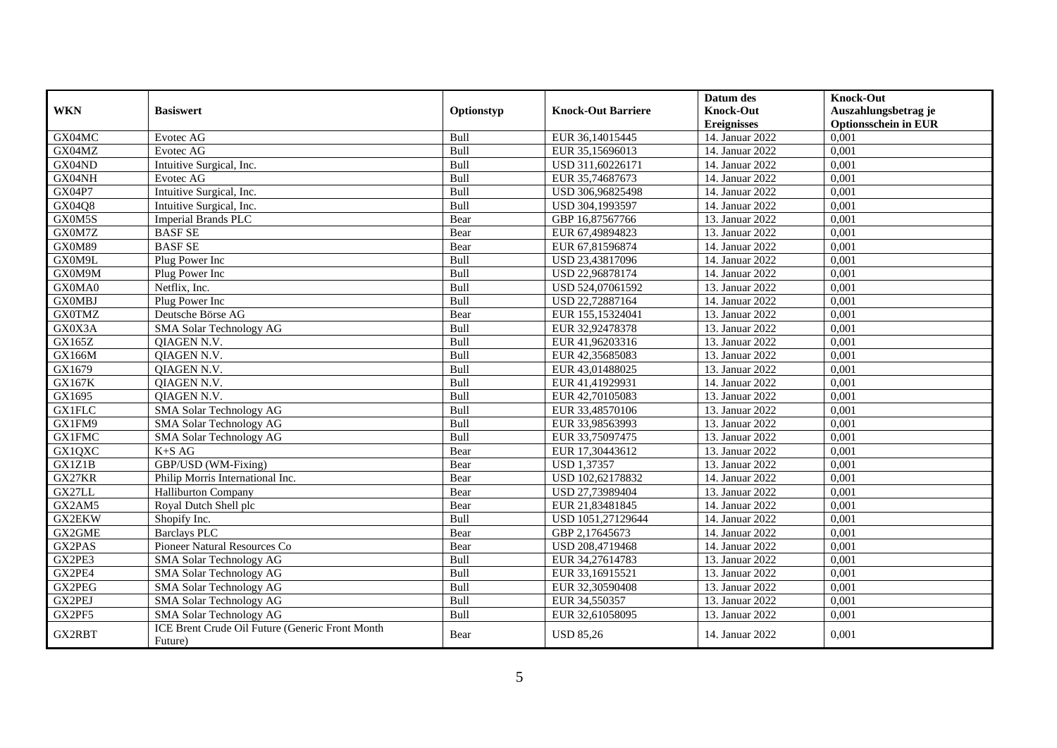| <b>WKN</b>      | <b>Basiswert</b>                                           |            | <b>Knock-Out Barriere</b> | Datum des<br><b>Knock-Out</b> | <b>Knock-Out</b><br>Auszahlungsbetrag je |
|-----------------|------------------------------------------------------------|------------|---------------------------|-------------------------------|------------------------------------------|
|                 |                                                            | Optionstyp |                           | <b>Ereignisses</b>            | <b>Optionsschein in EUR</b>              |
| GX04MC          | Evotec AG                                                  | Bull       | EUR 36,14015445           | 14. Januar 2022               | 0,001                                    |
| GX04MZ          | Evotec AG                                                  | Bull       | EUR 35,15696013           | 14. Januar 2022               | 0,001                                    |
| GX04ND          | Intuitive Surgical, Inc.                                   | Bull       | USD 311,60226171          | 14. Januar 2022               | 0,001                                    |
| GX04NH          | Evotec AG                                                  | Bull       | EUR 35,74687673           | 14. Januar 2022               | 0,001                                    |
| <b>GX04P7</b>   | Intuitive Surgical, Inc.                                   | Bull       | USD 306,96825498          | 14. Januar 2022               | 0,001                                    |
| GX04Q8          | Intuitive Surgical, Inc.                                   | Bull       | USD 304,1993597           | 14. Januar 2022               | 0,001                                    |
| GX0M5S          | Imperial Brands PLC                                        | Bear       | GBP 16,87567766           | 13. Januar 2022               | 0,001                                    |
| GX0M7Z          | <b>BASF SE</b>                                             | Bear       | EUR 67,49894823           | 13. Januar 2022               | 0,001                                    |
| GX0M89          | <b>BASFSE</b>                                              | Bear       | EUR 67,81596874           | 14. Januar 2022               | 0,001                                    |
| GX0M9L          | Plug Power Inc                                             | Bull       | USD 23,43817096           | 14. Januar 2022               | 0,001                                    |
| GX0M9M          | Plug Power Inc                                             | Bull       | USD 22,96878174           | 14. Januar 2022               | 0,001                                    |
| GX0MA0          | Netflix, Inc.                                              | Bull       | USD 524,07061592          | 13. Januar 2022               | 0,001                                    |
| <b>GX0MBJ</b>   | Plug Power Inc                                             | Bull       | USD 22,72887164           | 14. Januar 2022               | 0.001                                    |
| <b>GX0TMZ</b>   | Deutsche Börse AG                                          | Bear       | EUR 155,15324041          | 13. Januar 2022               | 0,001                                    |
| GX0X3A          | SMA Solar Technology AG                                    | Bull       | EUR 32,92478378           | 13. Januar 2022               | 0,001                                    |
| GX165Z          | QIAGEN N.V.                                                | Bull       | EUR 41,96203316           | 13. Januar 2022               | 0,001                                    |
| GX166M          | QIAGEN N.V.                                                | Bull       | EUR 42,35685083           | 13. Januar 2022               | 0,001                                    |
| GX1679          | <b>OIAGEN N.V.</b>                                         | Bull       | EUR 43,01488025           | 13. Januar 2022               | 0,001                                    |
| <b>GX167K</b>   | QIAGEN N.V.                                                | Bull       | EUR 41,41929931           | 14. Januar 2022               | 0,001                                    |
| GX1695          | QIAGEN N.V.                                                | Bull       | EUR 42,70105083           | 13. Januar 2022               | 0,001                                    |
| <b>GX1FLC</b>   | SMA Solar Technology AG                                    | Bull       | EUR 33,48570106           | 13. Januar 2022               | 0,001                                    |
| GX1FM9          | SMA Solar Technology AG                                    | Bull       | EUR 33,98563993           | 13. Januar 2022               | 0,001                                    |
| <b>GX1FMC</b>   | SMA Solar Technology AG                                    | Bull       | EUR 33,75097475           | 13. Januar 2022               | 0,001                                    |
| GX1QXC          | $K+SAG$                                                    | Bear       | EUR 17,30443612           | 13. Januar 2022               | 0,001                                    |
| GX1Z1B          | GBP/USD (WM-Fixing)                                        | Bear       | <b>USD 1,37357</b>        | 13. Januar 2022               | 0,001                                    |
| GX27KR          | Philip Morris International Inc.                           | Bear       | USD 102,62178832          | 14. Januar 2022               | 0,001                                    |
| $\mbox{GX27LL}$ | Halliburton Company                                        | Bear       | USD 27,73989404           | 13. Januar 2022               | 0,001                                    |
| GX2AM5          | Royal Dutch Shell plc                                      | Bear       | EUR 21,83481845           | 14. Januar 2022               | 0,001                                    |
| <b>GX2EKW</b>   | Shopify Inc.                                               | Bull       | USD 1051,27129644         | 14. Januar 2022               | 0,001                                    |
| GX2GME          | <b>Barclays PLC</b>                                        | Bear       | GBP 2,17645673            | 14. Januar 2022               | 0,001                                    |
| GX2PAS          | Pioneer Natural Resources Co                               | Bear       | USD 208,4719468           | 14. Januar 2022               | 0,001                                    |
| GX2PE3          | SMA Solar Technology AG                                    | Bull       | EUR 34,27614783           | 13. Januar 2022               | 0,001                                    |
| GX2PE4          | SMA Solar Technology AG                                    | Bull       | EUR 33,16915521           | 13. Januar 2022               | 0,001                                    |
| GX2PEG          | SMA Solar Technology AG                                    | Bull       | EUR 32,30590408           | 13. Januar 2022               | 0,001                                    |
| GX2PEJ          | SMA Solar Technology AG                                    | Bull       | EUR 34,550357             | 13. Januar 2022               | 0,001                                    |
| GX2PF5          | SMA Solar Technology AG                                    | Bull       | EUR 32,61058095           | 13. Januar 2022               | 0,001                                    |
| GX2RBT          | ICE Brent Crude Oil Future (Generic Front Month<br>Future) | Bear       | <b>USD 85,26</b>          | 14. Januar 2022               | 0,001                                    |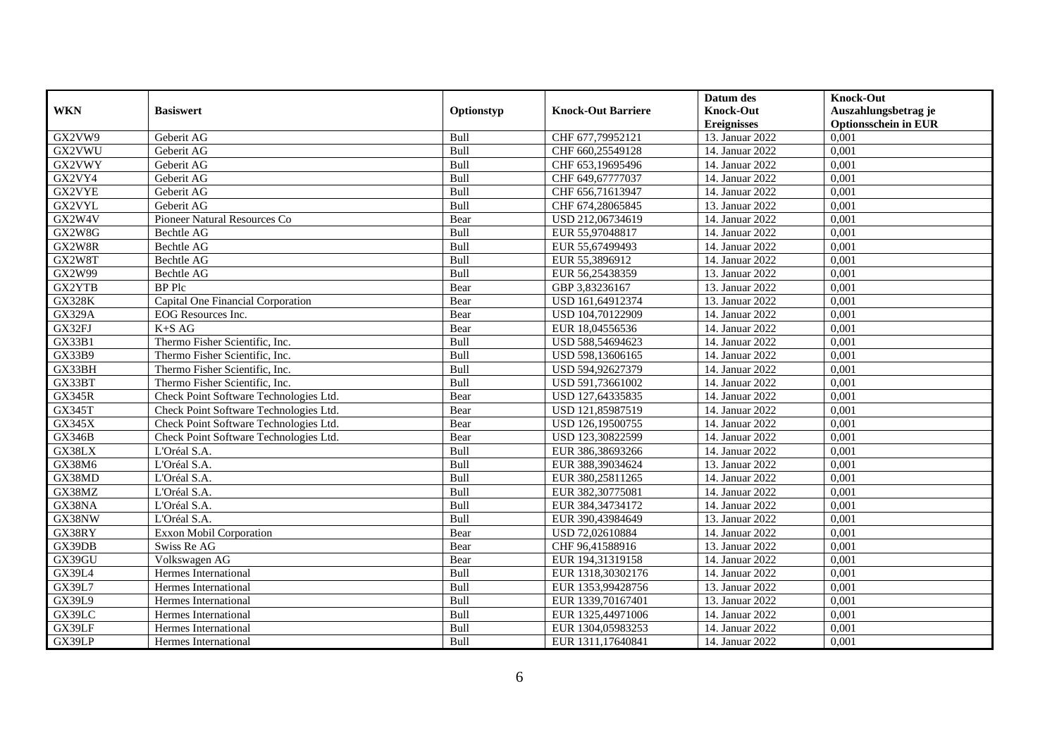|               |                                        |             |                           | Datum des          | <b>Knock-Out</b>            |
|---------------|----------------------------------------|-------------|---------------------------|--------------------|-----------------------------|
| <b>WKN</b>    | <b>Basiswert</b>                       | Optionstyp  | <b>Knock-Out Barriere</b> | <b>Knock-Out</b>   | Auszahlungsbetrag je        |
|               |                                        |             |                           | <b>Ereignisses</b> | <b>Optionsschein in EUR</b> |
| GX2VW9        | Geberit AG                             | Bull        | CHF 677,79952121          | 13. Januar 2022    | 0,001                       |
| GX2VWU        | Geberit AG                             | Bull        | CHF 660,25549128          | 14. Januar 2022    | 0,001                       |
| GX2VWY        | Geberit AG                             | Bull        | CHF 653,19695496          | 14. Januar 2022    | 0,001                       |
| GX2VY4        | Geberit AG                             | Bull        | CHF 649,67777037          | 14. Januar 2022    | 0,001                       |
| GX2VYE        | Geberit AG                             | Bull        | CHF 656,71613947          | 14. Januar 2022    | 0,001                       |
| GX2VYL        | Geberit AG                             | Bull        | CHF 674,28065845          | 13. Januar 2022    | 0,001                       |
| GX2W4V        | Pioneer Natural Resources Co           | Bear        | USD 212,06734619          | 14. Januar 2022    | 0,001                       |
| GX2W8G        | Bechtle AG                             | Bull        | EUR 55,97048817           | 14. Januar 2022    | 0,001                       |
| GX2W8R        | Bechtle AG                             | Bull        | EUR 55,67499493           | 14. Januar 2022    | 0,001                       |
| GX2W8T        | Bechtle AG                             | Bull        | EUR 55,3896912            | 14. Januar 2022    | 0,001                       |
| GX2W99        | Bechtle AG                             | Bull        | EUR 56,25438359           | 13. Januar 2022    | 0,001                       |
| GX2YTB        | <b>BP</b> Plc                          | Bear        | GBP 3,83236167            | 13. Januar 2022    | 0,001                       |
| <b>GX328K</b> | Capital One Financial Corporation      | Bear        | USD 161,64912374          | 13. Januar 2022    | 0,001                       |
| <b>GX329A</b> | <b>EOG</b> Resources Inc.              | Bear        | USD 104,70122909          | 14. Januar 2022    | 0,001                       |
| GX32FJ        | $K+SAG$                                | Bear        | EUR 18,04556536           | 14. Januar 2022    | 0,001                       |
| GX33B1        | Thermo Fisher Scientific, Inc.         | Bull        | USD 588,54694623          | 14. Januar 2022    | 0,001                       |
| GX33B9        | Thermo Fisher Scientific, Inc.         | Bull        | USD 598,13606165          | 14. Januar 2022    | 0,001                       |
| GX33BH        | Thermo Fisher Scientific, Inc.         | Bull        | USD 594.92627379          | 14. Januar 2022    | 0,001                       |
| GX33BT        | Thermo Fisher Scientific, Inc.         | Bull        | USD 591,73661002          | 14. Januar 2022    | 0,001                       |
| <b>GX345R</b> | Check Point Software Technologies Ltd. | Bear        | USD 127,64335835          | 14. Januar 2022    | 0,001                       |
| <b>GX345T</b> | Check Point Software Technologies Ltd. | Bear        | USD 121,85987519          | 14. Januar 2022    | 0,001                       |
| GX345X        | Check Point Software Technologies Ltd. | Bear        | USD 126,19500755          | 14. Januar 2022    | 0,001                       |
| <b>GX346B</b> | Check Point Software Technologies Ltd. | Bear        | USD 123,30822599          | 14. Januar 2022    | 0,001                       |
| GX38LX        | L'Oréal S.A.                           | Bull        | EUR 386,38693266          | 14. Januar 2022    | 0,001                       |
| GX38M6        | L'Oréal S.A.                           | <b>Bull</b> | EUR 388,39034624          | 13. Januar 2022    | 0.001                       |
| GX38MD        | L'Oréal S.A.                           | Bull        | EUR 380,25811265          | 14. Januar 2022    | 0,001                       |
| GX38MZ        | L'Oréal S.A.                           | Bull        | EUR 382,30775081          | 14. Januar 2022    | 0,001                       |
| GX38NA        | L'Oréal S.A.                           | Bull        | EUR 384,34734172          | 14. Januar 2022    | 0,001                       |
| GX38NW        | L'Oréal S.A.                           | Bull        | EUR 390,43984649          | 13. Januar 2022    | 0,001                       |
| GX38RY        | Exxon Mobil Corporation                | Bear        | USD 72,02610884           | 14. Januar 2022    | 0,001                       |
| GX39DB        | Swiss Re AG                            | Bear        | CHF 96,41588916           | 13. Januar 2022    | 0,001                       |
| GX39GU        | Volkswagen AG                          | Bear        | EUR 194,31319158          | 14. Januar 2022    | 0,001                       |
| GX39L4        | Hermes International                   | Bull        | EUR 1318,30302176         | 14. Januar 2022    | 0,001                       |
| <b>GX39L7</b> | Hermes International                   | Bull        | EUR 1353,99428756         | 13. Januar 2022    | 0,001                       |
| GX39L9        | Hermes International                   | Bull        | EUR 1339,70167401         | 13. Januar 2022    | 0,001                       |
| GX39LC        | Hermes International                   | Bull        | EUR 1325,44971006         | 14. Januar 2022    | 0,001                       |
| GX39LF        | Hermes International                   | Bull        | EUR 1304,05983253         | 14. Januar 2022    | 0,001                       |
| GX39LP        | Hermes International                   | Bull        | EUR 1311,17640841         | 14. Januar 2022    | 0,001                       |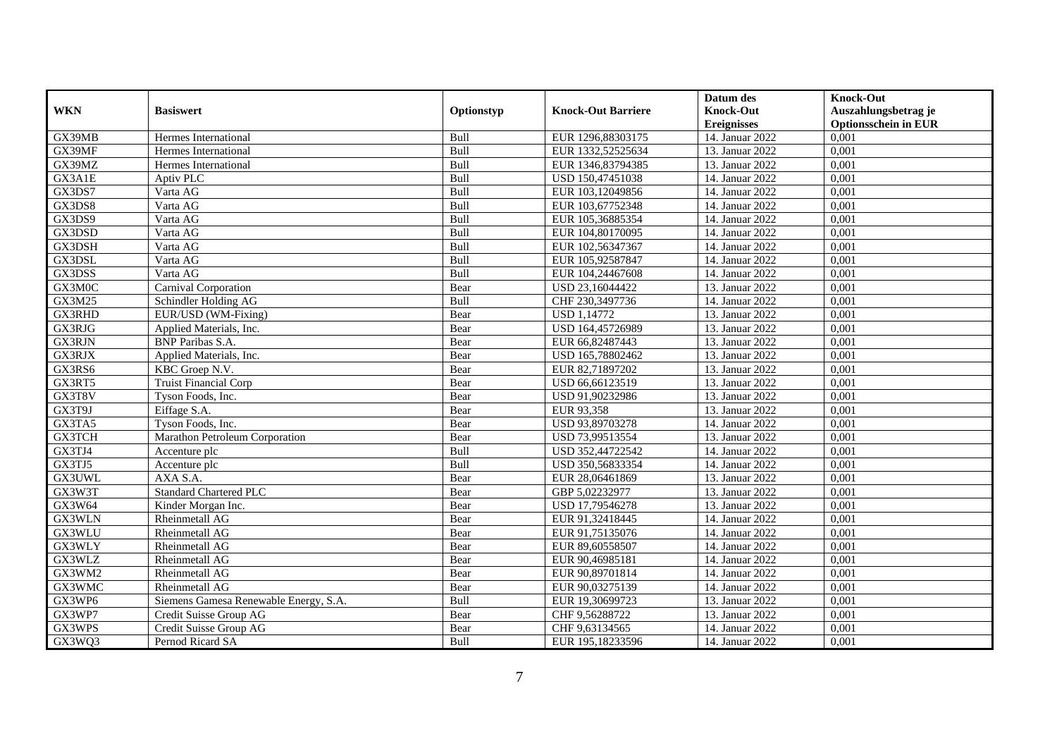|               |                                       |            |                           | Datum des          | <b>Knock-Out</b>            |
|---------------|---------------------------------------|------------|---------------------------|--------------------|-----------------------------|
| <b>WKN</b>    | <b>Basiswert</b>                      | Optionstyp | <b>Knock-Out Barriere</b> | <b>Knock-Out</b>   | Auszahlungsbetrag je        |
|               |                                       |            |                           | <b>Ereignisses</b> | <b>Optionsschein in EUR</b> |
| GX39MB        | Hermes International                  | Bull       | EUR 1296,88303175         | 14. Januar 2022    | 0,001                       |
| GX39MF        | Hermes International                  | Bull       | EUR 1332,52525634         | 13. Januar 2022    | 0,001                       |
| GX39MZ        | Hermes International                  | Bull       | EUR 1346,83794385         | 13. Januar 2022    | 0,001                       |
| GX3A1E        | Aptiv PLC                             | Bull       | USD 150,47451038          | 14. Januar 2022    | 0,001                       |
| GX3DS7        | Varta AG                              | Bull       | EUR 103,12049856          | 14. Januar 2022    | 0,001                       |
| GX3DS8        | Varta AG                              | Bull       | EUR 103,67752348          | 14. Januar 2022    | 0,001                       |
| GX3DS9        | Varta AG                              | Bull       | EUR 105,36885354          | 14. Januar 2022    | 0,001                       |
| GX3DSD        | Varta AG                              | Bull       | EUR 104,80170095          | 14. Januar 2022    | 0,001                       |
| GX3DSH        | Varta AG                              | Bull       | EUR 102,56347367          | 14. Januar 2022    | 0,001                       |
| GX3DSL        | Varta AG                              | Bull       | EUR 105,92587847          | 14. Januar 2022    | 0,001                       |
| GX3DSS        | Varta AG                              | Bull       | EUR 104,24467608          | 14. Januar 2022    | 0,001                       |
| GX3M0C        | Carnival Corporation                  | Bear       | USD 23,16044422           | 13. Januar 2022    | 0,001                       |
| GX3M25        | Schindler Holding AG                  | Bull       | CHF 230,3497736           | 14. Januar 2022    | 0,001                       |
| GX3RHD        | EUR/USD (WM-Fixing)                   | Bear       | <b>USD 1,14772</b>        | 13. Januar 2022    | 0,001                       |
| GX3RJG        | Applied Materials, Inc.               | Bear       | USD 164,45726989          | 13. Januar 2022    | 0,001                       |
| GX3RJN        | <b>BNP</b> Paribas S.A.               | Bear       | EUR 66,82487443           | 13. Januar 2022    | 0,001                       |
| GX3RJX        | Applied Materials, Inc.               | Bear       | USD 165,78802462          | 13. Januar 2022    | 0,001                       |
| GX3RS6        | KBC Groep N.V.                        | Bear       | EUR 82,71897202           | 13. Januar 2022    | 0,001                       |
| GX3RT5        | <b>Truist Financial Corp</b>          | Bear       | USD 66,66123519           | 13. Januar 2022    | 0,001                       |
| GX3T8V        | Tyson Foods, Inc.                     | Bear       | USD 91,90232986           | 13. Januar 2022    | 0,001                       |
| GX3T9J        | Eiffage S.A.                          | Bear       | EUR 93,358                | 13. Januar 2022    | 0,001                       |
| GX3TA5        | Tyson Foods, Inc.                     | Bear       | USD 93,89703278           | 14. Januar 2022    | 0,001                       |
| <b>GX3TCH</b> | Marathon Petroleum Corporation        | Bear       | USD 73,99513554           | 13. Januar 2022    | 0,001                       |
| GX3TJ4        | Accenture plc                         | Bull       | USD 352,44722542          | 14. Januar 2022    | 0,001                       |
| GX3TJ5        | Accenture plc                         | Bull       | USD 350,56833354          | 14. Januar 2022    | 0,001                       |
| GX3UWL        | AXA S.A.                              | Bear       | EUR 28,06461869           | 13. Januar 2022    | 0,001                       |
| GX3W3T        | <b>Standard Chartered PLC</b>         | Bear       | GBP 5,02232977            | 13. Januar 2022    | 0,001                       |
| GX3W64        | Kinder Morgan Inc.                    | Bear       | USD 17,79546278           | 13. Januar 2022    | 0,001                       |
| GX3WLN        | Rheinmetall AG                        | Bear       | EUR 91,32418445           | 14. Januar 2022    | 0,001                       |
| GX3WLU        | Rheinmetall AG                        | Bear       | EUR 91,75135076           | 14. Januar 2022    | 0,001                       |
| GX3WLY        | Rheinmetall AG                        | Bear       | EUR 89,60558507           | 14. Januar 2022    | 0,001                       |
| GX3WLZ        | Rheinmetall AG                        | Bear       | EUR 90,46985181           | 14. Januar 2022    | 0,001                       |
| GX3WM2        | <b>Rheinmetall AG</b>                 | Bear       | EUR 90,89701814           | 14. Januar 2022    | 0,001                       |
| GX3WMC        | Rheinmetall AG                        | Bear       | EUR 90,03275139           | 14. Januar 2022    | 0,001                       |
| GX3WP6        | Siemens Gamesa Renewable Energy, S.A. | Bull       | EUR 19,30699723           | 13. Januar 2022    | 0,001                       |
| GX3WP7        | Credit Suisse Group AG                | Bear       | CHF 9,56288722            | 13. Januar 2022    | 0,001                       |
| GX3WPS        | Credit Suisse Group AG                | Bear       | CHF 9,63134565            | 14. Januar 2022    | 0,001                       |
| GX3WQ3        | Pernod Ricard SA                      | Bull       | EUR 195,18233596          | 14. Januar 2022    | 0,001                       |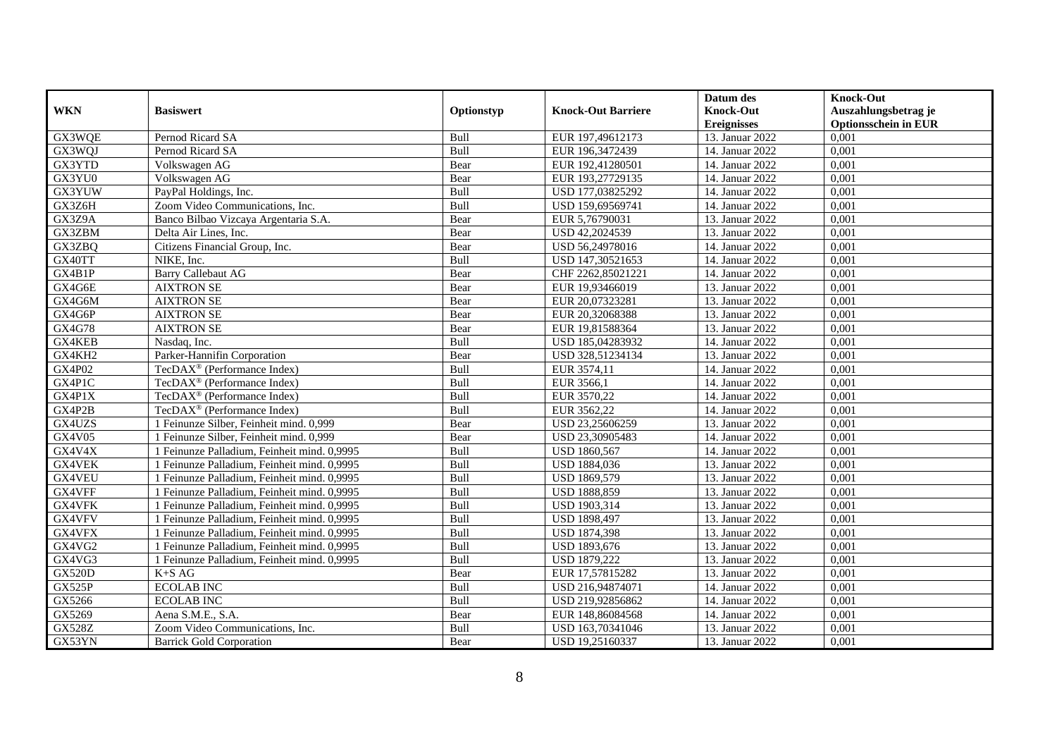|               |                                             |            |                           | Datum des          | <b>Knock-Out</b>            |
|---------------|---------------------------------------------|------------|---------------------------|--------------------|-----------------------------|
| <b>WKN</b>    | <b>Basiswert</b>                            | Optionstyp | <b>Knock-Out Barriere</b> | <b>Knock-Out</b>   | Auszahlungsbetrag je        |
|               |                                             |            |                           | <b>Ereignisses</b> | <b>Optionsschein in EUR</b> |
| GX3WQE        | Pernod Ricard SA                            | Bull       | EUR 197,49612173          | 13. Januar 2022    | 0,001                       |
| GX3WQJ        | Pernod Ricard SA                            | Bull       | EUR 196,3472439           | 14. Januar 2022    | 0,001                       |
| GX3YTD        | Volkswagen AG                               | Bear       | EUR 192,41280501          | 14. Januar 2022    | 0,001                       |
| GX3YU0        | Volkswagen AG                               | Bear       | EUR 193,27729135          | 14. Januar 2022    | 0,001                       |
| GX3YUW        | PayPal Holdings, Inc.                       | Bull       | USD 177,03825292          | 14. Januar 2022    | 0,001                       |
| GX3Z6H        | Zoom Video Communications, Inc.             | Bull       | USD 159,69569741          | 14. Januar 2022    | 0,001                       |
| GX3Z9A        | Banco Bilbao Vizcaya Argentaria S.A.        | Bear       | EUR 5,76790031            | 13. Januar 2022    | 0,001                       |
| GX3ZBM        | Delta Air Lines, Inc.                       | Bear       | USD 42,2024539            | 13. Januar 2022    | 0,001                       |
| GX3ZBQ        | Citizens Financial Group, Inc.              | Bear       | USD 56,24978016           | 14. Januar 2022    | 0,001                       |
| GX40TT        | NIKE, Inc.                                  | Bull       | USD 147,30521653          | 14. Januar 2022    | 0,001                       |
| GX4B1P        | <b>Barry Callebaut AG</b>                   | Bear       | CHF 2262,85021221         | 14. Januar 2022    | 0,001                       |
| GX4G6E        | <b>AIXTRON SE</b>                           | Bear       | EUR 19,93466019           | 13. Januar 2022    | 0,001                       |
| GX4G6M        | <b>AIXTRON SE</b>                           | Bear       | EUR 20,07323281           | 13. Januar 2022    | 0,001                       |
| GX4G6P        | <b>AIXTRON SE</b>                           | Bear       | EUR 20,32068388           | 13. Januar 2022    | 0,001                       |
| <b>GX4G78</b> | <b>AIXTRON SE</b>                           | Bear       | EUR 19,81588364           | 13. Januar 2022    | 0,001                       |
| GX4KEB        | Nasdaq, Inc.                                | Bull       | USD 185,04283932          | 14. Januar 2022    | 0,001                       |
| GX4KH2        | Parker-Hannifin Corporation                 | Bear       | USD 328,51234134          | 13. Januar 2022    | 0,001                       |
| <b>GX4P02</b> | $TecDAX^{\otimes}$ (Performance Index)      | Bull       | EUR 3574.11               | 14. Januar 2022    | 0,001                       |
| GX4P1C        | TecDAX <sup>®</sup> (Performance Index)     | Bull       | EUR 3566,1                | 14. Januar 2022    | 0,001                       |
| GX4P1X        | TecDAX <sup>®</sup> (Performance Index)     | Bull       | EUR 3570,22               | 14. Januar 2022    | 0,001                       |
| GX4P2B        | TecDAX <sup>®</sup> (Performance Index)     | Bull       | EUR 3562,22               | 14. Januar 2022    | 0,001                       |
| GX4UZS        | 1 Feinunze Silber, Feinheit mind. 0,999     | Bear       | USD 23,25606259           | 13. Januar 2022    | $0,\overline{001}$          |
| GX4V05        | 1 Feinunze Silber, Feinheit mind. 0,999     | Bear       | USD 23,30905483           | 14. Januar 2022    | 0,001                       |
| GX4V4X        | 1 Feinunze Palladium, Feinheit mind. 0,9995 | Bull       | USD 1860,567              | 14. Januar 2022    | 0,001                       |
| GX4VEK        | 1 Feinunze Palladium, Feinheit mind. 0,9995 | Bull       | USD 1884,036              | 13. Januar 2022    | 0,001                       |
| GX4VEU        | 1 Feinunze Palladium, Feinheit mind. 0,9995 | Bull       | USD 1869,579              | 13. Januar 2022    | 0,001                       |
| GX4VFF        | 1 Feinunze Palladium, Feinheit mind. 0,9995 | Bull       | <b>USD 1888,859</b>       | 13. Januar 2022    | 0,001                       |
| GX4VFK        | 1 Feinunze Palladium. Feinheit mind. 0.9995 | Bull       | <b>USD 1903,314</b>       | 13. Januar 2022    | 0,001                       |
| GX4VFV        | 1 Feinunze Palladium, Feinheit mind. 0,9995 | Bull       | <b>USD 1898,497</b>       | 13. Januar 2022    | 0,001                       |
| GX4VFX        | 1 Feinunze Palladium, Feinheit mind. 0,9995 | Bull       | <b>USD 1874,398</b>       | 13. Januar 2022    | 0,001                       |
| GX4VG2        | 1 Feinunze Palladium, Feinheit mind. 0,9995 | Bull       | USD 1893,676              | 13. Januar 2022    | 0,001                       |
| GX4VG3        | 1 Feinunze Palladium, Feinheit mind. 0,9995 | Bull       | <b>USD 1879,222</b>       | 13. Januar 2022    | 0,001                       |
| <b>GX520D</b> | $K+SAG$                                     | Bear       | EUR 17,57815282           | 13. Januar 2022    | 0,001                       |
| <b>GX525P</b> | <b>ECOLAB INC</b>                           | Bull       | USD 216,94874071          | 14. Januar 2022    | 0,001                       |
| GX5266        | <b>ECOLAB INC</b>                           | Bull       | USD 219,92856862          | 14. Januar 2022    | 0,001                       |
| GX5269        | Aena S.M.E., S.A.                           | Bear       | EUR 148,86084568          | 14. Januar 2022    | 0,001                       |
| <b>GX528Z</b> | Zoom Video Communications, Inc.             | Bull       | USD 163,70341046          | 13. Januar 2022    | 0,001                       |
| GX53YN        | <b>Barrick Gold Corporation</b>             | Bear       | USD 19,25160337           | 13. Januar 2022    | 0,001                       |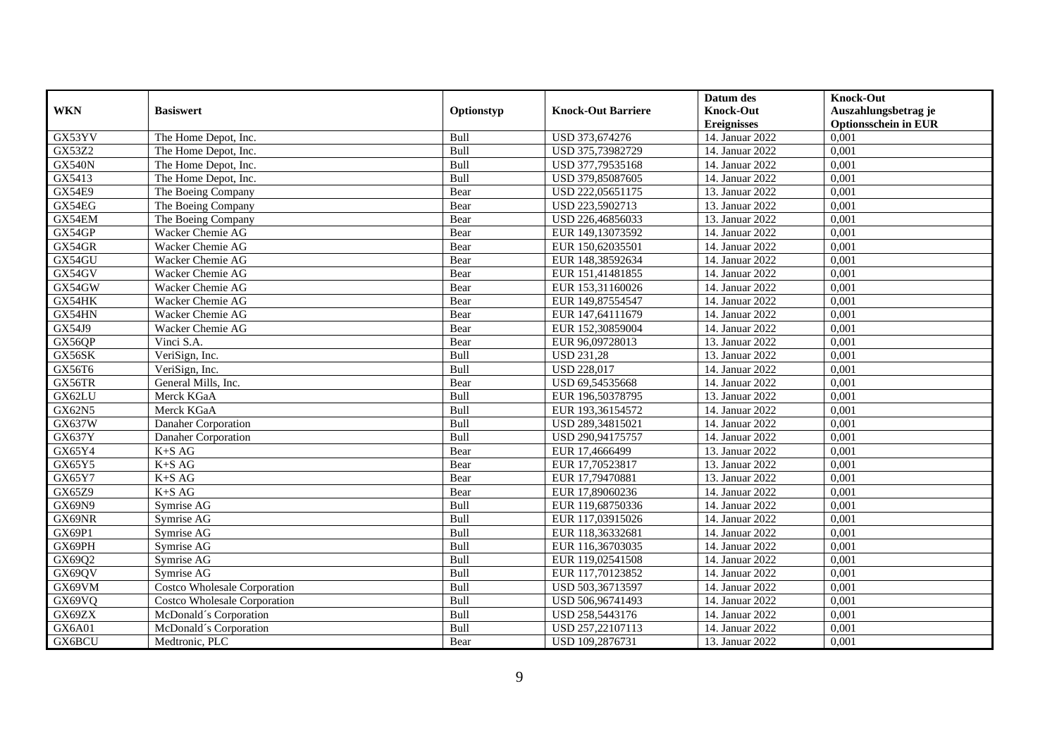|               |                                     |            |                           | Datum des          | <b>Knock-Out</b>            |
|---------------|-------------------------------------|------------|---------------------------|--------------------|-----------------------------|
| <b>WKN</b>    | <b>Basiswert</b>                    | Optionstyp | <b>Knock-Out Barriere</b> | <b>Knock-Out</b>   | Auszahlungsbetrag je        |
|               |                                     |            |                           | <b>Ereignisses</b> | <b>Optionsschein in EUR</b> |
| GX53YV        | The Home Depot, Inc.                | Bull       | USD 373,674276            | 14. Januar 2022    | 0,001                       |
| GX53Z2        | The Home Depot, Inc.                | Bull       | USD 375,73982729          | 14. Januar 2022    | 0,001                       |
| <b>GX540N</b> | The Home Depot, Inc.                | Bull       | USD 377,79535168          | 14. Januar 2022    | 0,001                       |
| GX5413        | The Home Depot, Inc.                | Bull       | USD 379,85087605          | 14. Januar 2022    | 0,001                       |
| <b>GX54E9</b> | The Boeing Company                  | Bear       | USD 222,05651175          | 13. Januar 2022    | 0,001                       |
| GX54EG        | The Boeing Company                  | Bear       | USD 223,5902713           | 13. Januar 2022    | 0,001                       |
| GX54EM        | The Boeing Company                  | Bear       | USD 226,46856033          | 13. Januar 2022    | 0,001                       |
| GX54GP        | Wacker Chemie AG                    | Bear       | EUR 149,13073592          | 14. Januar 2022    | 0,001                       |
| GX54GR        | Wacker Chemie AG                    | Bear       | EUR 150,62035501          | 14. Januar 2022    | 0,001                       |
| GX54GU        | Wacker Chemie AG                    | Bear       | EUR 148,38592634          | 14. Januar 2022    | 0,001                       |
| GX54GV        | Wacker Chemie AG                    | Bear       | EUR 151,41481855          | 14. Januar 2022    | 0,001                       |
| GX54GW        | Wacker Chemie AG                    | Bear       | EUR 153,31160026          | 14. Januar 2022    | 0,001                       |
| GX54HK        | Wacker Chemie AG                    | Bear       | EUR 149,87554547          | 14. Januar 2022    | 0,001                       |
| GX54HN        | Wacker Chemie AG                    | Bear       | EUR 147,64111679          | 14. Januar 2022    | 0,001                       |
| GX54J9        | Wacker Chemie AG                    | Bear       | EUR 152,30859004          | 14. Januar 2022    | 0,001                       |
| GX56QP        | Vinci S.A.                          | Bear       | EUR 96,09728013           | 13. Januar 2022    | 0,001                       |
| GX56SK        | VeriSign, Inc.                      | Bull       | <b>USD 231,28</b>         | 13. Januar 2022    | 0,001                       |
| GX56T6        | VeriSign, Inc.                      | Bull       | <b>USD 228,017</b>        | 14. Januar 2022    | 0,001                       |
| GX56TR        | General Mills, Inc.                 | Bear       | USD 69,54535668           | 14. Januar 2022    | 0,001                       |
| GX62LU        | Merck KGaA                          | Bull       | EUR 196,50378795          | 13. Januar 2022    | 0,001                       |
| GX62N5        | Merck KGaA                          | Bull       | EUR 193,36154572          | 14. Januar 2022    | 0,001                       |
| <b>GX637W</b> | Danaher Corporation                 | Bull       | USD 289,34815021          | 14. Januar 2022    | 0,001                       |
| <b>GX637Y</b> | Danaher Corporation                 | Bull       | USD 290,94175757          | 14. Januar 2022    | 0,001                       |
| GX65Y4        | $K+SAG$                             | Bear       | EUR 17,4666499            | 13. Januar 2022    | 0,001                       |
| GX65Y5        | $K+SAG$                             | Bear       | EUR 17,70523817           | 13. Januar 2022    | 0,001                       |
| GX65Y7        | $K+SAG$                             | Bear       | EUR 17,79470881           | 13. Januar 2022    | 0,001                       |
| GX65Z9        | $K+SAG$                             | Bear       | EUR 17,89060236           | 14. Januar 2022    | 0,001                       |
| GX69N9        | Symrise AG                          | Bull       | EUR 119,68750336          | 14. Januar 2022    | 0,001                       |
| GX69NR        | Symrise AG                          | Bull       | EUR 117,03915026          | 14. Januar 2022    | 0,001                       |
| GX69P1        | Symrise AG                          | Bull       | EUR 118,36332681          | 14. Januar 2022    | 0,001                       |
| GX69PH        | Symrise AG                          | Bull       | EUR 116,36703035          | 14. Januar 2022    | 0,001                       |
| GX69Q2        | Symrise AG                          | Bull       | EUR 119,02541508          | 14. Januar 2022    | 0,001                       |
| GX69QV        | Symrise AG                          | Bull       | EUR 117,70123852          | 14. Januar 2022    | 0,001                       |
| GX69VM        | <b>Costco Wholesale Corporation</b> | Bull       | USD 503,36713597          | 14. Januar 2022    | 0,001                       |
| GX69VQ        | <b>Costco Wholesale Corporation</b> | Bull       | USD 506,96741493          | 14. Januar 2022    | 0,001                       |
| GX69ZX        | McDonald's Corporation              | Bull       | USD 258,5443176           | 14. Januar 2022    | 0,001                       |
| GX6A01        | McDonald's Corporation              | Bull       | USD 257,22107113          | 14. Januar 2022    | 0,001                       |
| GX6BCU        | Medtronic, PLC                      | Bear       | USD 109,2876731           | 13. Januar 2022    | 0,001                       |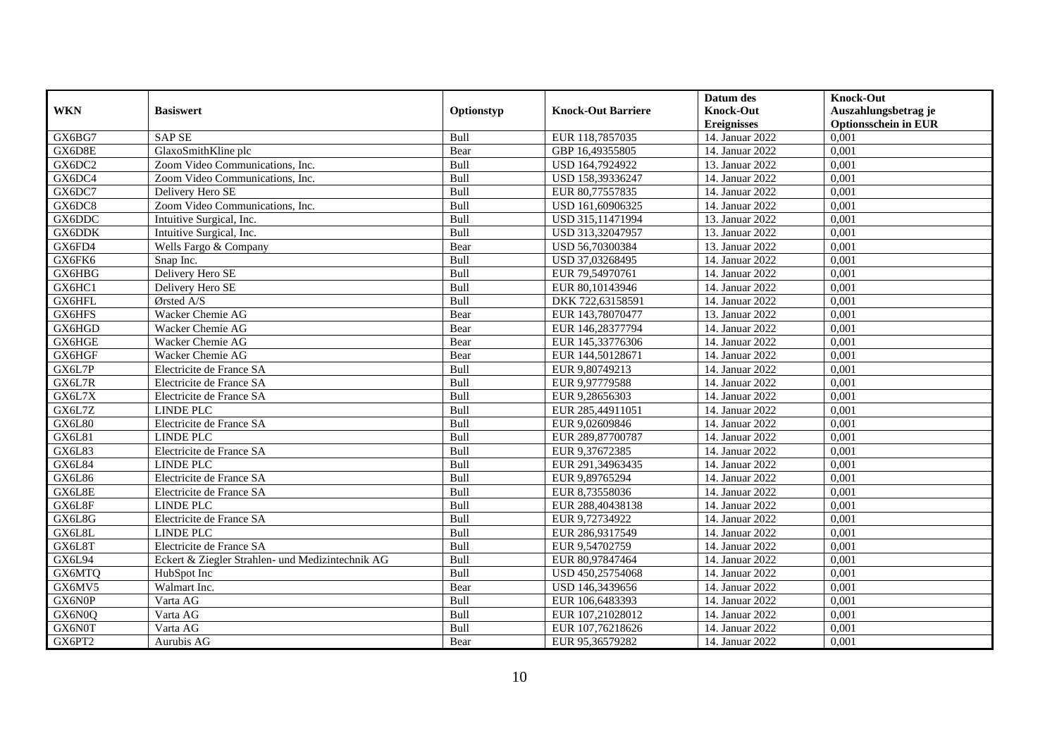|               |                                                  |            |                           | Datum des          | <b>Knock-Out</b>            |
|---------------|--------------------------------------------------|------------|---------------------------|--------------------|-----------------------------|
| <b>WKN</b>    | <b>Basiswert</b>                                 | Optionstyp | <b>Knock-Out Barriere</b> | <b>Knock-Out</b>   | Auszahlungsbetrag je        |
|               |                                                  |            |                           | <b>Ereignisses</b> | <b>Optionsschein in EUR</b> |
| GX6BG7        | <b>SAP SE</b>                                    | Bull       | EUR 118,7857035           | 14. Januar 2022    | 0,001                       |
| GX6D8E        | GlaxoSmithKline plc                              | Bear       | GBP 16,49355805           | 14. Januar 2022    | 0,001                       |
| GX6DC2        | Zoom Video Communications, Inc.                  | Bull       | USD 164,7924922           | 13. Januar 2022    | 0,001                       |
| GX6DC4        | Zoom Video Communications, Inc.                  | Bull       | USD 158,39336247          | 14. Januar 2022    | 0,001                       |
| GX6DC7        | Delivery Hero SE                                 | Bull       | EUR 80,77557835           | 14. Januar 2022    | 0,001                       |
| GX6DC8        | Zoom Video Communications, Inc.                  | Bull       | USD 161,60906325          | 14. Januar 2022    | 0,001                       |
| GX6DDC        | Intuitive Surgical, Inc.                         | Bull       | USD 315,11471994          | 13. Januar 2022    | 0,001                       |
| GX6DDK        | Intuitive Surgical, Inc.                         | Bull       | USD 313,32047957          | 13. Januar 2022    | 0,001                       |
| GX6FD4        | Wells Fargo & Company                            | Bear       | USD 56,70300384           | 13. Januar 2022    | 0,001                       |
| GX6FK6        | Snap Inc.                                        | Bull       | USD 37,03268495           | 14. Januar 2022    | 0,001                       |
| GX6HBG        | Delivery Hero SE                                 | Bull       | EUR 79,54970761           | 14. Januar 2022    | 0,001                       |
| GX6HC1        | Delivery Hero SE                                 | Bull       | EUR 80,10143946           | 14. Januar 2022    | 0,001                       |
| GX6HFL        | Ørsted A/S                                       | Bull       | DKK 722,63158591          | 14. Januar 2022    | 0,001                       |
| GX6HFS        | Wacker Chemie AG                                 | Bear       | EUR 143,78070477          | 13. Januar 2022    | 0.001                       |
| GX6HGD        | Wacker Chemie AG                                 | Bear       | EUR 146,28377794          | 14. Januar 2022    | 0,001                       |
| GX6HGE        | Wacker Chemie AG                                 | Bear       | EUR 145,33776306          | 14. Januar 2022    | 0,001                       |
| GX6HGF        | Wacker Chemie AG                                 | Bear       | EUR 144,50128671          | 14. Januar 2022    | 0,001                       |
| GX6L7P        | Electricite de France SA                         | Bull       | EUR 9,80749213            | 14. Januar 2022    | 0,001                       |
| GX6L7R        | Electricite de France SA                         | Bull       | EUR 9,97779588            | 14. Januar 2022    | 0,001                       |
| GX6L7X        | Electricite de France SA                         | Bull       | EUR 9,28656303            | 14. Januar 2022    | 0,001                       |
| GX6L7Z        | LINDE PLC                                        | Bull       | EUR 285,44911051          | 14. Januar 2022    | 0,001                       |
| GX6L80        | Electricite de France SA                         | Bull       | EUR 9,02609846            | 14. Januar 2022    | 0,001                       |
| <b>GX6L81</b> | <b>LINDE PLC</b>                                 | Bull       | EUR 289,87700787          | 14. Januar 2022    | 0,001                       |
| <b>GX6L83</b> | Electricite de France SA                         | Bull       | EUR 9,37672385            | 14. Januar 2022    | 0,001                       |
| <b>GX6L84</b> | <b>LINDE PLC</b>                                 | Bull       | EUR 291,34963435          | 14. Januar 2022    | 0,001                       |
| GX6L86        | Electricite de France SA                         | Bull       | EUR 9,89765294            | 14. Januar 2022    | 0,001                       |
| GX6L8E        | Electricite de France SA                         | Bull       | EUR 8,73558036            | 14. Januar 2022    | 0,001                       |
| GX6L8F        | <b>LINDE PLC</b>                                 | Bull       | EUR 288,40438138          | 14. Januar 2022    | 0,001                       |
| GX6L8G        | Electricite de France SA                         | Bull       | EUR 9,72734922            | 14. Januar 2022    | 0,001                       |
| GX6L8L        | <b>LINDE PLC</b>                                 | Bull       | EUR 286,9317549           | 14. Januar 2022    | 0,001                       |
| GX6L8T        | Electricite de France SA                         | Bull       | EUR 9,54702759            | 14. Januar 2022    | 0,001                       |
| GX6L94        | Eckert & Ziegler Strahlen- und Medizintechnik AG | Bull       | EUR 80,97847464           | 14. Januar 2022    | 0,001                       |
| GX6MTQ        | HubSpot Inc                                      | Bull       | USD 450,25754068          | 14. Januar 2022    | 0,001                       |
| GX6MV5        | Walmart Inc.                                     | Bear       | USD 146,3439656           | 14. Januar 2022    | 0,001                       |
| GX6N0P        | Varta AG                                         | Bull       | EUR 106,6483393           | 14. Januar 2022    | 0,001                       |
| GX6N0Q        | Varta AG                                         | Bull       | EUR 107,21028012          | 14. Januar 2022    | 0,001                       |
| GX6N0T        | Varta AG                                         | Bull       | EUR 107,76218626          | 14. Januar 2022    | 0,001                       |
| GX6PT2        | Aurubis AG                                       | Bear       | EUR 95,36579282           | 14. Januar 2022    | 0,001                       |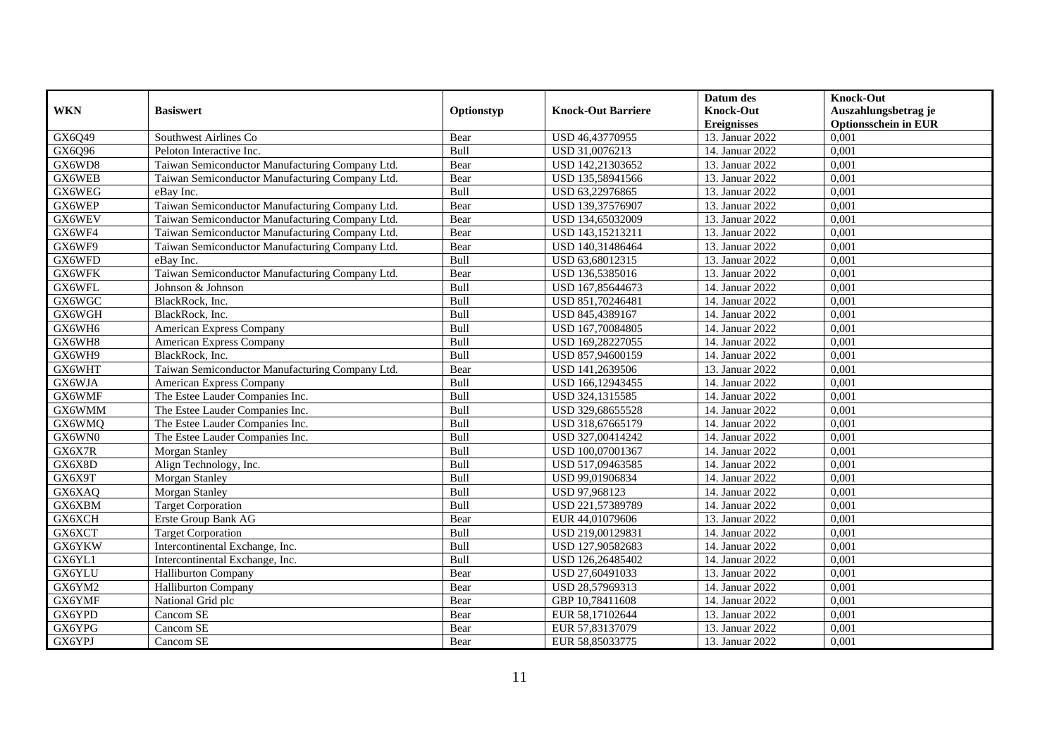|            |                                                 |            |                           | Datum des          | <b>Knock-Out</b>            |
|------------|-------------------------------------------------|------------|---------------------------|--------------------|-----------------------------|
| <b>WKN</b> | <b>Basiswert</b>                                | Optionstyp | <b>Knock-Out Barriere</b> | <b>Knock-Out</b>   | Auszahlungsbetrag je        |
|            |                                                 |            |                           | <b>Ereignisses</b> | <b>Optionsschein in EUR</b> |
| GX6Q49     | Southwest Airlines Co                           | Bear       | USD 46,43770955           | 13. Januar 2022    | 0,001                       |
| GX6Q96     | Peloton Interactive Inc.                        | Bull       | USD 31,0076213            | 14. Januar 2022    | 0,001                       |
| GX6WD8     | Taiwan Semiconductor Manufacturing Company Ltd. | Bear       | USD 142,21303652          | 13. Januar 2022    | 0,001                       |
| GX6WEB     | Taiwan Semiconductor Manufacturing Company Ltd. | Bear       | USD 135,58941566          | 13. Januar 2022    | 0,001                       |
| GX6WEG     | eBay Inc.                                       | Bull       | USD 63,22976865           | 13. Januar 2022    | 0,001                       |
| GX6WEP     | Taiwan Semiconductor Manufacturing Company Ltd. | Bear       | USD 139,37576907          | 13. Januar 2022    | 0,001                       |
| GX6WEV     | Taiwan Semiconductor Manufacturing Company Ltd. | Bear       | USD 134,65032009          | 13. Januar 2022    | 0,001                       |
| GX6WF4     | Taiwan Semiconductor Manufacturing Company Ltd. | Bear       | USD 143,15213211          | 13. Januar 2022    | 0,001                       |
| GX6WF9     | Taiwan Semiconductor Manufacturing Company Ltd. | Bear       | USD 140,31486464          | 13. Januar 2022    | 0,001                       |
| GX6WFD     | eBay Inc.                                       | Bull       | USD 63,68012315           | 13. Januar 2022    | 0,001                       |
| GX6WFK     | Taiwan Semiconductor Manufacturing Company Ltd. | Bear       | USD 136,5385016           | 13. Januar 2022    | 0,001                       |
| GX6WFL     | Johnson & Johnson                               | Bull       | USD 167,85644673          | 14. Januar 2022    | 0,001                       |
| GX6WGC     | BlackRock, Inc.                                 | Bull       | USD 851,70246481          | 14. Januar 2022    | 0,001                       |
| GX6WGH     | BlackRock. Inc.                                 | Bull       | USD 845,4389167           | 14. Januar 2022    | 0.001                       |
| GX6WH6     | <b>American Express Company</b>                 | Bull       | USD 167,70084805          | 14. Januar 2022    | 0,001                       |
| GX6WH8     | American Express Company                        | Bull       | USD 169,28227055          | 14. Januar 2022    | 0,001                       |
| GX6WH9     | BlackRock, Inc.                                 | Bull       | USD 857,94600159          | 14. Januar 2022    | 0,001                       |
| GX6WHT     | Taiwan Semiconductor Manufacturing Company Ltd. | Bear       | USD 141,2639506           | 13. Januar 2022    | 0,001                       |
| GX6WJA     | American Express Company                        | Bull       | USD 166,12943455          | 14. Januar 2022    | 0,001                       |
| GX6WMF     | The Estee Lauder Companies Inc.                 | Bull       | USD 324,1315585           | 14. Januar 2022    | 0,001                       |
| GX6WMM     | The Estee Lauder Companies Inc.                 | Bull       | USD 329,68655528          | 14. Januar 2022    | 0,001                       |
| GX6WMQ     | The Estee Lauder Companies Inc.                 | Bull       | USD 318,67665179          | 14. Januar 2022    | 0,001                       |
| GX6WN0     | The Estee Lauder Companies Inc.                 | Bull       | USD 327,00414242          | 14. Januar 2022    | 0,001                       |
| GX6X7R     | Morgan Stanley                                  | Bull       | USD 100,07001367          | 14. Januar 2022    | 0,001                       |
| GX6X8D     | Align Technology, Inc.                          | Bull       | USD 517,09463585          | 14. Januar 2022    | 0,001                       |
| GX6X9T     | Morgan Stanley                                  | Bull       | USD 99,01906834           | 14. Januar 2022    | 0,001                       |
| GX6XAQ     | Morgan Stanley                                  | Bull       | USD 97,968123             | 14. Januar 2022    | 0,001                       |
| GX6XBM     | <b>Target Corporation</b>                       | Bull       | USD 221,57389789          | 14. Januar 2022    | 0,001                       |
| GX6XCH     | Erste Group Bank AG                             | Bear       | EUR 44,01079606           | 13. Januar 2022    | 0,001                       |
| GX6XCT     | <b>Target Corporation</b>                       | Bull       | USD 219,00129831          | 14. Januar 2022    | 0,001                       |
| GX6YKW     | Intercontinental Exchange, Inc.                 | Bull       | USD 127,90582683          | 14. Januar 2022    | 0,001                       |
| GX6YL1     | Intercontinental Exchange, Inc.                 | Bull       | USD 126,26485402          | 14. Januar 2022    | 0,001                       |
| GX6YLU     | Halliburton Company                             | Bear       | USD 27,60491033           | 13. Januar 2022    | 0,001                       |
| GX6YM2     | <b>Halliburton Company</b>                      | Bear       | USD 28,57969313           | 14. Januar 2022    | 0,001                       |
| GX6YMF     | National Grid plc                               | Bear       | GBP 10,78411608           | 14. Januar 2022    | 0,001                       |
| GX6YPD     | Cancom SE                                       | Bear       | EUR 58,17102644           | 13. Januar 2022    | 0,001                       |
| GX6YPG     | Cancom SE                                       | Bear       | EUR 57,83137079           | 13. Januar 2022    | 0,001                       |
| GX6YPJ     | Cancom SE                                       | Bear       | EUR 58,85033775           | 13. Januar 2022    | 0,001                       |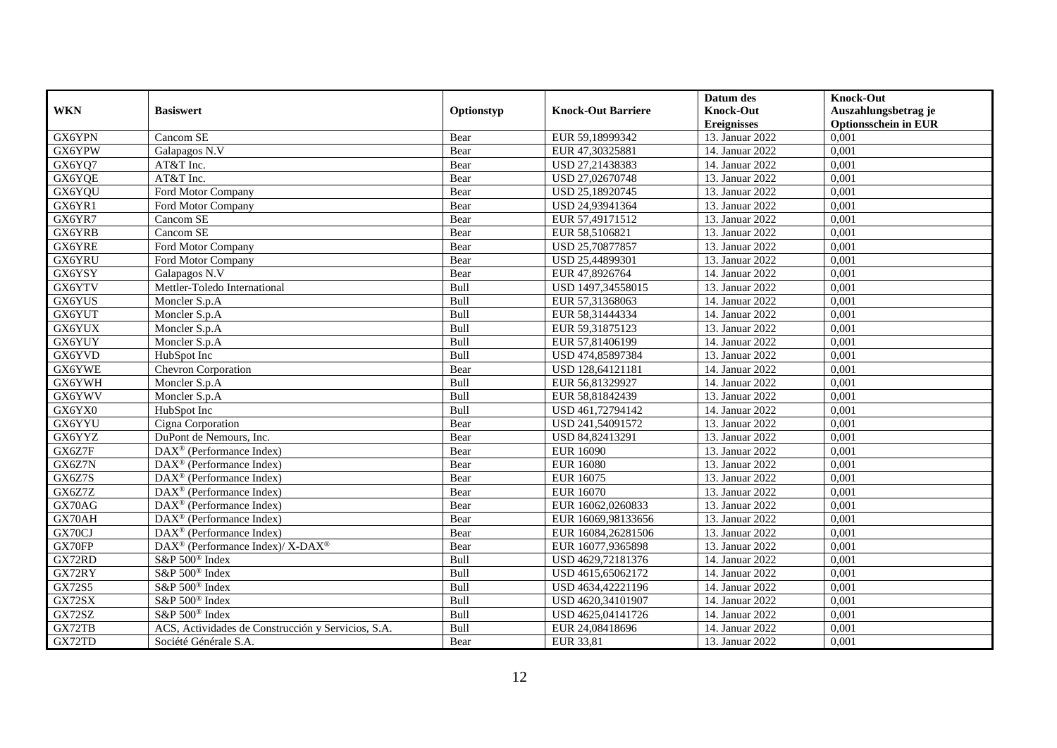|               |                                                          |            |                           | Datum des          | <b>Knock-Out</b>            |
|---------------|----------------------------------------------------------|------------|---------------------------|--------------------|-----------------------------|
| <b>WKN</b>    | <b>Basiswert</b>                                         | Optionstyp | <b>Knock-Out Barriere</b> | <b>Knock-Out</b>   | Auszahlungsbetrag je        |
|               |                                                          |            |                           | <b>Ereignisses</b> | <b>Optionsschein in EUR</b> |
| GX6YPN        | Cancom SE                                                | Bear       | EUR 59,18999342           | 13. Januar 2022    | 0,001                       |
| GX6YPW        | Galapagos N.V                                            | Bear       | EUR 47,30325881           | 14. Januar 2022    | 0,001                       |
| GX6YQ7        | AT&T Inc.                                                | Bear       | USD 27,21438383           | 14. Januar 2022    | 0,001                       |
| GX6YQE        | AT&T Inc.                                                | Bear       | USD 27,02670748           | 13. Januar 2022    | 0,001                       |
| GX6YQU        | Ford Motor Company                                       | Bear       | USD 25,18920745           | 13. Januar 2022    | 0,001                       |
| GX6YR1        | Ford Motor Company                                       | Bear       | USD 24,93941364           | 13. Januar 2022    | 0,001                       |
| GX6YR7        | Cancom SE                                                | Bear       | EUR 57,49171512           | 13. Januar 2022    | 0,001                       |
| GX6YRB        | Cancom SE                                                | Bear       | EUR 58,5106821            | 13. Januar 2022    | 0,001                       |
| GX6YRE        | Ford Motor Company                                       | Bear       | USD 25,70877857           | 13. Januar 2022    | 0,001                       |
| GX6YRU        | Ford Motor Company                                       | Bear       | USD 25,44899301           | 13. Januar 2022    | 0,001                       |
| GX6YSY        | Galapagos N.V                                            | Bear       | EUR 47,8926764            | 14. Januar 2022    | 0,001                       |
| GX6YTV        | Mettler-Toledo International                             | Bull       | USD 1497,34558015         | 13. Januar 2022    | 0,001                       |
| GX6YUS        | Moncler S.p.A                                            | Bull       | EUR 57,31368063           | 14. Januar 2022    | 0,001                       |
| GX6YUT        | Moncler S.p.A                                            | Bull       | EUR 58,31444334           | 14. Januar 2022    | 0,001                       |
| GX6YUX        | Moncler S.p.A                                            | Bull       | EUR 59,31875123           | 13. Januar 2022    | 0,001                       |
| GX6YUY        | Moncler S.p.A                                            | Bull       | EUR 57,81406199           | 14. Januar 2022    | 0,001                       |
| GX6YVD        | HubSpot Inc                                              | Bull       | USD 474,85897384          | 13. Januar 2022    | 0,001                       |
| GX6YWE        | Chevron Corporation                                      | Bear       | USD 128,64121181          | 14. Januar 2022    | 0,001                       |
| GX6YWH        | Moncler S.p.A                                            | Bull       | EUR 56,81329927           | 14. Januar 2022    | 0,001                       |
| GX6YWV        | Moncler S.p.A                                            | Bull       | EUR 58,81842439           | 13. Januar 2022    | 0,001                       |
| GX6YX0        | HubSpot Inc                                              | Bull       | USD 461,72794142          | 14. Januar 2022    | 0,001                       |
| GX6YYU        | Cigna Corporation                                        | Bear       | USD 241,54091572          | 13. Januar 2022    | 0,001                       |
| GX6YYZ        | DuPont de Nemours, Inc.                                  | Bear       | USD 84,82413291           | 13. Januar 2022    | 0,001                       |
| GX6Z7F        | $DAX^{\circledR}$ (Performance Index)                    | Bear       | <b>EUR 16090</b>          | 13. Januar 2022    | 0,001                       |
| GX6Z7N        | $DAX^{\circledR}$ (Performance Index)                    | Bear       | <b>EUR 16080</b>          | 13. Januar 2022    | 0,001                       |
| GX6Z7S        | DAX <sup>®</sup> (Performance Index)                     | Bear       | EUR 16075                 | 13. Januar 2022    | 0,001                       |
| GX6Z7Z        | DAX <sup>®</sup> (Performance Index)                     | Bear       | <b>EUR 16070</b>          | 13. Januar 2022    | 0,001                       |
| GX70AG        | $\overline{\text{DAX}^{\otimes}}$ (Performance Index)    | Bear       | EUR 16062,0260833         | 13. Januar 2022    | 0,001                       |
| GX70AH        | DAX <sup>®</sup> (Performance Index)                     | Bear       | EUR 16069,98133656        | 13. Januar 2022    | 0,001                       |
| GX70CJ        | $DAX^{\circledcirc}$ (Performance Index)                 | Bear       | EUR 16084,26281506        | 13. Januar 2022    | 0.001                       |
| GX70FP        | DAX <sup>®</sup> (Performance Index)/ X-DAX <sup>®</sup> | Bear       | EUR 16077,9365898         | 13. Januar 2022    | 0,001                       |
| GX72RD        | S&P 500 <sup>®</sup> Index                               | Bull       | USD 4629,72181376         | 14. Januar 2022    | 0,001                       |
| GX72RY        | S&P 500 <sup>®</sup> Index                               | Bull       | USD 4615,65062172         | 14. Januar 2022    | 0,001                       |
| <b>GX72S5</b> | S&P 500 <sup>®</sup> Index                               | Bull       | USD 4634,42221196         | 14. Januar 2022    | 0,001                       |
| GX72SX        | S&P 500 <sup>®</sup> Index                               | Bull       | USD 4620,34101907         | 14. Januar 2022    | 0,001                       |
| GX72SZ        | S&P 500 <sup>®</sup> Index                               | Bull       | USD 4625,04141726         | 14. Januar 2022    | 0,001                       |
| GX72TB        | ACS, Actividades de Construcción y Servicios, S.A.       | Bull       | EUR 24,08418696           | 14. Januar 2022    | 0,001                       |
| GX72TD        | Société Générale S.A.                                    | Bear       | EUR 33,81                 | 13. Januar 2022    | 0,001                       |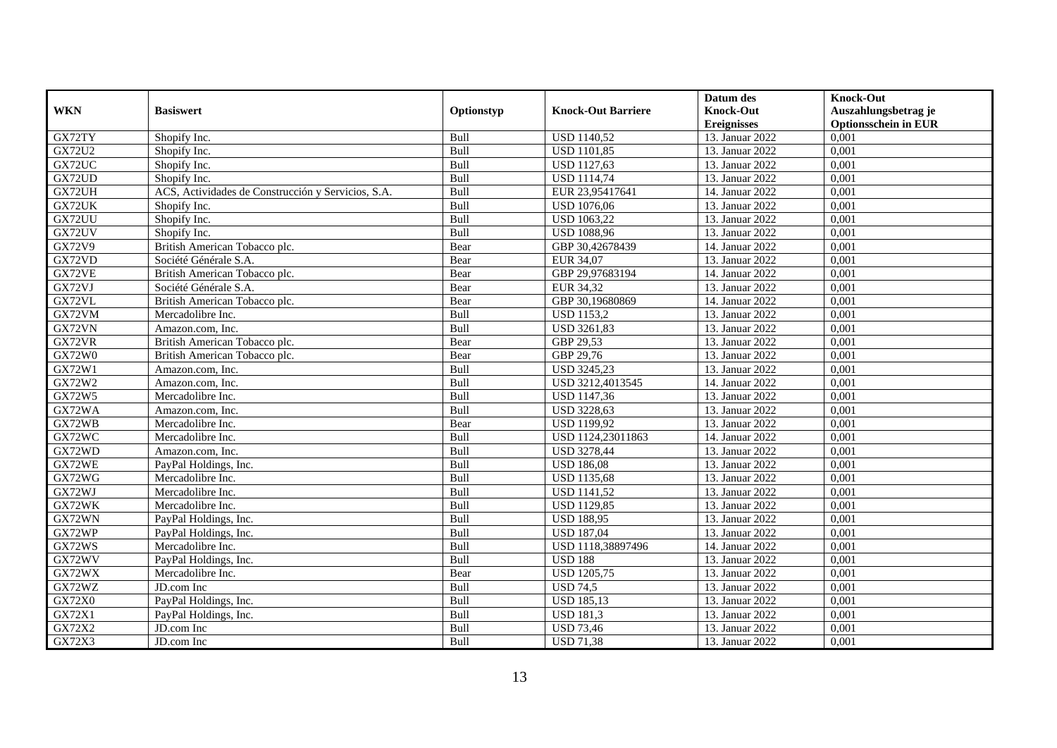|               |                                                    |            |                           | Datum des          | <b>Knock-Out</b>            |
|---------------|----------------------------------------------------|------------|---------------------------|--------------------|-----------------------------|
| <b>WKN</b>    | <b>Basiswert</b>                                   | Optionstyp | <b>Knock-Out Barriere</b> | <b>Knock-Out</b>   | Auszahlungsbetrag je        |
|               |                                                    |            |                           | <b>Ereignisses</b> | <b>Optionsschein in EUR</b> |
| GX72TY        | Shopify Inc.                                       | Bull       | <b>USD 1140,52</b>        | 13. Januar 2022    | 0,001                       |
| <b>GX72U2</b> | Shopify Inc.                                       | Bull       | <b>USD 1101,85</b>        | 13. Januar 2022    | 0,001                       |
| GX72UC        | Shopify Inc.                                       | Bull       | <b>USD 1127,63</b>        | 13. Januar 2022    | 0,001                       |
| GX72UD        | Shopify Inc.                                       | Bull       | <b>USD 1114,74</b>        | 13. Januar 2022    | 0,001                       |
| GX72UH        | ACS, Actividades de Construcción y Servicios, S.A. | Bull       | EUR 23,95417641           | 14. Januar 2022    | 0,001                       |
| GX72UK        | Shopify Inc.                                       | Bull       | <b>USD 1076,06</b>        | 13. Januar 2022    | 0,001                       |
| GX72UU        | Shopify Inc.                                       | Bull       | <b>USD 1063,22</b>        | 13. Januar 2022    | 0,001                       |
| GX72UV        | Shopify Inc.                                       | Bull       | <b>USD 1088,96</b>        | 13. Januar 2022    | 0,001                       |
| GX72V9        | British American Tobacco plc.                      | Bear       | GBP 30,42678439           | 14. Januar 2022    | 0,001                       |
| GX72VD        | Société Générale S.A.                              | Bear       | EUR 34,07                 | 13. Januar 2022    | 0,001                       |
| GX72VE        | British American Tobacco plc.                      | Bear       | GBP 29,97683194           | 14. Januar 2022    | 0,001                       |
| GX72VJ        | Société Générale S.A.                              | Bear       | EUR 34,32                 | 13. Januar 2022    | 0,001                       |
| GX72VL        | British American Tobacco plc.                      | Bear       | GBP 30,19680869           | 14. Januar 2022    | 0,001                       |
| GX72VM        | Mercadolibre Inc.                                  | Bull       | <b>USD 1153,2</b>         | 13. Januar 2022    | 0,001                       |
| GX72VN        | Amazon.com, Inc.                                   | Bull       | <b>USD 3261,83</b>        | 13. Januar 2022    | 0,001                       |
| GX72VR        | British American Tobacco plc.                      | Bear       | GBP 29,53                 | 13. Januar 2022    | 0,001                       |
| <b>GX72W0</b> | British American Tobacco plc.                      | Bear       | GBP 29,76                 | 13. Januar 2022    | 0,001                       |
| GX72W1        | Amazon.com. Inc.                                   | Bull       | <b>USD 3245,23</b>        | 13. Januar 2022    | 0,001                       |
| GX72W2        | Amazon.com, Inc.                                   | Bull       | USD 3212,4013545          | 14. Januar 2022    | 0,001                       |
| GX72W5        | Mercadolibre Inc.                                  | Bull       | USD 1147,36               | 13. Januar 2022    | 0,001                       |
| GX72WA        | Amazon.com, Inc.                                   | Bull       | <b>USD 3228,63</b>        | 13. Januar 2022    | 0,001                       |
| GX72WB        | Mercadolibre Inc.                                  | Bear       | <b>USD 1199,92</b>        | 13. Januar 2022    | $0,\overline{001}$          |
| GX72WC        | Mercadolibre Inc.                                  | Bull       | USD 1124,23011863         | 14. Januar 2022    | 0,001                       |
| GX72WD        | Amazon.com, Inc.                                   | Bull       | <b>USD 3278,44</b>        | 13. Januar 2022    | 0,001                       |
| GX72WE        | PayPal Holdings, Inc.                              | Bull       | <b>USD 186,08</b>         | 13. Januar 2022    | 0,001                       |
| GX72WG        | Mercadolibre Inc.                                  | Bull       | <b>USD 1135,68</b>        | 13. Januar 2022    | 0,001                       |
| GX72WJ        | Mercadolibre Inc.                                  | Bull       | <b>USD 1141,52</b>        | 13. Januar 2022    | 0,001                       |
| GX72WK        | Mercadolibre Inc.                                  | Bull       | <b>USD 1129,85</b>        | 13. Januar 2022    | 0,001                       |
| GX72WN        | PayPal Holdings, Inc.                              | Bull       | <b>USD 188,95</b>         | 13. Januar 2022    | 0,001                       |
| GX72WP        | PayPal Holdings, Inc.                              | Bull       | <b>USD 187,04</b>         | 13. Januar 2022    | 0,001                       |
| GX72WS        | Mercadolibre Inc.                                  | Bull       | USD 1118,38897496         | 14. Januar 2022    | 0,001                       |
| GX72WV        | PayPal Holdings, Inc.                              | Bull       | <b>USD 188</b>            | 13. Januar 2022    | 0,001                       |
| GX72WX        | Mercadolibre Inc.                                  | Bear       | <b>USD 1205,75</b>        | 13. Januar 2022    | 0,001                       |
| GX72WZ        | JD.com Inc                                         | Bull       | <b>USD 74,5</b>           | 13. Januar 2022    | 0,001                       |
| <b>GX72X0</b> | PayPal Holdings, Inc.                              | Bull       | <b>USD 185,13</b>         | 13. Januar 2022    | 0,001                       |
| GX72X1        | PayPal Holdings, Inc.                              | Bull       | <b>USD 181,3</b>          | 13. Januar 2022    | 0,001                       |
| GX72X2        | JD.com Inc                                         | Bull       | <b>USD 73,46</b>          | 13. Januar 2022    | 0,001                       |
| GX72X3        | JD.com Inc                                         | Bull       | <b>USD 71,38</b>          | 13. Januar 2022    | 0,001                       |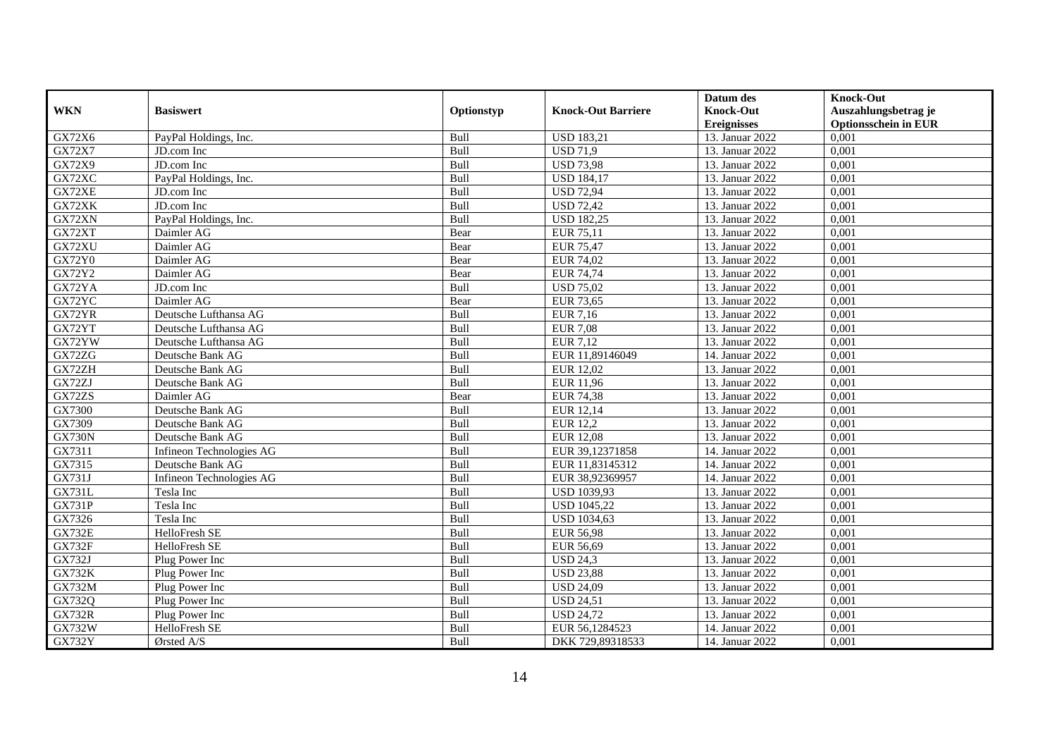|               |                          |             |                           | Datum des          | <b>Knock-Out</b>            |
|---------------|--------------------------|-------------|---------------------------|--------------------|-----------------------------|
| <b>WKN</b>    | <b>Basiswert</b>         | Optionstyp  | <b>Knock-Out Barriere</b> | <b>Knock-Out</b>   | Auszahlungsbetrag je        |
|               |                          |             |                           | <b>Ereignisses</b> | <b>Optionsschein in EUR</b> |
| GX72X6        | PayPal Holdings, Inc.    | Bull        | <b>USD 183,21</b>         | 13. Januar 2022    | 0,001                       |
| GX72X7        | JD.com Inc               | Bull        | <b>USD 71,9</b>           | 13. Januar 2022    | 0,001                       |
| GX72X9        | JD.com Inc               | Bull        | <b>USD 73,98</b>          | 13. Januar 2022    | 0,001                       |
| GX72XC        | PayPal Holdings, Inc.    | Bull        | <b>USD 184,17</b>         | 13. Januar 2022    | 0,001                       |
| GX72XE        | JD.com Inc               | Bull        | <b>USD 72,94</b>          | 13. Januar 2022    | 0,001                       |
| GX72XK        | JD.com Inc               | Bull        | <b>USD 72,42</b>          | 13. Januar 2022    | 0,001                       |
| GX72XN        | PayPal Holdings, Inc.    | <b>Bull</b> | <b>USD 182,25</b>         | 13. Januar 2022    | 0,001                       |
| GX72XT        | Daimler AG               | Bear        | EUR 75,11                 | 13. Januar 2022    | 0,001                       |
| GX72XU        | Daimler AG               | Bear        | <b>EUR 75,47</b>          | 13. Januar 2022    | 0,001                       |
| <b>GX72Y0</b> | Daimler AG               | Bear        | EUR 74,02                 | 13. Januar 2022    | 0,001                       |
| <b>GX72Y2</b> | Daimler AG               | Bear        | <b>EUR 74,74</b>          | 13. Januar 2022    | 0,001                       |
| GX72YA        | JD.com Inc               | Bull        | <b>USD 75,02</b>          | 13. Januar 2022    | 0,001                       |
| GX72YC        | Daimler AG               | Bear        | <b>EUR 73,65</b>          | 13. Januar 2022    | 0,001                       |
| GX72YR        | Deutsche Lufthansa AG    | <b>Bull</b> | <b>EUR 7,16</b>           | 13. Januar 2022    | 0.001                       |
| GX72YT        | Deutsche Lufthansa AG    | Bull        | <b>EUR 7,08</b>           | 13. Januar 2022    | 0,001                       |
| GX72YW        | Deutsche Lufthansa AG    | Bull        | <b>EUR 7,12</b>           | 13. Januar 2022    | 0,001                       |
| GX72ZG        | Deutsche Bank AG         | Bull        | EUR 11,89146049           | 14. Januar 2022    | 0,001                       |
| GX72ZH        | Deutsche Bank AG         | Bull        | <b>EUR 12,02</b>          | 13. Januar 2022    | 0,001                       |
| GX72ZJ        | Deutsche Bank AG         | Bull        | EUR 11,96                 | 13. Januar 2022    | 0,001                       |
| GX72ZS        | Daimler AG               | Bear        | <b>EUR 74,38</b>          | 13. Januar 2022    | 0,001                       |
| GX7300        | Deutsche Bank AG         | Bull        | <b>EUR 12,14</b>          | 13. Januar 2022    | 0,001                       |
| GX7309        | Deutsche Bank AG         | Bull        | <b>EUR 12,2</b>           | 13. Januar 2022    | 0,001                       |
| <b>GX730N</b> | Deutsche Bank AG         | Bull        | <b>EUR 12,08</b>          | 13. Januar 2022    | 0,001                       |
| GX7311        | Infineon Technologies AG | Bull        | EUR 39,12371858           | 14. Januar 2022    | 0,001                       |
| GX7315        | Deutsche Bank AG         | Bull        | EUR 11,83145312           | 14. Januar 2022    | 0,001                       |
| GX731J        | Infineon Technologies AG | Bull        | EUR 38,92369957           | 14. Januar 2022    | 0,001                       |
| <b>GX731L</b> | Tesla Inc                | Bull        | <b>USD 1039,93</b>        | 13. Januar 2022    | 0,001                       |
| <b>GX731P</b> | Tesla Inc                | Bull        | <b>USD 1045,22</b>        | 13. Januar 2022    | 0,001                       |
| GX7326        | Tesla Inc                | Bull        | <b>USD 1034,63</b>        | 13. Januar 2022    | 0,001                       |
| <b>GX732E</b> | HelloFresh SE            | Bull        | <b>EUR 56,98</b>          | 13. Januar 2022    | 0,001                       |
| <b>GX732F</b> | HelloFresh SE            | Bull        | EUR 56,69                 | 13. Januar 2022    | 0,001                       |
| <b>GX732J</b> | Plug Power Inc           | Bull        | <b>USD 24,3</b>           | 13. Januar 2022    | 0,001                       |
| <b>GX732K</b> | Plug Power Inc           | Bull        | <b>USD 23,88</b>          | 13. Januar 2022    | 0,001                       |
| <b>GX732M</b> | Plug Power Inc           | Bull        | <b>USD 24,09</b>          | 13. Januar 2022    | 0,001                       |
| GX732Q        | Plug Power Inc           | Bull        | <b>USD 24,51</b>          | 13. Januar 2022    | 0,001                       |
| <b>GX732R</b> | Plug Power Inc           | Bull        | <b>USD 24,72</b>          | 13. Januar 2022    | 0,001                       |
| GX732W        | HelloFresh SE            | Bull        | EUR 56,1284523            | 14. Januar 2022    | 0,001                       |
| GX732Y        | Ørsted A/S               | Bull        | DKK 729,89318533          | 14. Januar 2022    | 0,001                       |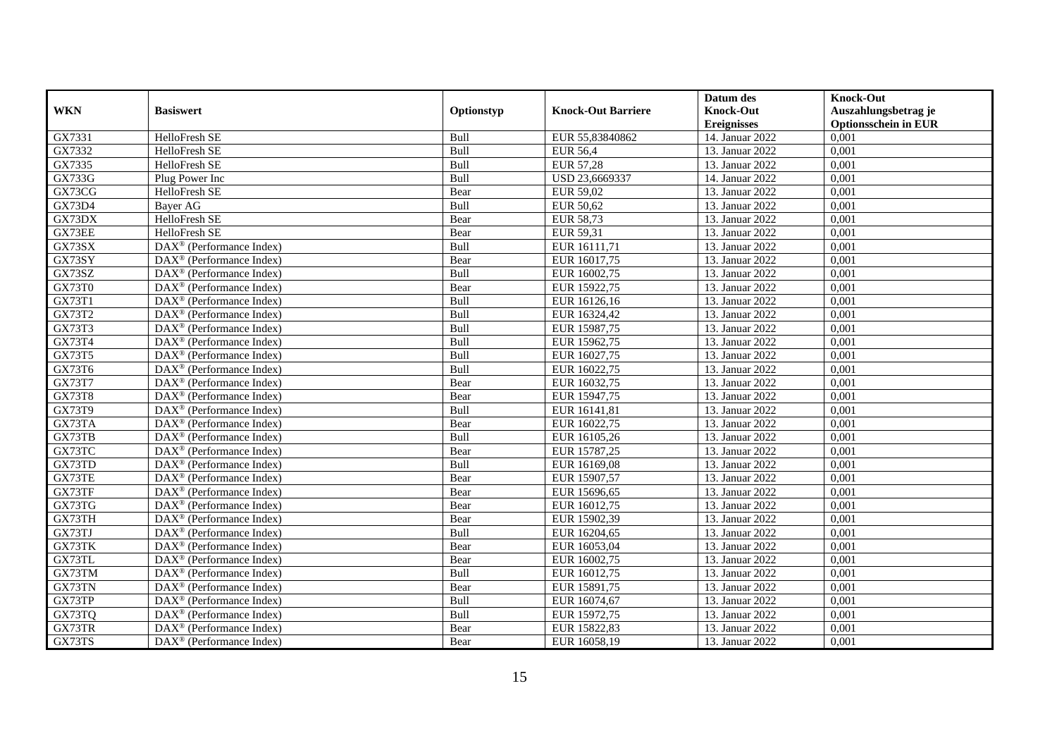|               |                                                         |             |                           | Datum des          | <b>Knock-Out</b>            |
|---------------|---------------------------------------------------------|-------------|---------------------------|--------------------|-----------------------------|
| <b>WKN</b>    | <b>Basiswert</b>                                        | Optionstyp  | <b>Knock-Out Barriere</b> | <b>Knock-Out</b>   | Auszahlungsbetrag je        |
|               |                                                         |             |                           | <b>Ereignisses</b> | <b>Optionsschein in EUR</b> |
| GX7331        | HelloFresh SE                                           | Bull        | EUR 55,83840862           | 14. Januar 2022    | 0,001                       |
| GX7332        | HelloFresh SE                                           | Bull        | <b>EUR 56,4</b>           | 13. Januar 2022    | 0,001                       |
| GX7335        | HelloFresh SE                                           | Bull        | <b>EUR 57,28</b>          | 13. Januar 2022    | 0,001                       |
| <b>GX733G</b> | Plug Power Inc                                          | Bull        | USD 23,6669337            | 14. Januar 2022    | 0,001                       |
| GX73CG        | HelloFresh SE                                           | Bear        | EUR 59,02                 | 13. Januar 2022    | 0,001                       |
| GX73D4        | Bayer AG                                                | Bull        | <b>EUR 50,62</b>          | 13. Januar 2022    | 0,001                       |
| GX73DX        | HelloFresh SE                                           | Bear        | <b>EUR 58,73</b>          | 13. Januar 2022    | 0,001                       |
| GX73EE        | HelloFresh SE                                           | Bear        | EUR 59,31                 | 13. Januar 2022    | 0,001                       |
| GX73SX        | DAX <sup>®</sup> (Performance Index)                    | Bull        | EUR 16111,71              | 13. Januar 2022    | 0,001                       |
| GX73SY        | $DAX^{\circledast}$ (Performance Index)                 | Bear        | EUR 16017,75              | 13. Januar 2022    | 0,001                       |
| GX73SZ        | $\overline{\text{DAX}}^{\textcirc}$ (Performance Index) | Bull        | EUR 16002,75              | 13. Januar 2022    | 0,001                       |
| <b>GX73T0</b> | DAX <sup>®</sup> (Performance Index)                    | Bear        | EUR 15922,75              | 13. Januar 2022    | 0,001                       |
| GX73T1        | $\text{DAX}^{\circledast}$ (Performance Index)          | Bull        | EUR 16126,16              | 13. Januar 2022    | 0,001                       |
| GX73T2        | DAX <sup>®</sup> (Performance Index)                    | Bull        | EUR 16324,42              | 13. Januar 2022    | 0,001                       |
| GX73T3        | DAX <sup>®</sup> (Performance Index)                    | Bull        | EUR 15987,75              | 13. Januar 2022    | 0,001                       |
| GX73T4        | DAX <sup>®</sup> (Performance Index)                    | Bull        | EUR 15962,75              | 13. Januar 2022    | 0,001                       |
| GX73T5        | DAX <sup>®</sup> (Performance Index)                    | Bull        | EUR 16027,75              | 13. Januar 2022    | 0,001                       |
| GX73T6        | $DAX^{\circledR}$ (Performance Index)                   | <b>Bull</b> | EUR 16022,75              | 13. Januar 2022    | 0,001                       |
| <b>GX73T7</b> | $\text{DAX}^{\otimes}$ (Performance Index)              | Bear        | EUR 16032,75              | 13. Januar 2022    | 0,001                       |
| <b>GX73T8</b> | DAX <sup>®</sup> (Performance Index)                    | Bear        | EUR 15947,75              | 13. Januar 2022    | 0,001                       |
| GX73T9        | DAX <sup>®</sup> (Performance Index)                    | Bull        | EUR 16141,81              | 13. Januar 2022    | 0,001                       |
| GX73TA        | $DAX^{\circledast}$ (Performance Index)                 | Bear        | EUR 16022,75              | 13. Januar 2022    | 0,001                       |
| GX73TB        | $\text{DAX}^{\circledast}$ (Performance Index)          | Bull        | EUR 16105,26              | 13. Januar 2022    | 0,001                       |
| GX73TC        | DAX <sup>®</sup> (Performance Index)                    | Bear        | EUR 15787,25              | 13. Januar 2022    | 0,001                       |
| GX73TD        | $DAX^{\circledR}$ (Performance Index)                   | Bull        | EUR 16169,08              | 13. Januar 2022    | 0,001                       |
| GX73TE        | $\text{DAX}^{\otimes}$ (Performance Index)              | Bear        | EUR 15907,57              | 13. Januar 2022    | 0,001                       |
| GX73TF        | $\text{DAX}^{\circledast}$ (Performance Index)          | Bear        | EUR 15696,65              | 13. Januar 2022    | 0,001                       |
| GX73TG        | $DAX^{\otimes}$ (Performance Index)                     | Bear        | EUR 16012,75              | 13. Januar 2022    | 0,001                       |
| GX73TH        | $DAX^{\circledast}$ (Performance Index)                 | Bear        | EUR 15902,39              | 13. Januar 2022    | 0,001                       |
| GX73TJ        | $DAX^{\circledR}$ (Performance Index)                   | Bull        | EUR 16204,65              | 13. Januar 2022    | 0,001                       |
| GX73TK        | DAX <sup>®</sup> (Performance Index)                    | Bear        | EUR 16053,04              | 13. Januar 2022    | 0,001                       |
| GX73TL        | $\text{DAX}^{\circledast}$ (Performance Index)          | Bear        | EUR 16002,75              | 13. Januar 2022    | 0,001                       |
| GX73TM        | DAX <sup>®</sup> (Performance Index)                    | Bull        | EUR 16012,75              | 13. Januar 2022    | 0,001                       |
| GX73TN        | $\text{DAX}^{\circledast}$ (Performance Index)          | Bear        | EUR 15891,75              | 13. Januar 2022    | 0,001                       |
| GX73TP        | $\text{DAX}^{\otimes}$ (Performance Index)              | Bull        | EUR 16074,67              | 13. Januar 2022    | 0,001                       |
| GX73TQ        | $\text{DAX}^{\circledast}$ (Performance Index)          | Bull        | EUR 15972,75              | 13. Januar 2022    | 0,001                       |
| GX73TR        | $\text{DAX}^{\circledast}$ (Performance Index)          | Bear        | EUR 15822,83              | 13. Januar 2022    | 0,001                       |
| GX73TS        | $\text{DAX}^{\otimes}$ (Performance Index)              | Bear        | EUR 16058,19              | 13. Januar 2022    | 0,001                       |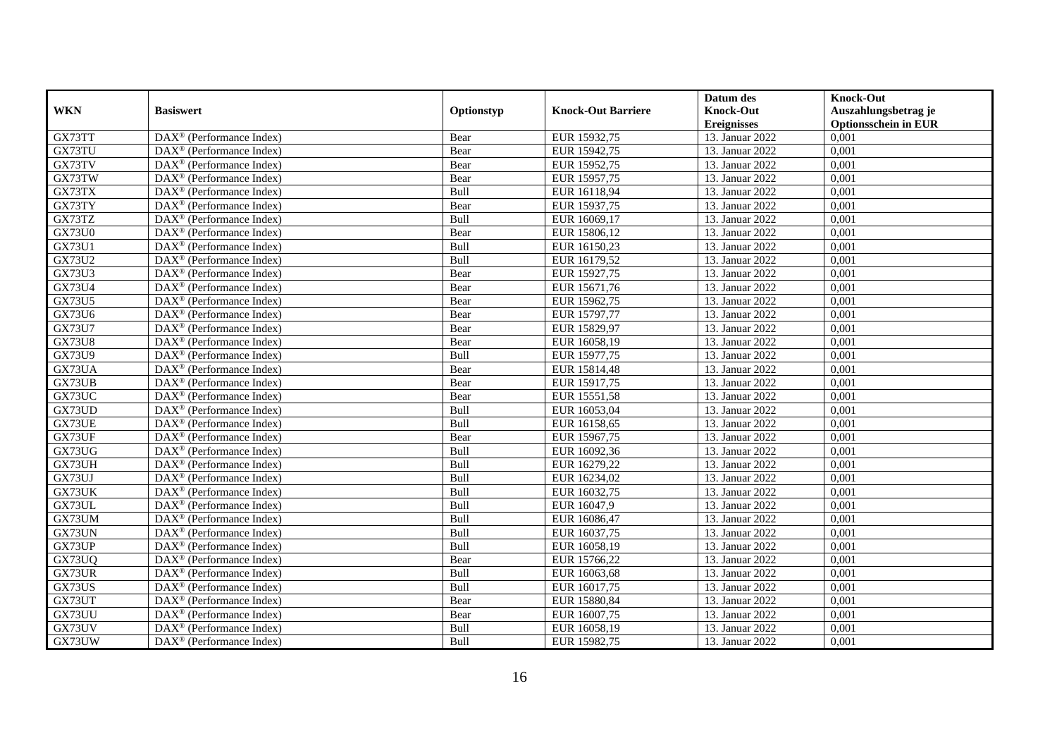|               |                                                         |            |                           | Datum des          | <b>Knock-Out</b>            |
|---------------|---------------------------------------------------------|------------|---------------------------|--------------------|-----------------------------|
| <b>WKN</b>    | <b>Basiswert</b>                                        | Optionstyp | <b>Knock-Out Barriere</b> | <b>Knock-Out</b>   | Auszahlungsbetrag je        |
|               |                                                         |            |                           | <b>Ereignisses</b> | <b>Optionsschein in EUR</b> |
| GX73TT        | DAX <sup>®</sup> (Performance Index)                    | Bear       | EUR 15932,75              | 13. Januar 2022    | 0,001                       |
| GX73TU        | $DAX^{\circledcirc}$ (Performance Index)                | Bear       | EUR 15942,75              | 13. Januar 2022    | 0,001                       |
| GX73TV        | DAX <sup>®</sup> (Performance Index)                    | Bear       | EUR 15952,75              | 13. Januar 2022    | 0,001                       |
| GX73TW        | $\text{DAX}^{\otimes}$ (Performance Index)              | Bear       | EUR 15957,75              | 13. Januar 2022    | 0,001                       |
| GX73TX        | DAX <sup>®</sup> (Performance Index)                    | Bull       | EUR 16118,94              | 13. Januar 2022    | 0,001                       |
| GX73TY        | $\text{DAX}^{\textcircled{}}$ (Performance Index)       | Bear       | EUR 15937,75              | 13. Januar 2022    | 0,001                       |
| GX73TZ        | $\text{DAX}^{\otimes}$ (Performance Index)              | Bull       | EUR 16069,17              | 13. Januar 2022    | 0,001                       |
| <b>GX73U0</b> | $DAX^{\circledR}$ (Performance Index)                   | Bear       | EUR 15806,12              | 13. Januar 2022    | 0,001                       |
| <b>GX73U1</b> | $DAX^{\circledR}$ (Performance Index)                   | Bull       | EUR 16150,23              | 13. Januar 2022    | 0,001                       |
| <b>GX73U2</b> | $DAX^{\circledR}$ (Performance Index)                   | Bull       | EUR 16179,52              | 13. Januar 2022    | 0,001                       |
| <b>GX73U3</b> | $\overline{\text{DAX}}^{\textcirc}$ (Performance Index) | Bear       | EUR 15927,75              | 13. Januar 2022    | 0,001                       |
| GX73U4        | $\overline{\text{DAX}^{\otimes}}$ (Performance Index)   | Bear       | EUR 15671,76              | 13. Januar 2022    | 0,001                       |
| <b>GX73U5</b> | $DAX^{\circledast}$ (Performance Index)                 | Bear       | EUR 15962,75              | 13. Januar 2022    | 0,001                       |
| GX73U6        | DAX <sup>®</sup> (Performance Index)                    | Bear       | EUR 15797,77              | 13. Januar 2022    | 0,001                       |
| <b>GX73U7</b> | $\text{DAX}^{\otimes}$ (Performance Index)              | Bear       | EUR 15829,97              | 13. Januar 2022    | 0,001                       |
| <b>GX73U8</b> | $\text{DAX}^{\otimes}$ (Performance Index)              | Bear       | EUR 16058,19              | 13. Januar 2022    | 0,001                       |
| GX73U9        | $DAX^{\circledast}$ (Performance Index)                 | Bull       | EUR 15977,75              | 13. Januar 2022    | 0,001                       |
| GX73UA        | $DAX^{\circledcirc}$ (Performance Index)                | Bear       | EUR 15814,48              | 13. Januar 2022    | 0,001                       |
| GX73UB        | $\text{DAX}^{\otimes}$ (Performance Index)              | Bear       | EUR 15917,75              | 13. Januar 2022    | 0,001                       |
| GX73UC        | DAX <sup>®</sup> (Performance Index)                    | Bear       | EUR 15551,58              | 13. Januar 2022    | 0,001                       |
| GX73UD        | DAX <sup>®</sup> (Performance Index)                    | Bull       | EUR 16053,04              | 13. Januar 2022    | 0,001                       |
| GX73UE        | $\overline{\text{DAX}^{\otimes}}$ (Performance Index)   | Bull       | EUR 16158,65              | 13. Januar 2022    | 0,001                       |
| GX73UF        | $\text{DAX}^{\circledast}$ (Performance Index)          | Bear       | EUR 15967,75              | 13. Januar 2022    | 0,001                       |
| GX73UG        | DAX <sup>®</sup> (Performance Index)                    | Bull       | EUR 16092,36              | 13. Januar 2022    | 0,001                       |
| GX73UH        | $DAX^{\circledcirc}$ (Performance Index)                | Bull       | EUR 16279,22              | 13. Januar 2022    | 0,001                       |
| GX73UJ        | $\text{DAX}^{\otimes}$ (Performance Index)              | Bull       | EUR 16234,02              | 13. Januar 2022    | 0,001                       |
| GX73UK        | $\text{DAX}^{\otimes}$ (Performance Index)              | Bull       | EUR 16032,75              | 13. Januar 2022    | 0,001                       |
| GX73UL        | $DAX^{\circledcirc}$ (Performance Index)                | Bull       | EUR 16047,9               | 13. Januar 2022    | 0,001                       |
| GX73UM        | $DAX^{\circledR}$ (Performance Index)                   | Bull       | EUR 16086,47              | 13. Januar 2022    | 0,001                       |
| GX73UN        | $DAX^{\circledR}$ (Performance Index)                   | Bull       | EUR 16037,75              | 13. Januar 2022    | 0,001                       |
| GX73UP        | DAX <sup>®</sup> (Performance Index)                    | Bull       | EUR 16058,19              | 13. Januar 2022    | 0,001                       |
| GX73UQ        | $\text{DAX}^{\otimes}$ (Performance Index)              | Bear       | EUR 15766,22              | 13. Januar 2022    | 0,001                       |
| GX73UR        | $\overline{\text{DAX}^{\otimes}}$ (Performance Index)   | Bull       | EUR 16063,68              | 13. Januar 2022    | 0,001                       |
| GX73US        | $\text{DAX}^{\circledast}$ (Performance Index)          | Bull       | EUR 16017,75              | 13. Januar 2022    | 0,001                       |
| GX73UT        | $\text{DAX}^{\circledast}$ (Performance Index)          | Bear       | EUR 15880,84              | 13. Januar 2022    | 0,001                       |
| GX73UU        | $\text{DAX}^{\otimes}$ (Performance Index)              | Bear       | EUR 16007,75              | 13. Januar 2022    | 0,001                       |
| GX73UV        | $\text{DAX}^{\otimes}$ (Performance Index)              | Bull       | EUR 16058,19              | 13. Januar 2022    | 0,001                       |
| GX73UW        | $\text{DAX}^{\circledast}$ (Performance Index)          | Bull       | EUR 15982,75              | 13. Januar 2022    | 0,001                       |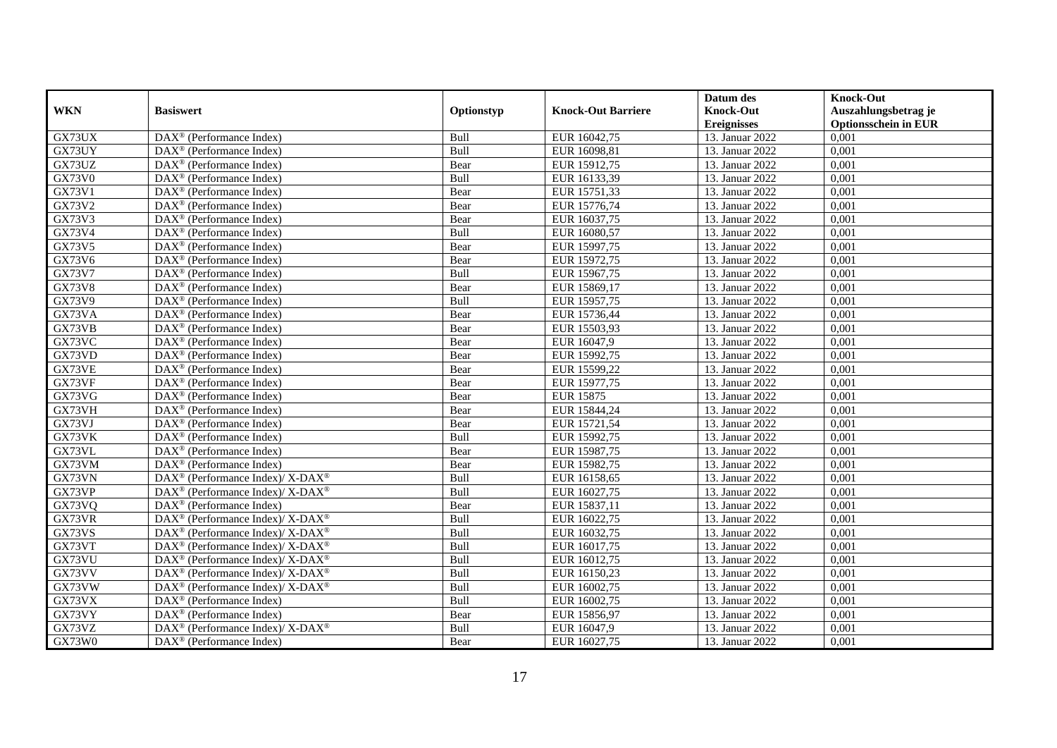|               |                                                             |            |                           | Datum des          | <b>Knock-Out</b>            |
|---------------|-------------------------------------------------------------|------------|---------------------------|--------------------|-----------------------------|
| <b>WKN</b>    | <b>Basiswert</b>                                            | Optionstyp | <b>Knock-Out Barriere</b> | <b>Knock-Out</b>   | Auszahlungsbetrag je        |
|               |                                                             |            |                           | <b>Ereignisses</b> | <b>Optionsschein in EUR</b> |
| GX73UX        | DAX <sup>®</sup> (Performance Index)                        | Bull       | EUR 16042,75              | 13. Januar 2022    | 0,001                       |
| GX73UY        | $DAX^{\circledcirc}$ (Performance Index)                    | Bull       | EUR 16098,81              | 13. Januar 2022    | 0,001                       |
| GX73UZ        | DAX <sup>®</sup> (Performance Index)                        | Bear       | EUR 15912,75              | 13. Januar 2022    | 0,001                       |
| <b>GX73V0</b> | $DAX^{\circledast}$ (Performance Index)                     | Bull       | EUR 16133,39              | 13. Januar 2022    | 0,001                       |
| GX73V1        | DAX <sup>®</sup> (Performance Index)                        | Bear       | EUR 15751,33              | 13. Januar 2022    | 0,001                       |
| GX73V2        | $\text{DAX}^{\textcircled{}}$ (Performance Index)           | Bear       | EUR 15776,74              | 13. Januar 2022    | 0,001                       |
| GX73V3        | $DAX^{\circledast}$ (Performance Index)                     | Bear       | EUR 16037,75              | 13. Januar 2022    | 0,001                       |
| GX73V4        | $DAX^{\circledR}$ (Performance Index)                       | Bull       | EUR 16080,57              | 13. Januar 2022    | 0,001                       |
| GX73V5        | $DAX^{\circledR}$ (Performance Index)                       | Bear       | EUR 15997,75              | 13. Januar 2022    | 0,001                       |
| GX73V6        | $DAX^{\circledR}$ (Performance Index)                       | Bear       | EUR 15972,75              | 13. Januar 2022    | 0,001                       |
| <b>GX73V7</b> | $\overline{\text{DAX}}^{\textcirc}$ (Performance Index)     | Bull       | EUR 15967,75              | 13. Januar 2022    | 0,001                       |
| <b>GX73V8</b> | $\overline{\text{DAX}^{\otimes}}$ (Performance Index)       | Bear       | EUR 15869,17              | 13. Januar 2022    | 0,001                       |
| GX73V9        | $DAX^{\circledast}$ (Performance Index)                     | Bull       | EUR 15957,75              | 13. Januar 2022    | 0,001                       |
| GX73VA        | DAX <sup>®</sup> (Performance Index)                        | Bear       | EUR 15736,44              | 13. Januar 2022    | 0,001                       |
| GX73VB        | $DAX^{\circledast}$ (Performance Index)                     | Bear       | EUR 15503,93              | 13. Januar 2022    | 0,001                       |
| GX73VC        | $DAX^{\circledast}$ (Performance Index)                     | Bear       | EUR 16047,9               | 13. Januar 2022    | 0,001                       |
| GX73VD        | $DAX^{\circledast}$ (Performance Index)                     | Bear       | EUR 15992,75              | 13. Januar 2022    | 0,001                       |
| GX73VE        | $DAX^{\circledcirc}$ (Performance Index)                    | Bear       | EUR 15599,22              | 13. Januar 2022    | 0,001                       |
| GX73VF        | $DAX^{\circledast}$ (Performance Index)                     | Bear       | EUR 15977,75              | 13. Januar 2022    | 0,001                       |
| GX73VG        | DAX <sup>®</sup> (Performance Index)                        | Bear       | <b>EUR 15875</b>          | 13. Januar 2022    | 0,001                       |
| GX73VH        | DAX <sup>®</sup> (Performance Index)                        | Bear       | EUR 15844,24              | 13. Januar 2022    | 0,001                       |
| GX73VJ        | $\overline{\text{DAX}^{\otimes}}$ (Performance Index)       | Bear       | EUR 15721,54              | 13. Januar 2022    | 0,001                       |
| GX73VK        | $\text{DAX}^{\circledast}$ (Performance Index)              | Bull       | EUR 15992,75              | 13. Januar 2022    | 0,001                       |
| GX73VL        | DAX <sup>®</sup> (Performance Index)                        | Bear       | EUR 15987,75              | 13. Januar 2022    | 0,001                       |
| GX73VM        | $DAX^{\circledR}$ (Performance Index)                       | Bear       | EUR 15982,75              | 13. Januar 2022    | 0,001                       |
| GX73VN        | DAX <sup>®</sup> (Performance Index)/ X-DAX <sup>®</sup>    | Bull       | EUR 16158,65              | 13. Januar 2022    | 0,001                       |
| GX73VP        | $DAX^{\circledast}$ (Performance Index)/ X-DAX <sup>®</sup> | Bull       | EUR 16027,75              | 13. Januar 2022    | 0,001                       |
| GX73VQ        | $DAX^{\circledR}$ (Performance Index)                       | Bear       | EUR 15837,11              | 13. Januar 2022    | 0,001                       |
| GX73VR        | DAX <sup>®</sup> (Performance Index)/ X-DAX <sup>®</sup>    | Bull       | EUR 16022,75              | 13. Januar 2022    | 0,001                       |
| GX73VS        | $DAX^{\circledast}$ (Performance Index)/ X-DAX <sup>®</sup> | Bull       | EUR 16032,75              | 13. Januar 2022    | 0,001                       |
| GX73VT        | $DAX^{\circledast}$ (Performance Index)/ X-DAX <sup>®</sup> | Bull       | EUR 16017,75              | 13. Januar 2022    | 0,001                       |
| GX73VU        | $DAX^{\circledast}$ (Performance Index)/ X-DAX <sup>®</sup> | Bull       | EUR 16012,75              | 13. Januar 2022    | 0,001                       |
| GX73VV        | $DAX^{\circledast}$ (Performance Index)/ X-DAX <sup>®</sup> | Bull       | EUR 16150,23              | 13. Januar 2022    | 0,001                       |
| GX73VW        | $DAX^{\circledast}$ (Performance Index)/ X-DAX <sup>®</sup> | Bull       | EUR 16002,75              | 13. Januar 2022    | 0,001                       |
| GX73VX        | $DAX^{\circledast}$ (Performance Index)                     | Bull       | EUR 16002,75              | 13. Januar 2022    | 0,001                       |
| GX73VY        | $DAX^{\circledast}$ (Performance Index)                     | Bear       | EUR 15856,97              | 13. Januar 2022    | 0,001                       |
| GX73VZ        | DAX <sup>®</sup> (Performance Index)/ X-DAX <sup>®</sup>    | Bull       | EUR 16047,9               | 13. Januar 2022    | 0,001                       |
| GX73W0        | $\text{DAX}^{\circledast}$ (Performance Index)              | Bear       | EUR 16027,75              | 13. Januar 2022    | 0,001                       |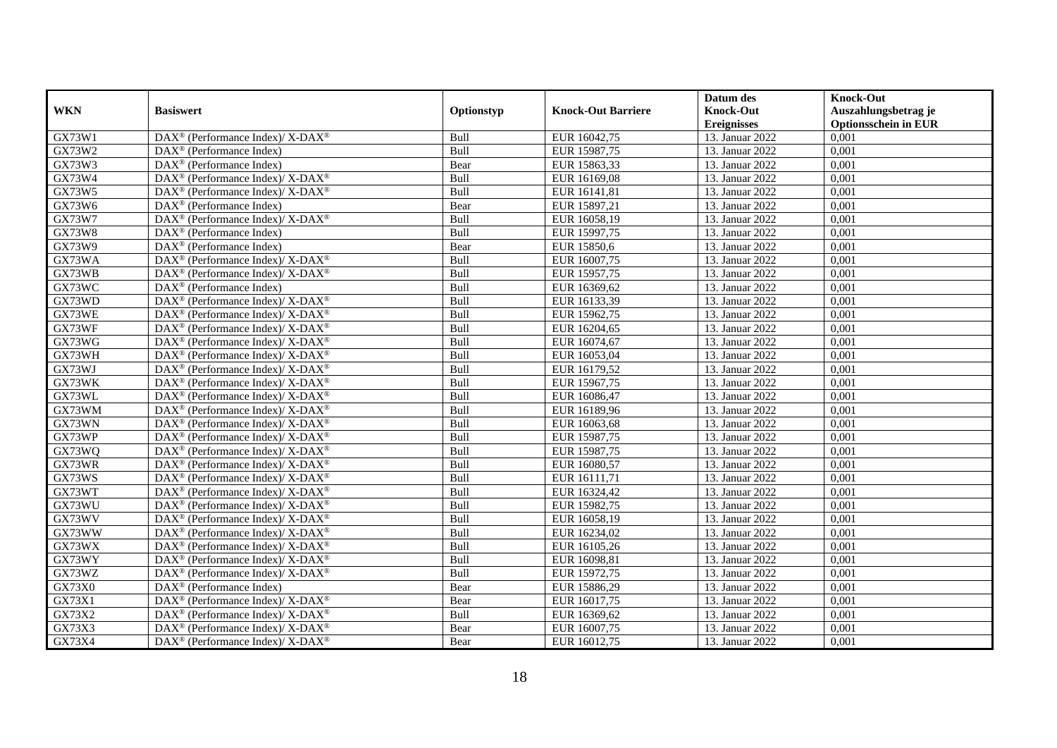|               |                                                                    |            |                           | Datum des          | <b>Knock-Out</b>            |
|---------------|--------------------------------------------------------------------|------------|---------------------------|--------------------|-----------------------------|
| <b>WKN</b>    | <b>Basiswert</b>                                                   | Optionstyp | <b>Knock-Out Barriere</b> | <b>Knock-Out</b>   | Auszahlungsbetrag je        |
|               |                                                                    |            |                           | <b>Ereignisses</b> | <b>Optionsschein in EUR</b> |
| GX73W1        | DAX <sup>®</sup> (Performance Index)/ X-DAX <sup>®</sup>           | Bull       | EUR 16042,75              | 13. Januar 2022    | 0,001                       |
| GX73W2        | $\text{DAX}^{\circledast}$ (Performance Index)                     | Bull       | EUR 15987,75              | 13. Januar 2022    | 0,001                       |
| GX73W3        | $DAX^{\circledR}$ (Performance Index)                              | Bear       | EUR 15863,33              | 13. Januar 2022    | 0,001                       |
| GX73W4        | $DAX^{\circledast}$ (Performance Index)/ X-DAX <sup>®</sup>        | Bull       | EUR 16169,08              | 13. Januar 2022    | 0,001                       |
| GX73W5        | DAX <sup>®</sup> (Performance Index)/ X-DAX <sup>®</sup>           | Bull       | EUR 16141,81              | 13. Januar 2022    | 0,001                       |
| GX73W6        | $DAX^{\otimes}$ (Performance Index)                                | Bear       | EUR 15897,21              | 13. Januar 2022    | 0,001                       |
| GX73W7        | $DAX^{\circledast}$ (Performance Index)/X-DAX <sup>®</sup>         | Bull       | EUR 16058,19              | 13. Januar 2022    | 0,001                       |
| <b>GX73W8</b> | $\text{DAX}^{\otimes}$ (Performance Index)                         | Bull       | EUR 15997,75              | 13. Januar 2022    | 0,001                       |
| GX73W9        | $\text{DAX}^{\otimes}$ (Performance Index)                         | Bear       | EUR 15850,6               | 13. Januar 2022    | 0,001                       |
| GX73WA        | DAX <sup>®</sup> (Performance Index)/ X-DAX <sup>®</sup>           | Bull       | EUR 16007,75              | 13. Januar 2022    | 0,001                       |
| GX73WB        | $DAX^{\circledast}$ (Performance Index)/ X-DAX <sup>®</sup>        | Bull       | EUR 15957,75              | 13. Januar 2022    | 0,001                       |
| GX73WC        | $\overline{\text{DAX}^{\otimes}}$ (Performance Index)              | Bull       | EUR 16369,62              | 13. Januar 2022    | 0,001                       |
| GX73WD        | $DAX^{\circledast}$ (Performance Index)/ X-DAX <sup>®</sup>        | Bull       | EUR 16133,39              | 13. Januar 2022    | 0,001                       |
| GX73WE        | DAX <sup>®</sup> (Performance Index)/ X-DAX <sup>®</sup>           | Bull       | EUR 15962,75              | 13. Januar 2022    | 0,001                       |
| GX73WF        | $DAX^{\circledast}$ (Performance Index)/ X-DAX <sup>®</sup>        | Bull       | EUR 16204,65              | 13. Januar 2022    | 0,001                       |
| GX73WG        | DAX <sup>®</sup> (Performance Index)/ X-DAX <sup>®</sup>           | Bull       | EUR 16074,67              | 13. Januar 2022    | 0,001                       |
| GX73WH        | $DAX^{\circledast}$ (Performance Index)/ X-DAX <sup>®</sup>        | Bull       | EUR 16053,04              | 13. Januar 2022    | 0,001                       |
| GX73WJ        | $DAX^{\circledcirc}$ (Performance Index)/ X-DAX <sup>®</sup>       | Bull       | EUR 16179,52              | 13. Januar 2022    | 0,001                       |
| GX73WK        | $DAX^{\circledast}$ (Performance Index)/ X-DAX <sup>®</sup>        | Bull       | EUR 15967,75              | 13. Januar 2022    | 0,001                       |
| GX73WL        | DAX <sup>®</sup> (Performance Index)/ X-DAX <sup>®</sup>           | Bull       | EUR 16086,47              | 13. Januar 2022    | 0,001                       |
| GX73WM        | $DAX^{\circledast}$ (Performance Index)/ X-DAX <sup>®</sup>        | Bull       | EUR 16189,96              | 13. Januar 2022    | 0,001                       |
| GX73WN        | $DAX^{\circledast}$ (Performance Index)/ X-DAX <sup>®</sup>        | Bull       | EUR 16063,68              | 13. Januar 2022    | $0,\overline{001}$          |
| GX73WP        | DAX <sup>®</sup> (Performance Index)/ X-DAX <sup>®</sup>           | Bull       | EUR 15987,75              | 13. Januar 2022    | 0,001                       |
| GX73WQ        | $DAX^{\circledast}$ (Performance Index)/ X-DAX <sup>®</sup>        | Bull       | EUR 15987,75              | 13. Januar 2022    | 0,001                       |
| GX73WR        | $DAX^{\circledcirc}$ (Performance Index)/ X-DAX <sup>®</sup>       | Bull       | EUR 16080,57              | 13. Januar 2022    | 0,001                       |
| GX73WS        | $DAX^{\circledast}$ (Performance Index)/ X-DAX <sup>®</sup>        | Bull       | EUR 16111,71              | 13. Januar 2022    | 0,001                       |
| GX73WT        | DAX <sup>®</sup> (Performance Index)/ X-DAX <sup>®</sup>           | Bull       | EUR 16324,42              | 13. Januar 2022    | 0,001                       |
| GX73WU        | DAX <sup>®</sup> (Performance Index)/ X-DAX <sup>®</sup>           | Bull       | EUR 15982,75              | 13. Januar 2022    | 0,001                       |
| GX73WV        | $DAX^{\circledast}$ (Performance Index)/ X-DAX <sup>®</sup>        | Bull       | EUR 16058,19              | 13. Januar 2022    | 0,001                       |
| GX73WW        | $DAX^{\circledast}$ (Performance Index)/ X-DAX <sup>®</sup>        | Bull       | EUR 16234,02              | 13. Januar 2022    | 0,001                       |
| GX73WX        | $DAX^{\circledast}$ (Performance Index)/ X-DAX <sup>®</sup>        | Bull       | EUR 16105,26              | 13. Januar 2022    | 0,001                       |
| GX73WY        | $DAX^{\circledast}$ (Performance Index)/ X-DAX <sup>®</sup>        | Bull       | EUR 16098,81              | 13. Januar 2022    | 0,001                       |
| GX73WZ        | DAX <sup>®</sup> (Performance Index)/ X-DAX <sup>®</sup>           | Bull       | EUR 15972,75              | 13. Januar 2022    | 0,001                       |
| <b>GX73X0</b> | $\overline{\text{DAX}^{\otimes}(\text{Performance Index})}$        | Bear       | EUR 15886,29              | 13. Januar 2022    | 0,001                       |
| GX73X1        | DAX <sup>®</sup> (Performance Index)/ X-DAX <sup>®</sup>           | Bear       | EUR 16017,75              | 13. Januar 2022    | 0,001                       |
| GX73X2        | $\text{DAX}^{\circledast}$ (Performance Index)/ X-DAX <sup>®</sup> | Bull       | EUR 16369,62              | 13. Januar 2022    | 0,001                       |
| GX73X3        | DAX <sup>®</sup> (Performance Index)/ X-DAX <sup>®</sup>           | Bear       | EUR 16007,75              | 13. Januar 2022    | 0,001                       |
| GX73X4        | $DAX^{\circledast}$ (Performance Index)/ X-DAX <sup>®</sup>        | Bear       | EUR 16012,75              | 13. Januar 2022    | 0,001                       |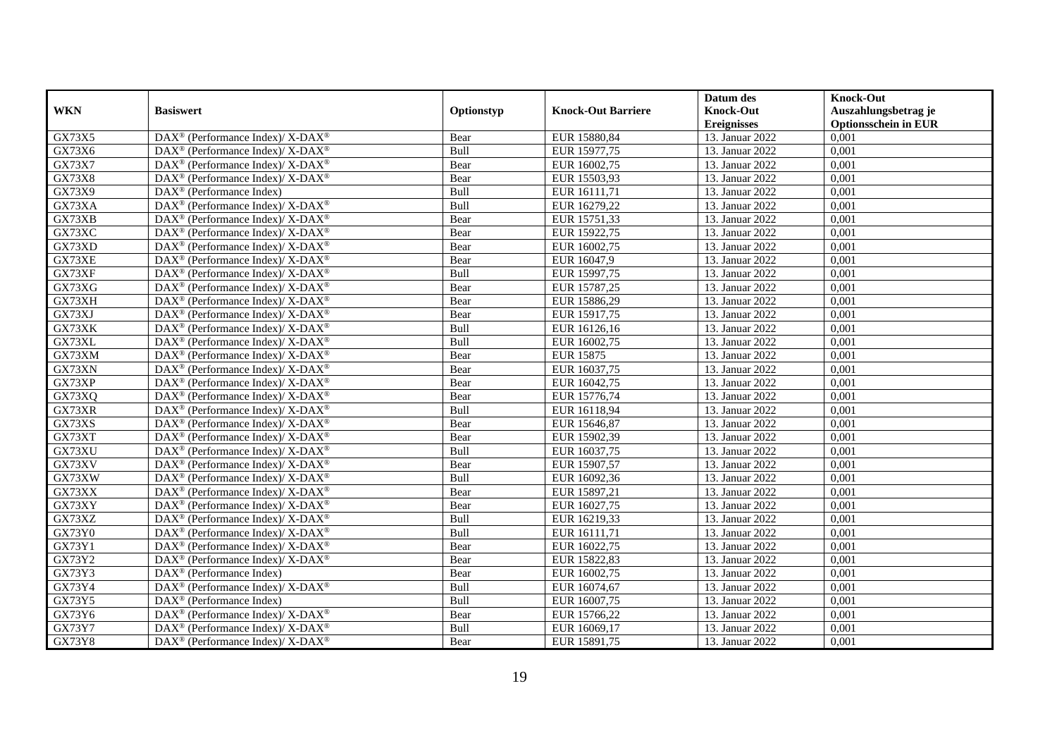|               |                                                                          |            |                           | Datum des          | <b>Knock-Out</b>            |
|---------------|--------------------------------------------------------------------------|------------|---------------------------|--------------------|-----------------------------|
| <b>WKN</b>    | <b>Basiswert</b>                                                         | Optionstyp | <b>Knock-Out Barriere</b> | <b>Knock-Out</b>   | Auszahlungsbetrag je        |
|               |                                                                          |            |                           | <b>Ereignisses</b> | <b>Optionsschein in EUR</b> |
| GX73X5        | DAX <sup>®</sup> (Performance Index)/ X-DAX <sup>®</sup>                 | Bear       | EUR 15880,84              | 13. Januar 2022    | 0,001                       |
| GX73X6        | $DAX^{\circledast}$ (Performance Index)/ X-DAX <sup>®</sup>              | Bull       | EUR 15977,75              | 13. Januar 2022    | 0,001                       |
| GX73X7        | DAX <sup>®</sup> (Performance Index)/ X-DAX <sup>®</sup>                 | Bear       | EUR 16002,75              | 13. Januar 2022    | 0,001                       |
| GX73X8        | $DAX^{\circledast}$ (Performance Index)/ X-DAX <sup>®</sup>              | Bear       | EUR 15503,93              | 13. Januar 2022    | 0,001                       |
| GX73X9        | DAX <sup>®</sup> (Performance Index)                                     | Bull       | EUR 16111,71              | 13. Januar 2022    | 0,001                       |
| GX73XA        | DAX <sup>®</sup> (Performance Index)/ X-DAX <sup>®</sup>                 | Bull       | EUR 16279,22              | 13. Januar 2022    | 0,001                       |
| GX73XB        | $DAX^{\circledcirc}$ (Performance Index)/ X-DAX <sup>®</sup>             | Bear       | EUR 15751,33              | 13. Januar 2022    | 0,001                       |
| GX73XC        | $DAX^{\circledast}$ (Performance Index)/ X-DAX <sup>®</sup>              | Bear       | EUR 15922,75              | 13. Januar 2022    | 0,001                       |
| GX73XD        | $DAX^{\circledast}$ (Performance Index)/ X-DAX <sup>®</sup>              | Bear       | EUR 16002,75              | 13. Januar 2022    | 0,001                       |
| GX73XE        | $DAX^{\circledast}$ (Performance Index)/ X-DAX <sup>®</sup>              | Bear       | EUR 16047,9               | 13. Januar 2022    | 0,001                       |
| GX73XF        | DAX <sup>®</sup> (Performance Index)/ X-DAX <sup>®</sup>                 | Bull       | EUR 15997,75              | 13. Januar 2022    | 0,001                       |
| GX73XG        | DAX <sup>®</sup> (Performance Index)/ X-DAX <sup>®</sup>                 | Bear       | EUR 15787,25              | 13. Januar 2022    | 0,001                       |
| GX73XH        | $DAX^{\circledast}$ (Performance Index)/ X-DAX <sup>®</sup>              | Bear       | EUR 15886,29              | 13. Januar 2022    | 0,001                       |
| GX73XJ        | $DAX^{\circledast}$ (Performance Index)/ X-DAX <sup>®</sup>              | Bear       | EUR 15917,75              | 13. Januar 2022    | 0,001                       |
| GX73XK        | DAX <sup>®</sup> (Performance Index)/ X-DAX <sup>®</sup>                 | Bull       | EUR 16126,16              | 13. Januar 2022    | 0,001                       |
| GX73XL        | DAX <sup>®</sup> (Performance Index)/ X-DAX <sup>®</sup>                 | Bull       | EUR 16002,75              | 13. Januar 2022    | 0,001                       |
| GX73XM        | $DAX^{\circledast}$ (Performance Index)/ X-DAX <sup>®</sup>              | Bear       | <b>EUR 15875</b>          | 13. Januar 2022    | 0,001                       |
| GX73XN        | $DAX^{\circledcirc}$ (Performance Index)/ X-DAX <sup>®</sup>             | Bear       | EUR 16037,75              | 13. Januar 2022    | 0,001                       |
| GX73XP        | $DAX^{\circledast}$ (Performance Index)/ X-DAX <sup>®</sup>              | Bear       | EUR 16042,75              | 13. Januar 2022    | 0,001                       |
| GX73XQ        | $DAX^{\circledast}$ (Performance Index)/ X-DAX <sup>®</sup>              | Bear       | EUR 15776,74              | 13. Januar 2022    | 0,001                       |
| GX73XR        | $DAX^{\circledast}$ (Performance Index)/ X-DAX <sup>®</sup>              | Bull       | EUR 16118,94              | 13. Januar 2022    | 0,001                       |
| GX73XS        | $DAX^{\circledast}$ (Performance Index)/ X-DAX <sup>®</sup>              | Bear       | EUR 15646,87              | 13. Januar 2022    | 0,001                       |
| GX73XT        | DAX <sup>®</sup> (Performance Index)/ X-DAX <sup>®</sup>                 | Bear       | EUR 15902,39              | 13. Januar 2022    | 0,001                       |
| GX73XU        | $DAX^{\circledast}$ (Performance Index)/ X-DAX <sup>®</sup>              | Bull       | EUR 16037,75              | 13. Januar 2022    | 0,001                       |
| GX73XV        | $\overline{\text{DAX}^{\otimes}}$ (Performance Index)/X-DAX <sup>®</sup> | Bear       | EUR 15907,57              | 13. Januar 2022    | 0,001                       |
| GX73XW        | $DAX^{\circledast}$ (Performance Index)/ X-DAX <sup>®</sup>              | Bull       | EUR 16092,36              | 13. Januar 2022    | 0,001                       |
| GX73XX        | DAX <sup>®</sup> (Performance Index)/ X-DAX <sup>®</sup>                 | Bear       | EUR 15897,21              | 13. Januar 2022    | 0,001                       |
| GX73XY        | DAX <sup>®</sup> (Performance Index)/ X-DAX <sup>®</sup>                 | Bear       | EUR 16027,75              | 13. Januar 2022    | 0,001                       |
| GX73XZ        | DAX <sup>®</sup> (Performance Index)/ X-DAX <sup>®</sup>                 | Bull       | EUR 16219,33              | 13. Januar 2022    | 0,001                       |
| GX73Y0        | $DAX^{\circledast}$ (Performance Index)/ X-DAX <sup>®</sup>              | Bull       | EUR 16111,71              | 13. Januar 2022    | 0,001                       |
| GX73Y1        | $DAX^{\circledast}$ (Performance Index)/ X-DAX <sup>®</sup>              | Bear       | EUR 16022,75              | 13. Januar 2022    | 0,001                       |
| GX73Y2        | DAX <sup>®</sup> (Performance Index)/ X-DAX <sup>®</sup>                 | Bear       | EUR 15822,83              | 13. Januar 2022    | 0,001                       |
| GX73Y3        | $DAX^{\circledR}$ (Performance Index)                                    | Bear       | EUR 16002,75              | 13. Januar 2022    | 0,001                       |
| GX73Y4        | DAX <sup>®</sup> (Performance Index)/ X-DAX <sup>®</sup>                 | Bull       | EUR 16074,67              | 13. Januar 2022    | 0,001                       |
| GX73Y5        | DAX <sup>®</sup> (Performance Index)                                     | Bull       | EUR 16007,75              | 13. Januar 2022    | 0,001                       |
| GX73Y6        | $DAX^{\circledast}$ (Performance Index)/ X-DAX <sup>®</sup>              | Bear       | EUR 15766,22              | 13. Januar 2022    | 0,001                       |
| <b>GX73Y7</b> | DAX <sup>®</sup> (Performance Index)/ X-DAX <sup>®</sup>                 | Bull       | EUR 16069,17              | 13. Januar 2022    | 0,001                       |
| <b>GX73Y8</b> | $DAX^{\circledast}$ (Performance Index)/ X-DAX <sup>®</sup>              | Bear       | EUR 15891,75              | 13. Januar 2022    | 0,001                       |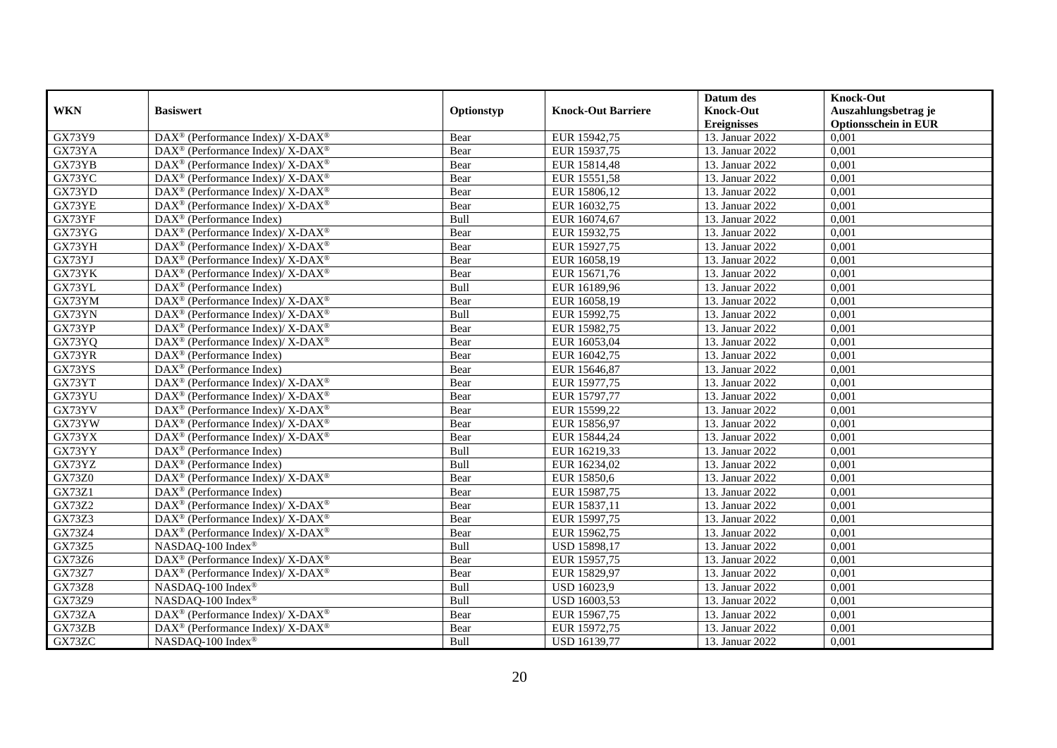|                     |                                                              |             |                           | Datum des          | <b>Knock-Out</b>            |
|---------------------|--------------------------------------------------------------|-------------|---------------------------|--------------------|-----------------------------|
| <b>WKN</b>          | <b>Basiswert</b>                                             | Optionstyp  | <b>Knock-Out Barriere</b> | <b>Knock-Out</b>   | Auszahlungsbetrag je        |
|                     |                                                              |             |                           | <b>Ereignisses</b> | <b>Optionsschein in EUR</b> |
| GX73Y9              | DAX <sup>®</sup> (Performance Index)/ X-DAX <sup>®</sup>     | Bear        | EUR 15942,75              | 13. Januar 2022    | 0,001                       |
| GX73YA              | $DAX^{\circledast}$ (Performance Index)/ X-DAX <sup>®</sup>  | Bear        | EUR 15937,75              | 13. Januar 2022    | 0,001                       |
| GX73YB              | DAX <sup>®</sup> (Performance Index)/ X-DAX <sup>®</sup>     | Bear        | EUR 15814,48              | 13. Januar 2022    | 0,001                       |
| GX73YC              | DAX <sup>®</sup> (Performance Index)/ X-DAX <sup>®</sup>     | Bear        | EUR 15551,58              | 13. Januar 2022    | 0,001                       |
| GX73YD              | $DAX^{\circledast}$ (Performance Index)/ X-DAX <sup>®</sup>  | Bear        | EUR 15806,12              | 13. Januar 2022    | 0,001                       |
| GX73YE              | DAX <sup>®</sup> (Performance Index)/ X-DAX <sup>®</sup>     | Bear        | EUR 16032,75              | 13. Januar 2022    | 0,001                       |
| GX73YF              | $DAX^{\circledR}$ (Performance Index)                        | <b>Bull</b> | EUR 16074,67              | 13. Januar 2022    | 0,001                       |
| GX73YG              | DAX <sup>®</sup> (Performance Index)/ X-DAX <sup>®</sup>     | Bear        | EUR 15932,75              | 13. Januar 2022    | 0,001                       |
| GX73YH              | DAX <sup>®</sup> (Performance Index)/ X-DAX <sup>®</sup>     | Bear        | EUR 15927,75              | 13. Januar 2022    | 0,001                       |
| GX73YJ              | $DAX^{\circledcirc}$ (Performance Index)/ X-DAX <sup>®</sup> | Bear        | EUR 16058,19              | 13. Januar 2022    | 0,001                       |
| GX73YK              | $DAX^{\circledast}$ (Performance Index)/ X-DAX <sup>®</sup>  | Bear        | EUR 15671,76              | 13. Januar 2022    | 0,001                       |
| GX73YL              | $\text{DAX}^{\textcircled{}}$ (Performance Index)            | Bull        | EUR 16189,96              | 13. Januar 2022    | 0,001                       |
| GX73YM              | $DAX^{\circledast}$ (Performance Index)/ X-DAX <sup>®</sup>  | Bear        | EUR 16058,19              | 13. Januar 2022    | 0,001                       |
| GX73YN              | $DAX^{\circledcirc}$ (Performance Index)/ X-DAX <sup>®</sup> | <b>Bull</b> | EUR 15992,75              | 13. Januar 2022    | 0.001                       |
| GX73YP              | $DAX^{\circledast}$ (Performance Index)/ X-DAX <sup>®</sup>  | Bear        | EUR 15982,75              | 13. Januar 2022    | 0,001                       |
| GX73YQ              | DAX <sup>®</sup> (Performance Index)/ X-DAX <sup>®</sup>     | Bear        | EUR 16053,04              | 13. Januar 2022    | 0,001                       |
| GX73YR              | DAX <sup>®</sup> (Performance Index)                         | Bear        | EUR 16042,75              | 13. Januar 2022    | 0,001                       |
| GX73YS              | $DAX^{\circledast}$ (Performance Index)                      | Bear        | EUR 15646,87              | 13. Januar 2022    | 0,001                       |
| GX73YT              | DAX <sup>®</sup> (Performance Index)/ X-DAX <sup>®</sup>     | Bear        | EUR 15977,75              | 13. Januar 2022    | 0,001                       |
| GX73YU              | DAX <sup>®</sup> (Performance Index)/ X-DAX <sup>®</sup>     | Bear        | EUR 15797,77              | 13. Januar 2022    | 0,001                       |
| GX73YV              | $DAX^{\circledast}$ (Performance Index)/ X-DAX <sup>®</sup>  | Bear        | EUR 15599,22              | 13. Januar 2022    | 0,001                       |
| GX73YW              | $DAX^{\circledcirc}$ (Performance Index)/ X-DAX <sup>®</sup> | Bear        | EUR 15856,97              | 13. Januar 2022    | 0,001                       |
| GX73YX              | $DAX^{\circledast}$ (Performance Index)/ X-DAX <sup>®</sup>  | Bear        | EUR 15844,24              | 13. Januar 2022    | 0,001                       |
| GX73YY              | DAX <sup>®</sup> (Performance Index)                         | Bull        | EUR 16219,33              | 13. Januar 2022    | 0,001                       |
| $G\overline{X73YZ}$ | $DAX^{\circledcirc}$ (Performance Index)                     | Bull        | EUR 16234,02              | 13. Januar 2022    | 0,001                       |
| <b>GX73Z0</b>       | DAX <sup>®</sup> (Performance Index)/ X-DAX <sup>®</sup>     | Bear        | EUR 15850,6               | 13. Januar 2022    | 0,001                       |
| GX73Z1              | DAX <sup>®</sup> (Performance Index)                         | Bear        | EUR 15987,75              | 13. Januar 2022    | 0,001                       |
| <b>GX73Z2</b>       | DAX <sup>®</sup> (Performance Index)/ X-DAX <sup>®</sup>     | Bear        | EUR 15837,11              | 13. Januar 2022    | 0,001                       |
| GX73Z3              | $DAX^{\circledast}$ (Performance Index)/ X-DAX <sup>®</sup>  | Bear        | EUR 15997,75              | 13. Januar 2022    | 0,001                       |
| GX73Z4              | DAX <sup>®</sup> (Performance Index)/ X-DAX <sup>®</sup>     | Bear        | EUR 15962,75              | 13. Januar 2022    | 0,001                       |
| GX73Z5              | NASDAQ-100 Index®                                            | Bull        | <b>USD 15898,17</b>       | 13. Januar 2022    | 0,001                       |
| GX73Z6              | DAX <sup>®</sup> (Performance Index)/ X-DAX <sup>®</sup>     | Bear        | EUR 15957,75              | 13. Januar 2022    | 0,001                       |
| <b>GX73Z7</b>       | DAX <sup>®</sup> (Performance Index)/ X-DAX <sup>®</sup>     | Bear        | EUR 15829,97              | 13. Januar 2022    | 0,001                       |
| <b>GX73Z8</b>       | NASDAQ-100 Index®                                            | Bull        | USD 16023,9               | 13. Januar 2022    | 0,001                       |
| GX73Z9              | NASDAQ-100 Index®                                            | Bull        | USD 16003,53              | 13. Januar 2022    | 0,001                       |
| GX73ZA              | $DAX^{\circledast}$ (Performance Index)/ X-DAX <sup>®</sup>  | Bear        | EUR 15967,75              | 13. Januar 2022    | 0,001                       |
| GX73ZB              | DAX <sup>®</sup> (Performance Index)/ X-DAX <sup>®</sup>     | Bear        | EUR 15972,75              | 13. Januar 2022    | 0,001                       |
| GX73ZC              | NASDAQ-100 Index®                                            | Bull        | USD 16139,77              | 13. Januar 2022    | 0,001                       |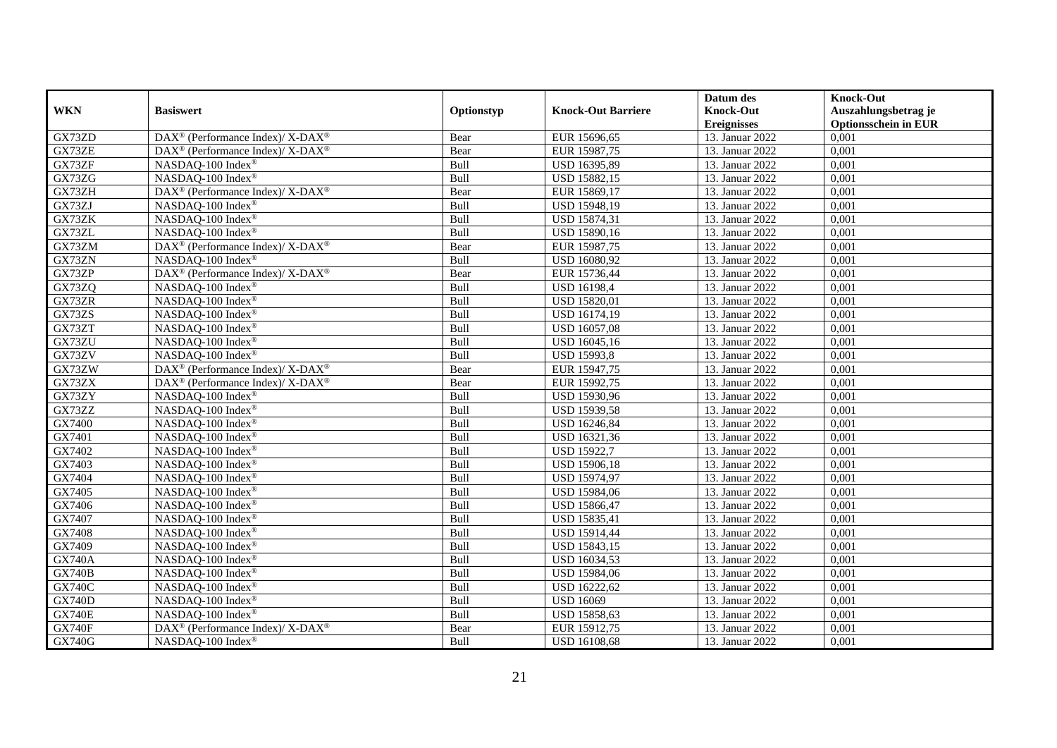|               |                                                                           |            |                           | Datum des          | <b>Knock-Out</b>            |
|---------------|---------------------------------------------------------------------------|------------|---------------------------|--------------------|-----------------------------|
| <b>WKN</b>    | <b>Basiswert</b>                                                          | Optionstyp | <b>Knock-Out Barriere</b> | <b>Knock-Out</b>   | Auszahlungsbetrag je        |
|               |                                                                           |            |                           | <b>Ereignisses</b> | <b>Optionsschein in EUR</b> |
| GX73ZD        | DAX <sup>®</sup> (Performance Index)/ X-DAX <sup>®</sup>                  | Bear       | EUR 15696,65              | 13. Januar 2022    | 0,001                       |
| GX73ZE        | $DAX^{\circledast}$ (Performance Index)/ $\overline{X-DAX^{\circledast}}$ | Bear       | EUR 15987,75              | 13. Januar 2022    | 0,001                       |
| GX73ZF        | NASDAQ-100 Index®                                                         | Bull       | USD 16395,89              | 13. Januar 2022    | 0,001                       |
| GX73ZG        | NASDAQ-100 Index®                                                         | Bull       | USD 15882,15              | 13. Januar 2022    | 0,001                       |
| GX73ZH        | DAX <sup>®</sup> (Performance Index)/ X-DAX <sup>®</sup>                  | Bear       | EUR 15869,17              | 13. Januar 2022    | 0,001                       |
| GX73ZJ        | NASDAQ-100 Index®                                                         | Bull       | USD 15948,19              | 13. Januar 2022    | 0,001                       |
| GX73ZK        | NASDAQ-100 Index®                                                         | Bull       | <b>USD 15874,31</b>       | 13. Januar 2022    | 0,001                       |
| GX73ZL        | NASDAQ-100 Index®                                                         | Bull       | USD 15890,16              | 13. Januar 2022    | 0,001                       |
| GX73ZM        | DAX <sup>®</sup> (Performance Index)/ X-DAX <sup>®</sup>                  | Bear       | EUR 15987,75              | 13. Januar 2022    | 0,001                       |
| GX73ZN        | NASDAQ-100 Index®                                                         | Bull       | USD 16080,92              | 13. Januar 2022    | 0,001                       |
| GX73ZP        | DAX <sup>®</sup> (Performance Index)/ X-DAX <sup>®</sup>                  | Bear       | EUR 15736,44              | 13. Januar 2022    | 0,001                       |
| GX73ZQ        | NASDAQ-100 Index®                                                         | Bull       | <b>USD 16198,4</b>        | 13. Januar 2022    | 0,001                       |
| GX73ZR        | NASDAQ-100 Index®                                                         | Bull       | <b>USD 15820,01</b>       | 13. Januar 2022    | 0,001                       |
| GX73ZS        | NASDAQ-100 Index®                                                         | Bull       | USD 16174,19              | 13. Januar 2022    | 0,001                       |
| GX73ZT        | NASDAQ-100 Index®                                                         | Bull       | <b>USD 16057,08</b>       | 13. Januar 2022    | 0,001                       |
| GX73ZU        | NASDAQ-100 Index®                                                         | Bull       | USD 16045,16              | 13. Januar 2022    | 0,001                       |
| GX73ZV        | NASDAQ-100 Index®                                                         | Bull       | <b>USD 15993,8</b>        | 13. Januar 2022    | 0,001                       |
| GX73ZW        | DAX <sup>®</sup> (Performance Index)/ X-DAX <sup>®</sup>                  | Bear       | EUR 15947,75              | 13. Januar 2022    | 0.001                       |
| GX73ZX        | DAX <sup>®</sup> (Performance Index)/ X-DAX <sup>®</sup>                  | Bear       | EUR 15992,75              | 13. Januar 2022    | 0,001                       |
| GX73ZY        | NASDAQ-100 Index®                                                         | Bull       | USD 15930,96              | 13. Januar 2022    | 0,001                       |
| GX73ZZ        | NASDAQ-100 Index®                                                         | Bull       | USD 15939,58              | 13. Januar 2022    | 0,001                       |
| GX7400        | NASDAQ-100 Index®                                                         | Bull       | USD 16246,84              | 13. Januar 2022    | 0,001                       |
| GX7401        | NASDAQ-100 Index®                                                         | Bull       | USD 16321,36              | 13. Januar 2022    | 0,001                       |
| GX7402        | NASDAQ-100 Index®                                                         | Bull       | <b>USD 15922,7</b>        | 13. Januar 2022    | 0,001                       |
| GX7403        | NASDAQ-100 Index®                                                         | Bull       | USD 15906,18              | 13. Januar 2022    | 0,001                       |
| GX7404        | NASDAQ-100 Index®                                                         | Bull       | USD 15974,97              | 13. Januar 2022    | 0,001                       |
| GX7405        | NASDAQ-100 Index®                                                         | Bull       | USD 15984,06              | 13. Januar 2022    | 0,001                       |
| GX7406        | NASDAQ-100 Index®                                                         | Bull       | USD 15866,47              | 13. Januar 2022    | 0,001                       |
| GX7407        | NASDAQ-100 Index®                                                         | Bull       | <b>USD 15835,41</b>       | 13. Januar 2022    | 0,001                       |
| GX7408        | NASDAQ-100 Index®                                                         | Bull       | USD 15914,44              | 13. Januar 2022    | 0,001                       |
| GX7409        | NASDAQ-100 Index®                                                         | Bull       | USD 15843,15              | 13. Januar 2022    | 0,001                       |
| <b>GX740A</b> | NASDAQ-100 Index®                                                         | Bull       | USD 16034,53              | 13. Januar 2022    | 0,001                       |
| <b>GX740B</b> | NASDAQ-100 Index®                                                         | Bull       | USD 15984,06              | 13. Januar 2022    | 0,001                       |
| <b>GX740C</b> | NASDAQ-100 Index®                                                         | Bull       | USD 16222,62              | 13. Januar 2022    | 0,001                       |
| <b>GX740D</b> | NASDAQ-100 Index®                                                         | Bull       | <b>USD 16069</b>          | 13. Januar 2022    | 0,001                       |
| <b>GX740E</b> | NASDAQ-100 Index®                                                         | Bull       | USD 15858,63              | 13. Januar 2022    | 0,001                       |
| <b>GX740F</b> | DAX <sup>®</sup> (Performance Index)/ X-DAX <sup>®</sup>                  | Bear       | EUR 15912,75              | 13. Januar 2022    | 0,001                       |
| <b>GX740G</b> | NASDAQ-100 Index®                                                         | Bull       | <b>USD 16108,68</b>       | 13. Januar 2022    | 0,001                       |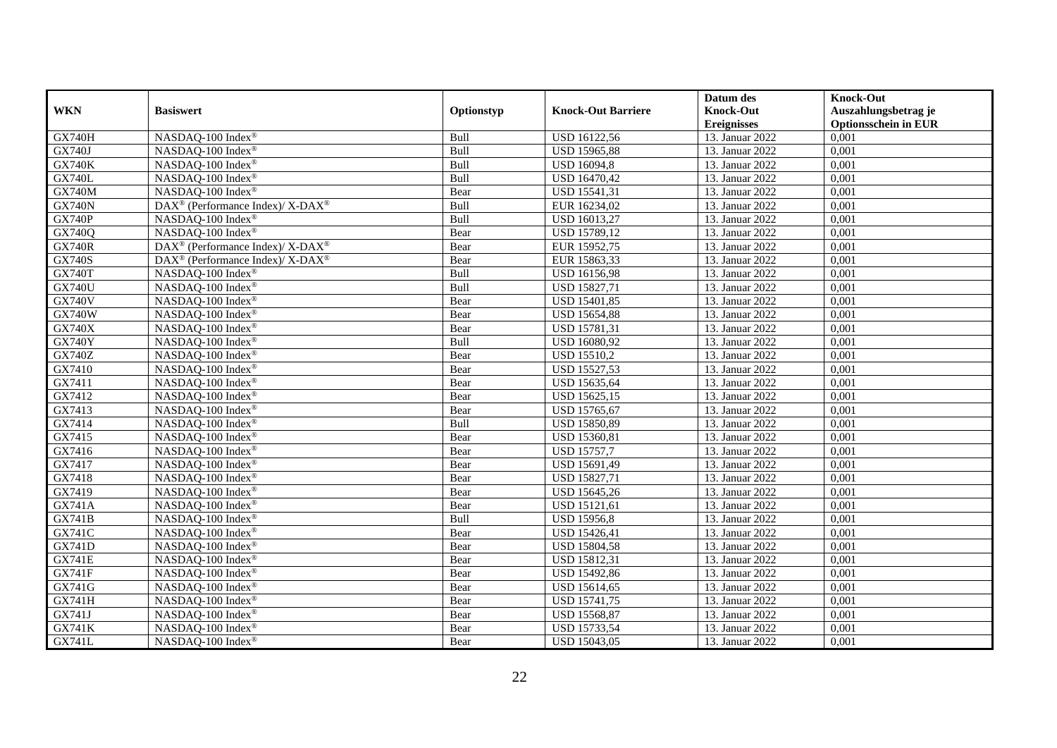|               |                                                             |            |                           | Datum des          | <b>Knock-Out</b>            |
|---------------|-------------------------------------------------------------|------------|---------------------------|--------------------|-----------------------------|
| <b>WKN</b>    | <b>Basiswert</b>                                            | Optionstyp | <b>Knock-Out Barriere</b> | <b>Knock-Out</b>   | Auszahlungsbetrag je        |
|               |                                                             |            |                           | <b>Ereignisses</b> | <b>Optionsschein in EUR</b> |
| <b>GX740H</b> | NASDAQ-100 Index®                                           | Bull       | USD 16122,56              | 13. Januar 2022    | 0,001                       |
| GX740J        | NASDAQ-100 Index®                                           | Bull       | <b>USD 15965,88</b>       | 13. Januar 2022    | 0,001                       |
| <b>GX740K</b> | NASDAQ-100 Index®                                           | Bull       | <b>USD 16094,8</b>        | 13. Januar 2022    | 0,001                       |
| <b>GX740L</b> | NASDAQ-100 Index®                                           | Bull       | USD 16470,42              | 13. Januar 2022    | 0,001                       |
| <b>GX740M</b> | NASDAQ-100 Index®                                           | Bear       | USD 15541,31              | 13. Januar 2022    | 0,001                       |
| <b>GX740N</b> | DAX <sup>®</sup> (Performance Index)/ X-DAX <sup>®</sup>    | Bull       | EUR 16234,02              | 13. Januar 2022    | 0,001                       |
| <b>GX740P</b> | NASDAO-100 Index®                                           | Bull       | USD 16013,27              | 13. Januar 2022    | 0,001                       |
| GX740Q        | NASDAQ-100 Index®                                           | Bear       | USD 15789,12              | 13. Januar 2022    | 0,001                       |
| <b>GX740R</b> | DAX <sup>®</sup> (Performance Index)/ X-DAX <sup>®</sup>    | Bear       | EUR 15952,75              | 13. Januar 2022    | 0,001                       |
| <b>GX740S</b> | $DAX^{\circledast}$ (Performance Index)/ X-DAX <sup>®</sup> | Bear       | EUR 15863,33              | 13. Januar 2022    | 0.001                       |
| <b>GX740T</b> | NASDAQ-100 Index®                                           | Bull       | USD 16156,98              | 13. Januar 2022    | 0,001                       |
| <b>GX740U</b> | NASDAQ-100 Index®                                           | Bull       | <b>USD 15827,71</b>       | 13. Januar 2022    | 0,001                       |
| <b>GX740V</b> | NASDAQ-100 Index®                                           | Bear       | USD 15401,85              | 13. Januar 2022    | 0,001                       |
| <b>GX740W</b> | NASDAQ-100 Index®                                           | Bear       | <b>USD 15654,88</b>       | 13. Januar 2022    | 0,001                       |
| <b>GX740X</b> | NASDAQ-100 Index®                                           | Bear       | USD 15781,31              | 13. Januar 2022    | 0,001                       |
| <b>GX740Y</b> | NASDAQ-100 Index®                                           | Bull       | USD 16080,92              | 13. Januar 2022    | 0,001                       |
| GX740Z        | NASDAQ-100 Index®                                           | Bear       | <b>USD 15510,2</b>        | 13. Januar 2022    | 0,001                       |
| GX7410        | NASDAQ-100 Index®                                           | Bear       | <b>USD 15527,53</b>       | 13. Januar 2022    | 0,001                       |
| GX7411        | NASDAQ-100 Index®                                           | Bear       | USD 15635,64              | 13. Januar 2022    | 0,001                       |
| GX7412        | NASDAQ-100 Index <sup>®</sup>                               | Bear       | USD 15625,15              | 13. Januar 2022    | 0,001                       |
| GX7413        | NASDAQ-100 Index®                                           | Bear       | USD 15765,67              | 13. Januar 2022    | 0,001                       |
| GX7414        | NASDAQ-100 Index®                                           | Bull       | USD 15850,89              | 13. Januar 2022    | 0,001                       |
| GX7415        | NASDAQ-100 Index®                                           | Bear       | USD 15360,81              | 13. Januar 2022    | 0,001                       |
| GX7416        | NASDAQ-100 Index®                                           | Bear       | <b>USD 15757,7</b>        | 13. Januar 2022    | 0,001                       |
| GX7417        | NASDAQ-100 Index®                                           | Bear       | USD 15691,49              | 13. Januar 2022    | 0,001                       |
| GX7418        | NASDAQ-100 Index®                                           | Bear       | USD 15827,71              | 13. Januar 2022    | 0,001                       |
| GX7419        | NASDAQ-100 Index®                                           | Bear       | USD 15645,26              | 13. Januar 2022    | 0,001                       |
| <b>GX741A</b> | NASDAQ-100 Index®                                           | Bear       | USD 15121,61              | 13. Januar 2022    | 0,001                       |
| <b>GX741B</b> | NASDAQ-100 Index®                                           | Bull       | <b>USD 15956,8</b>        | 13. Januar 2022    | 0,001                       |
| GX741C        | NASDAQ-100 Index <sup>®</sup>                               | Bear       | <b>USD 15426,41</b>       | 13. Januar 2022    | 0,001                       |
| GX741D        | NASDAQ-100 Index®                                           | Bear       | <b>USD 15804,58</b>       | 13. Januar 2022    | 0,001                       |
| <b>GX741E</b> | NASDAQ-100 Index®                                           | Bear       | USD 15812,31              | 13. Januar 2022    | 0,001                       |
| <b>GX741F</b> | NASDAQ-100 Index®                                           | Bear       | USD 15492,86              | 13. Januar 2022    | 0,001                       |
| GX741G        | NASDAQ-100 Index®                                           | Bear       | USD 15614,65              | 13. Januar 2022    | 0,001                       |
| GX741H        | NASDAQ-100 Index®                                           | Bear       | USD 15741,75              | 13. Januar 2022    | 0,001                       |
| GX741J        | NASDAQ-100 Index <sup>®</sup>                               | Bear       | USD 15568,87              | 13. Januar 2022    | 0,001                       |
| GX741K        | NASDAQ-100 Index®                                           | Bear       | USD 15733,54              | 13. Januar 2022    | 0,001                       |
| GX741L        | NASDAQ-100 Index®                                           | Bear       | <b>USD 15043,05</b>       | 13. Januar 2022    | 0,001                       |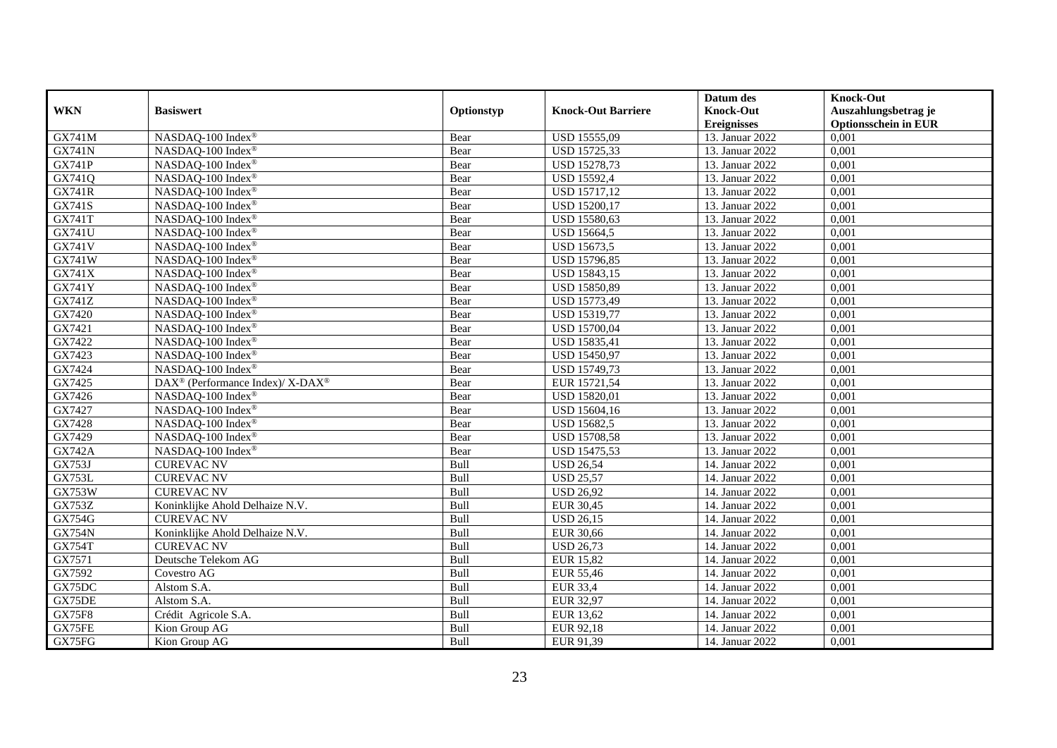|               |                                                          |            |                           | Datum des          | <b>Knock-Out</b>            |
|---------------|----------------------------------------------------------|------------|---------------------------|--------------------|-----------------------------|
| <b>WKN</b>    | <b>Basiswert</b>                                         | Optionstyp | <b>Knock-Out Barriere</b> | <b>Knock-Out</b>   | Auszahlungsbetrag je        |
|               |                                                          |            |                           | <b>Ereignisses</b> | <b>Optionsschein in EUR</b> |
| <b>GX741M</b> | NASDAQ-100 Index®                                        | Bear       | USD 15555,09              | 13. Januar 2022    | 0,001                       |
| <b>GX741N</b> | NASDAQ-100 Index®                                        | Bear       | USD 15725,33              | 13. Januar 2022    | 0,001                       |
| <b>GX741P</b> | NASDAQ-100 Index®                                        | Bear       | <b>USD 15278,73</b>       | 13. Januar 2022    | 0,001                       |
| GX741Q        | NASDAQ-100 Index®                                        | Bear       | USD 15592,4               | 13. Januar 2022    | 0,001                       |
| <b>GX741R</b> | NASDAQ-100 Index®                                        | Bear       | <b>USD 15717,12</b>       | 13. Januar 2022    | 0,001                       |
| <b>GX741S</b> | NASDAQ-100 Index®                                        | Bear       | <b>USD 15200,17</b>       | 13. Januar 2022    | 0,001                       |
| <b>GX741T</b> | NASDAQ-100 Index®                                        | Bear       | USD 15580,63              | 13. Januar 2022    | 0,001                       |
| GX741U        | NASDAQ-100 Index®                                        | Bear       | USD 15664,5               | 13. Januar 2022    | 0,001                       |
| <b>GX741V</b> | NASDAQ-100 Index®                                        | Bear       | USD 15673,5               | 13. Januar 2022    | 0,001                       |
| <b>GX741W</b> | NASDAQ-100 Index®                                        | Bear       | USD 15796,85              | 13. Januar 2022    | 0,001                       |
| GX741X        | NASDAQ-100 Index®                                        | Bear       | USD 15843,15              | 13. Januar 2022    | 0,001                       |
| <b>GX741Y</b> | NASDAQ-100 Index®                                        | Bear       | USD 15850,89              | 13. Januar 2022    | 0,001                       |
| GX741Z        | NASDAQ-100 Index®                                        | Bear       | USD 15773,49              | 13. Januar 2022    | 0,001                       |
| GX7420        | NASDAQ-100 Index®                                        | Bear       | USD 15319,77              | 13. Januar 2022    | 0.001                       |
| GX7421        | NASDAQ-100 Index®                                        | Bear       | USD 15700,04              | 13. Januar 2022    | 0,001                       |
| GX7422        | NASDAQ-100 Index®                                        | Bear       | USD 15835,41              | 13. Januar 2022    | 0,001                       |
| GX7423        | NASDAQ-100 Index®                                        | Bear       | USD 15450,97              | 13. Januar 2022    | 0,001                       |
| GX7424        | NASDAQ-100 Index®                                        | Bear       | USD 15749,73              | 13. Januar 2022    | 0,001                       |
| GX7425        | DAX <sup>®</sup> (Performance Index)/ X-DAX <sup>®</sup> | Bear       | EUR 15721,54              | 13. Januar 2022    | 0,001                       |
| GX7426        | NASDAQ-100 Index <sup>®</sup>                            | Bear       | USD 15820,01              | 13. Januar 2022    | 0,001                       |
| GX7427        | NASDAQ-100 Index®                                        | Bear       | USD 15604,16              | 13. Januar 2022    | 0,001                       |
| GX7428        | NASDAQ-100 Index®                                        | Bear       | <b>USD 15682,5</b>        | 13. Januar 2022    | 0,001                       |
| GX7429        | NASDAQ-100 Index®                                        | Bear       | <b>USD 15708,58</b>       | 13. Januar 2022    | 0,001                       |
| <b>GX742A</b> | NASDAQ-100 Index®                                        | Bear       | <b>USD 15475,53</b>       | 13. Januar 2022    | 0,001                       |
| <b>GX753J</b> | <b>CUREVAC NV</b>                                        | Bull       | <b>USD 26,54</b>          | 14. Januar 2022    | 0,001                       |
| <b>GX753L</b> | <b>CUREVAC NV</b>                                        | Bull       | <b>USD 25,57</b>          | 14. Januar 2022    | 0,001                       |
| <b>GX753W</b> | <b>CUREVAC NV</b>                                        | Bull       | <b>USD 26,92</b>          | 14. Januar 2022    | 0,001                       |
| <b>GX753Z</b> | Koninklijke Ahold Delhaize N.V.                          | Bull       | <b>EUR 30,45</b>          | 14. Januar 2022    | 0,001                       |
| GX754G        | <b>CUREVAC NV</b>                                        | Bull       | <b>USD 26,15</b>          | 14. Januar 2022    | 0,001                       |
| <b>GX754N</b> | Koninklijke Ahold Delhaize N.V.                          | Bull       | <b>EUR 30,66</b>          | 14. Januar 2022    | 0,001                       |
| <b>GX754T</b> | <b>CUREVAC NV</b>                                        | Bull       | <b>USD 26,73</b>          | 14. Januar 2022    | 0,001                       |
| GX7571        | Deutsche Telekom AG                                      | Bull       | <b>EUR 15,82</b>          | 14. Januar 2022    | 0,001                       |
| GX7592        | Covestro AG                                              | Bull       | <b>EUR 55,46</b>          | 14. Januar 2022    | 0,001                       |
| GX75DC        | Alstom S.A.                                              | Bull       | <b>EUR 33,4</b>           | 14. Januar 2022    | 0,001                       |
| GX75DE        | Alstom S.A.                                              | Bull       | <b>EUR 32,97</b>          | 14. Januar 2022    | 0,001                       |
| <b>GX75F8</b> | Crédit Agricole S.A.                                     | Bull       | <b>EUR 13,62</b>          | 14. Januar 2022    | 0,001                       |
| GX75FE        | Kion Group AG                                            | Bull       | EUR 92,18                 | 14. Januar 2022    | 0,001                       |
| GX75FG        | Kion Group AG                                            | Bull       | EUR 91,39                 | 14. Januar 2022    | 0,001                       |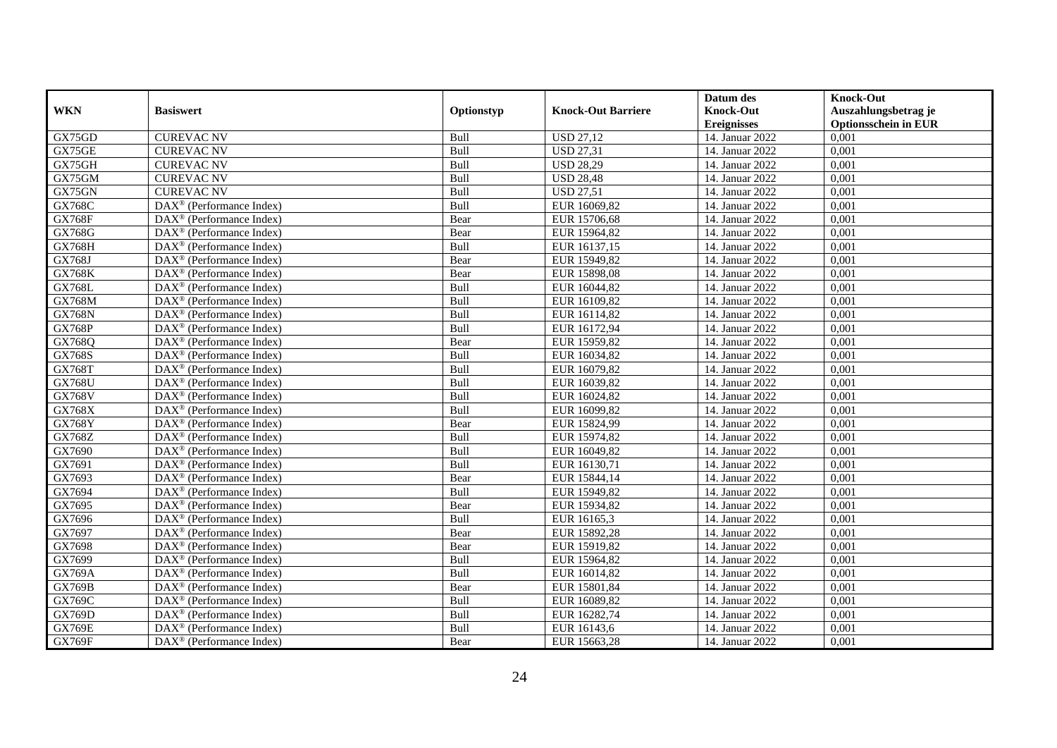|               |                                                         |            |                           | Datum des          | <b>Knock-Out</b>            |
|---------------|---------------------------------------------------------|------------|---------------------------|--------------------|-----------------------------|
| <b>WKN</b>    | <b>Basiswert</b>                                        | Optionstyp | <b>Knock-Out Barriere</b> | <b>Knock-Out</b>   | Auszahlungsbetrag je        |
|               |                                                         |            |                           | <b>Ereignisses</b> | <b>Optionsschein in EUR</b> |
| GX75GD        | <b>CUREVAC NV</b>                                       | Bull       | <b>USD 27,12</b>          | 14. Januar 2022    | 0,001                       |
| GX75GE        | <b>CUREVAC NV</b>                                       | Bull       | <b>USD 27,31</b>          | 14. Januar 2022    | 0,001                       |
| GX75GH        | <b>CUREVAC NV</b>                                       | Bull       | <b>USD 28,29</b>          | 14. Januar 2022    | 0,001                       |
| GX75GM        | <b>CUREVAC NV</b>                                       | Bull       | <b>USD 28,48</b>          | 14. Januar 2022    | 0,001                       |
| GX75GN        | <b>CUREVAC NV</b>                                       | Bull       | <b>USD 27,51</b>          | 14. Januar 2022    | 0,001                       |
| GX768C        | $\overline{\text{DAX}^{\otimes}}$ (Performance Index)   | Bull       | EUR 16069,82              | 14. Januar 2022    | 0,001                       |
| <b>GX768F</b> | $DAX^{\circledast}$ (Performance Index)                 | Bear       | EUR 15706,68              | 14. Januar 2022    | 0,001                       |
| <b>GX768G</b> | $DAX^{\circledR}$ (Performance Index)                   | Bear       | EUR 15964,82              | 14. Januar 2022    | 0,001                       |
| <b>GX768H</b> | $DAX^{\circledR}$ (Performance Index)                   | Bull       | EUR 16137,15              | 14. Januar 2022    | 0,001                       |
| GX768J        | $DAX^{\circledR}$ (Performance Index)                   | Bear       | EUR 15949,82              | 14. Januar 2022    | 0,001                       |
| <b>GX768K</b> | $\overline{\text{DAX}}^{\textcirc}$ (Performance Index) | Bear       | EUR 15898,08              | 14. Januar 2022    | 0,001                       |
| <b>GX768L</b> | $\overline{\text{DAX}^{\otimes}}$ (Performance Index)   | Bull       | EUR 16044,82              | 14. Januar 2022    | 0,001                       |
| GX768M        | $DAX^{\circledast}$ (Performance Index)                 | Bull       | EUR 16109,82              | 14. Januar 2022    | 0,001                       |
| <b>GX768N</b> | DAX <sup>®</sup> (Performance Index)                    | Bull       | EUR 16114,82              | 14. Januar 2022    | 0,001                       |
| <b>GX768P</b> | $DAX^{\circledast}$ (Performance Index)                 | Bull       | EUR 16172,94              | 14. Januar 2022    | 0,001                       |
| GX768Q        | $DAX^{\circledast}$ (Performance Index)                 | Bear       | EUR 15959,82              | 14. Januar 2022    | 0,001                       |
| GX768S        | $DAX^{\circledast}$ (Performance Index)                 | Bull       | EUR 16034,82              | 14. Januar 2022    | 0,001                       |
| <b>GX768T</b> | $\overline{\text{DAX}^{\otimes}}$ (Performance Index)   | Bull       | EUR 16079,82              | 14. Januar 2022    | 0,001                       |
| <b>GX768U</b> | $DAX^{\circledast}$ (Performance Index)                 | Bull       | EUR 16039,82              | 14. Januar 2022    | 0,001                       |
| <b>GX768V</b> | DAX <sup>®</sup> (Performance Index)                    | Bull       | EUR 16024,82              | 14. Januar 2022    | 0,001                       |
| GX768X        | DAX <sup>®</sup> (Performance Index)                    | Bull       | EUR 16099,82              | 14. Januar 2022    | 0,001                       |
| <b>GX768Y</b> | $\overline{\text{DAX}^{\otimes}}$ (Performance Index)   | Bear       | EUR 15824,99              | 14. Januar 2022    | 0,001                       |
| GX768Z        | $\text{DAX}^{\circledast}$ (Performance Index)          | Bull       | EUR 15974,82              | 14. Januar 2022    | 0,001                       |
| GX7690        | DAX <sup>®</sup> (Performance Index)                    | Bull       | EUR 16049,82              | 14. Januar 2022    | 0,001                       |
| GX7691        | $DAX^{\circledR}$ (Performance Index)                   | Bull       | EUR 16130,71              | 14. Januar 2022    | 0,001                       |
| GX7693        | $DAX^{\circledast}$ (Performance Index)                 | Bear       | EUR 15844,14              | 14. Januar 2022    | 0,001                       |
| GX7694        | DAX <sup>®</sup> (Performance Index)                    | Bull       | EUR 15949,82              | 14. Januar 2022    | 0,001                       |
| GX7695        | $DAX^{\circledcirc}$ (Performance Index)                | Bear       | EUR 15934,82              | 14. Januar 2022    | 0,001                       |
| GX7696        | $DAX^{\circledR}$ (Performance Index)                   | Bull       | EUR 16165,3               | 14. Januar 2022    | 0,001                       |
| GX7697        | $DAX^{\circledR}$ (Performance Index)                   | Bear       | EUR 15892,28              | 14. Januar 2022    | 0,001                       |
| GX7698        | DAX <sup>®</sup> (Performance Index)                    | Bear       | EUR 15919,82              | 14. Januar 2022    | 0,001                       |
| GX7699        | $\text{DAX}^{\otimes}$ (Performance Index)              | Bull       | EUR 15964,82              | 14. Januar 2022    | 0,001                       |
| <b>GX769A</b> | $\overline{\text{DAX}^{\otimes}}$ (Performance Index)   | Bull       | EUR 16014,82              | 14. Januar 2022    | 0,001                       |
| <b>GX769B</b> | $\text{DAX}^{\otimes}$ (Performance Index)              | Bear       | EUR 15801,84              | 14. Januar 2022    | 0,001                       |
| GX769C        | $\text{DAX}^{\otimes}$ (Performance Index)              | Bull       | EUR 16089,82              | 14. Januar 2022    | 0,001                       |
| GX769D        | $\text{DAX}^{\otimes}$ (Performance Index)              | Bull       | EUR 16282,74              | 14. Januar 2022    | 0,001                       |
| <b>GX769E</b> | $\text{DAX}^{\otimes}$ (Performance Index)              | Bull       | EUR 16143,6               | 14. Januar 2022    | 0,001                       |
| <b>GX769F</b> | $\text{DAX}^{\circledast}$ (Performance Index)          | Bear       | EUR 15663,28              | 14. Januar 2022    | 0,001                       |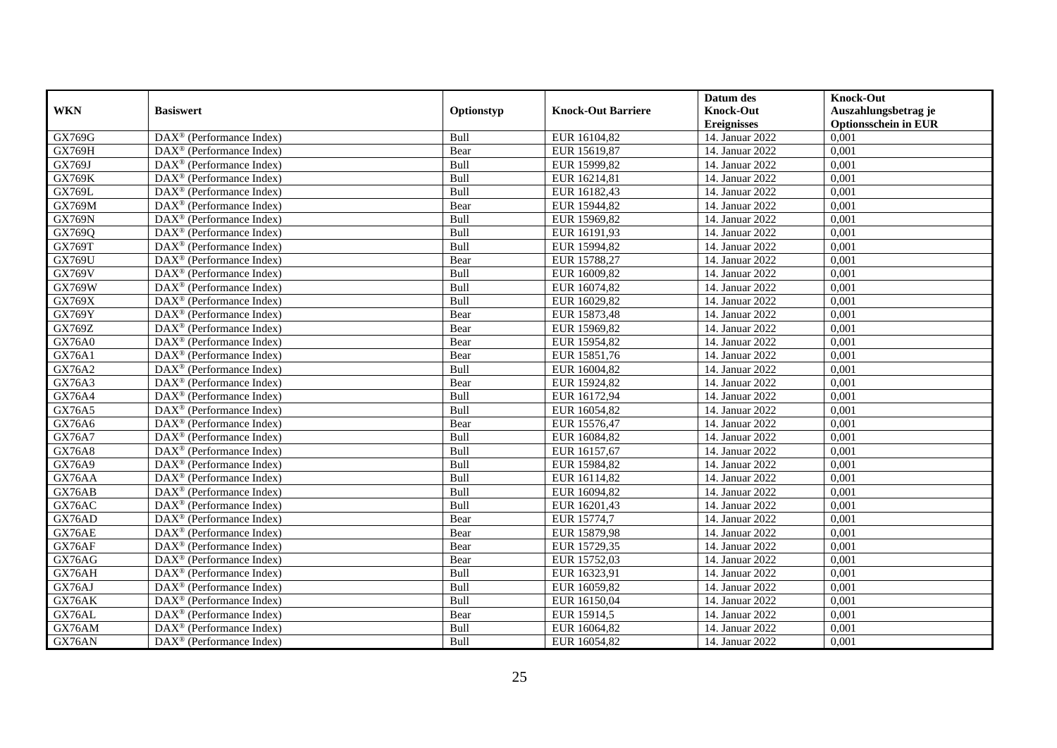|               |                                                         |            |                           | Datum des          | <b>Knock-Out</b>            |
|---------------|---------------------------------------------------------|------------|---------------------------|--------------------|-----------------------------|
| <b>WKN</b>    | <b>Basiswert</b>                                        | Optionstyp | <b>Knock-Out Barriere</b> | <b>Knock-Out</b>   | Auszahlungsbetrag je        |
|               |                                                         |            |                           | <b>Ereignisses</b> | <b>Optionsschein in EUR</b> |
| GX769G        | DAX <sup>®</sup> (Performance Index)                    | Bull       | EUR 16104,82              | 14. Januar 2022    | 0,001                       |
| <b>GX769H</b> | $DAX^{\circledast}$ (Performance Index)                 | Bear       | EUR 15619,87              | 14. Januar 2022    | 0,001                       |
| GX769J        | $DAX^{\circledcirc}$ (Performance Index)                | Bull       | EUR 15999,82              | 14. Januar 2022    | 0,001                       |
| <b>GX769K</b> | $\text{DAX}^{\otimes}$ (Performance Index)              | Bull       | EUR 16214,81              | 14. Januar 2022    | 0,001                       |
| GX769L        | $\text{DAX}^{\circledast}$ (Performance Index)          | Bull       | EUR 16182,43              | 14. Januar 2022    | 0,001                       |
| <b>GX769M</b> | $DAX^{\circledR}$ (Performance Index)                   | Bear       | EUR 15944,82              | 14. Januar 2022    | 0,001                       |
| <b>GX769N</b> | $DAX^{\circledR}$ (Performance Index)                   | Bull       | EUR 15969,82              | 14. Januar 2022    | 0,001                       |
| GX769Q        | DAX <sup>®</sup> (Performance Index)                    | Bull       | EUR 16191,93              | 14. Januar 2022    | 0,001                       |
| GX769T        | $DAX^{\circledast}$ (Performance Index)                 | Bull       | EUR 15994,82              | 14. Januar 2022    | 0,001                       |
| <b>GX769U</b> | $\overline{\text{DAX}^{\otimes}}$ (Performance Index)   | Bear       | EUR 15788,27              | 14. Januar 2022    | 0,001                       |
| GX769V        | $\overline{\text{DAX}^{\otimes}}$ (Performance Index)   | Bull       | EUR 16009,82              | 14. Januar 2022    | 0,001                       |
| GX769W        | DAX <sup>®</sup> (Performance Index)                    | Bull       | EUR 16074,82              | 14. Januar 2022    | 0,001                       |
| GX769X        | $\text{DAX}^{\otimes}$ (Performance Index)              | Bull       | EUR 16029,82              | 14. Januar 2022    | 0,001                       |
| GX769Y        | DAX <sup>®</sup> (Performance Index)                    | Bear       | EUR 15873,48              | 14. Januar 2022    | 0.001                       |
| GX769Z        | DAX <sup>®</sup> (Performance Index)                    | Bear       | EUR 15969,82              | 14. Januar 2022    | 0,001                       |
| GX76A0        | $\overline{\text{DAX}}^{\textcirc}$ (Performance Index) | Bear       | EUR 15954,82              | 14. Januar 2022    | 0,001                       |
| <b>GX76A1</b> | DAX <sup>®</sup> (Performance Index)                    | Bear       | EUR 15851,76              | 14. Januar 2022    | 0,001                       |
| GX76A2        | $\text{DAX}^{\otimes}$ (Performance Index)              | Bull       | EUR 16004,82              | 14. Januar 2022    | 0,001                       |
| GX76A3        | $DAX^{\circledast}$ (Performance Index)                 | Bear       | EUR 15924,82              | 14. Januar 2022    | 0,001                       |
| GX76A4        | $\text{DAX}^{\otimes}$ (Performance Index)              | Bull       | EUR 16172,94              | 14. Januar 2022    | 0,001                       |
| GX76A5        | $\text{DAX}^{\otimes}$ (Performance Index)              | Bull       | EUR 16054,82              | 14. Januar 2022    | 0,001                       |
| GX76A6        | $DAX^{\circledcirc}$ (Performance Index)                | Bear       | EUR 15576,47              | 14. Januar 2022    | 0,001                       |
| <b>GX76A7</b> | $DAX^{\circledast}$ (Performance Index)                 | Bull       | EUR 16084,82              | 14. Januar 2022    | 0,001                       |
| <b>GX76A8</b> | DAX <sup>®</sup> (Performance Index)                    | Bull       | EUR 16157,67              | 14. Januar 2022    | 0,001                       |
| GX76A9        | $DAX^{\circledR}$ (Performance Index)                   | Bull       | EUR 15984,82              | 14. Januar 2022    | 0,001                       |
| GX76AA        | $DAX^{\circledast}$ (Performance Index)                 | Bull       | EUR 16114,82              | 14. Januar 2022    | 0,001                       |
| GX76AB        | $\overline{\text{DAX}^{\otimes}}$ (Performance Index)   | Bull       | EUR 16094,82              | 14. Januar 2022    | 0,001                       |
| GX76AC        | DAX <sup>®</sup> (Performance Index)                    | Bull       | EUR 16201,43              | 14. Januar 2022    | 0,001                       |
| GX76AD        | $DAX^{\circledast}$ (Performance Index)                 | Bear       | EUR 15774,7               | 14. Januar 2022    | 0,001                       |
| GX76AE        | $DAX^{\circledast}$ (Performance Index)                 | Bear       | EUR 15879,98              | 14. Januar 2022    | 0,001                       |
| GX76AF        | $DAX^{\circledast}$ (Performance Index)                 | Bear       | EUR 15729,35              | 14. Januar 2022    | 0,001                       |
| GX76AG        | DAX <sup>®</sup> (Performance Index)                    | Bear       | EUR 15752,03              | 14. Januar 2022    | 0,001                       |
| GX76AH        | $DAX^{\circledR}$ (Performance Index)                   | Bull       | EUR 16323,91              | 14. Januar 2022    | 0,001                       |
| GX76AJ        | $DAX^{\circledast}$ (Performance Index)                 | Bull       | EUR 16059,82              | 14. Januar 2022    | 0,001                       |
| GX76AK        | $\text{DAX}^{\otimes}$ (Performance Index)              | Bull       | EUR 16150,04              | 14. Januar 2022    | 0,001                       |
| GX76AL        | $\text{DAX}^{\otimes}$ (Performance Index)              | Bear       | EUR 15914,5               | 14. Januar 2022    | 0,001                       |
| GX76AM        | $\text{DAX}^{\otimes}$ (Performance Index)              | Bull       | EUR 16064,82              | 14. Januar 2022    | 0,001                       |
| GX76AN        | $\text{DAX}^{\circledast}$ (Performance Index)          | Bull       | EUR 16054,82              | 14. Januar 2022    | 0,001                       |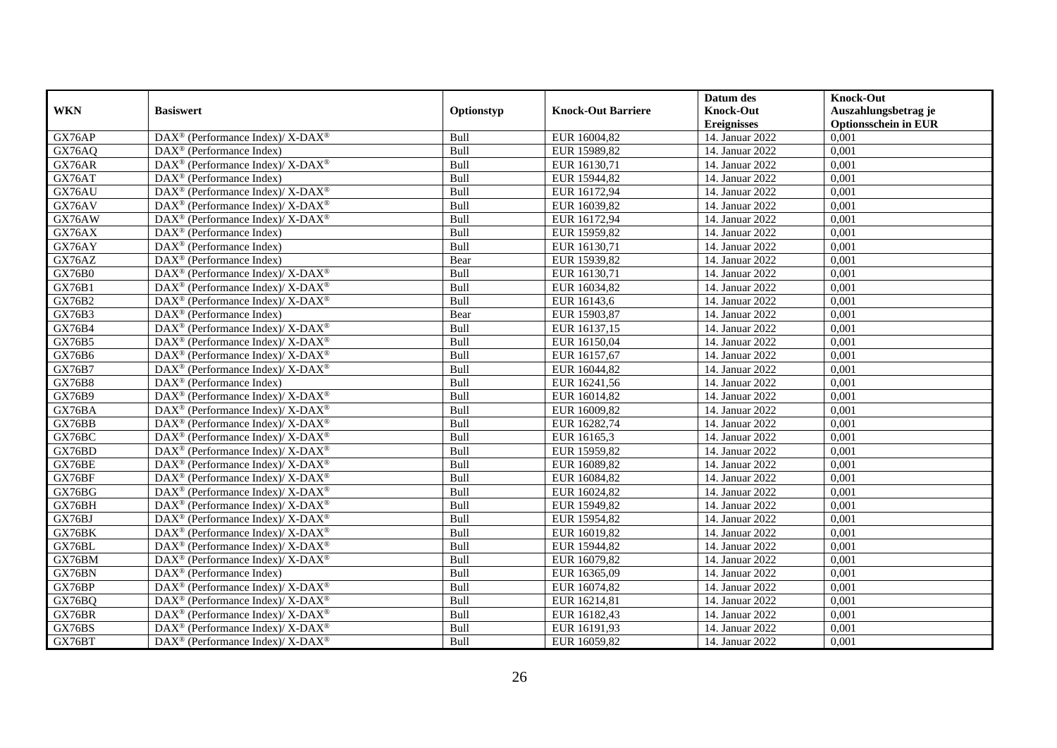|               |                                                                           |                    |                           | Datum des          | <b>Knock-Out</b>            |
|---------------|---------------------------------------------------------------------------|--------------------|---------------------------|--------------------|-----------------------------|
| <b>WKN</b>    | <b>Basiswert</b>                                                          | Optionstyp         | <b>Knock-Out Barriere</b> | <b>Knock-Out</b>   | Auszahlungsbetrag je        |
|               |                                                                           |                    |                           | <b>Ereignisses</b> | <b>Optionsschein in EUR</b> |
| GX76AP        | DAX <sup>®</sup> (Performance Index)/ X-DAX <sup>®</sup>                  | Bull               | EUR 16004,82              | 14. Januar 2022    | 0,001                       |
| GX76AQ        | $\text{DAX}^{\circledast}$ (Performance Index)                            | Bull               | EUR 15989,82              | 14. Januar 2022    | 0,001                       |
| GX76AR        | $DAX^{\circledast}$ (Performance Index)/ X-DAX <sup>®</sup>               | Bull               | EUR 16130,71              | 14. Januar 2022    | 0,001                       |
| GX76AT        | $\text{DAX}^{\otimes}$ (Performance Index)                                | Bull               | EUR 15944,82              | 14. Januar 2022    | 0,001                       |
| GX76AU        | $DAX^{\circledast}$ (Performance Index)/ $\overline{X-DAX^{\circledast}}$ | Bull               | EUR 16172,94              | 14. Januar 2022    | 0,001                       |
| GX76AV        | DAX <sup>®</sup> (Performance Index)/ X-DAX <sup>®</sup>                  | Bull               | EUR 16039,82              | 14. Januar 2022    | 0,001                       |
| GX76AW        | $DAX^{\circledast}$ (Performance Index)/ X-DAX <sup>®</sup>               | Bull               | EUR 16172,94              | 14. Januar 2022    | 0,001                       |
| GX76AX        | $\text{DAX}^{\otimes}$ (Performance Index)                                | Bull               | EUR 15959,82              | 14. Januar 2022    | 0,001                       |
| GX76AY        | $\text{DAX}^{\otimes}$ (Performance Index)                                | Bull               | EUR 16130,71              | 14. Januar 2022    | 0,001                       |
| GX76AZ        | $\text{DAX}^{\circledast}$ (Performance Index)                            | Bear               | EUR 15939,82              | 14. Januar 2022    | 0,001                       |
| <b>GX76B0</b> | $DAX^{\circledast}$ (Performance Index)/ $\overline{X-DAX^{\circledast}}$ | Bull               | EUR 16130,71              | 14. Januar 2022    | 0,001                       |
| <b>GX76B1</b> | DAX <sup>®</sup> (Performance Index)/ X-DAX <sup>®</sup>                  | Bull               | EUR 16034,82              | 14. Januar 2022    | 0,001                       |
| GX76B2        | $DAX^{\circledast}$ (Performance Index)/ X-DAX <sup>®</sup>               | Bull               | EUR 16143,6               | 14. Januar 2022    | 0,001                       |
| GX76B3        | $DAX^{\circledR}$ (Performance Index)                                     | Bear               | EUR 15903,87              | 14. Januar 2022    | 0,001                       |
| GX76B4        | $DAX^{\circledast}$ (Performance Index)/ X-DAX <sup>®</sup>               | Bull               | EUR 16137,15              | 14. Januar 2022    | 0,001                       |
| GX76B5        | DAX <sup>®</sup> (Performance Index)/ X-DAX <sup>®</sup>                  | Bull               | EUR 16150,04              | 14. Januar 2022    | 0,001                       |
| GX76B6        | $DAX^{\circledast}$ (Performance Index)/ X-DAX <sup>®</sup>               | Bull               | EUR 16157,67              | 14. Januar 2022    | 0,001                       |
| GX76B7        | $DAX^{\circledcirc}$ (Performance Index)/ X-DAX <sup>®</sup>              | Bull               | EUR 16044,82              | 14. Januar 2022    | 0,001                       |
| GX76B8        | $\text{DAX}^{\circledast}$ (Performance Index)                            | Bull               | EUR 16241,56              | 14. Januar 2022    | 0,001                       |
| GX76B9        | DAX <sup>®</sup> (Performance Index)/ X-DAX <sup>®</sup>                  | $\overline{B}$ ull | EUR 16014,82              | 14. Januar 2022    | 0,001                       |
| GX76BA        | $DAX^{\circledast}$ (Performance Index)/ X-DAX <sup>®</sup>               | Bull               | EUR 16009,82              | 14. Januar 2022    | 0,001                       |
| GX76BB        | $DAX^{\circledast}$ (Performance Index)/ X-DAX <sup>®</sup>               | Bull               | EUR 16282,74              | 14. Januar 2022    | 0,001                       |
| GX76BC        | DAX <sup>®</sup> (Performance Index)/ X-DAX <sup>®</sup>                  | Bull               | EUR 16165,3               | 14. Januar 2022    | 0,001                       |
| GX76BD        | $DAX^{\circledast}$ (Performance Index)/ X-DAX <sup>®</sup>               | Bull               | EUR 15959,82              | 14. Januar 2022    | 0,001                       |
| GX76BE        | $DAX^{\circledcirc}$ (Performance Index)/ X-DAX <sup>®</sup>              | Bull               | EUR 16089,82              | 14. Januar 2022    | 0,001                       |
| GX76BF        | $DAX^{\circledast}$ (Performance Index)/ X-DAX <sup>®</sup>               | Bull               | EUR 16084,82              | 14. Januar 2022    | 0,001                       |
| GX76BG        | DAX <sup>®</sup> (Performance Index)/ X-DAX <sup>®</sup>                  | Bull               | EUR 16024,82              | 14. Januar 2022    | 0,001                       |
| GX76BH        | DAX <sup>®</sup> (Performance Index)/ X-DAX <sup>®</sup>                  | Bull               | EUR 15949,82              | 14. Januar 2022    | 0,001                       |
| GX76BJ        | $DAX^{\circledast}$ (Performance Index)/ X-DAX <sup>®</sup>               | Bull               | EUR 15954,82              | 14. Januar 2022    | 0,001                       |
| GX76BK        | $DAX^{\circledast}$ (Performance Index)/ X-DAX <sup>®</sup>               | Bull               | EUR 16019,82              | 14. Januar 2022    | 0,001                       |
| GX76BL        | $DAX^{\circledast}$ (Performance Index)/ X-DAX <sup>®</sup>               | Bull               | EUR 15944,82              | 14. Januar 2022    | 0,001                       |
| GX76BM        | $DAX^{\circledast}$ (Performance Index)/ X-DAX <sup>®</sup>               | Bull               | EUR 16079,82              | 14. Januar 2022    | 0,001                       |
| GX76BN        | $DAX^{\circledR}$ (Performance Index)                                     | Bull               | EUR 16365,09              | 14. Januar 2022    | 0,001                       |
| GX76BP        | DAX <sup>®</sup> (Performance Index)/ X-DAX <sup>®</sup>                  | Bull               | EUR 16074,82              | 14. Januar 2022    | 0,001                       |
| GX76BQ        | DAX <sup>®</sup> (Performance Index)/ X-DAX <sup>®</sup>                  | Bull               | EUR 16214,81              | 14. Januar 2022    | 0,001                       |
| GX76BR        | $\text{DAX}^{\circledast}$ (Performance Index)/ X-DAX <sup>®</sup>        | Bull               | EUR 16182,43              | 14. Januar 2022    | 0,001                       |
| GX76BS        | DAX <sup>®</sup> (Performance Index)/ X-DAX <sup>®</sup>                  | Bull               | EUR 16191,93              | 14. Januar 2022    | 0,001                       |
| GX76BT        | $DAX^{\circledast}$ (Performance Index)/ X-DAX <sup>®</sup>               | Bull               | EUR 16059,82              | 14. Januar 2022    | 0,001                       |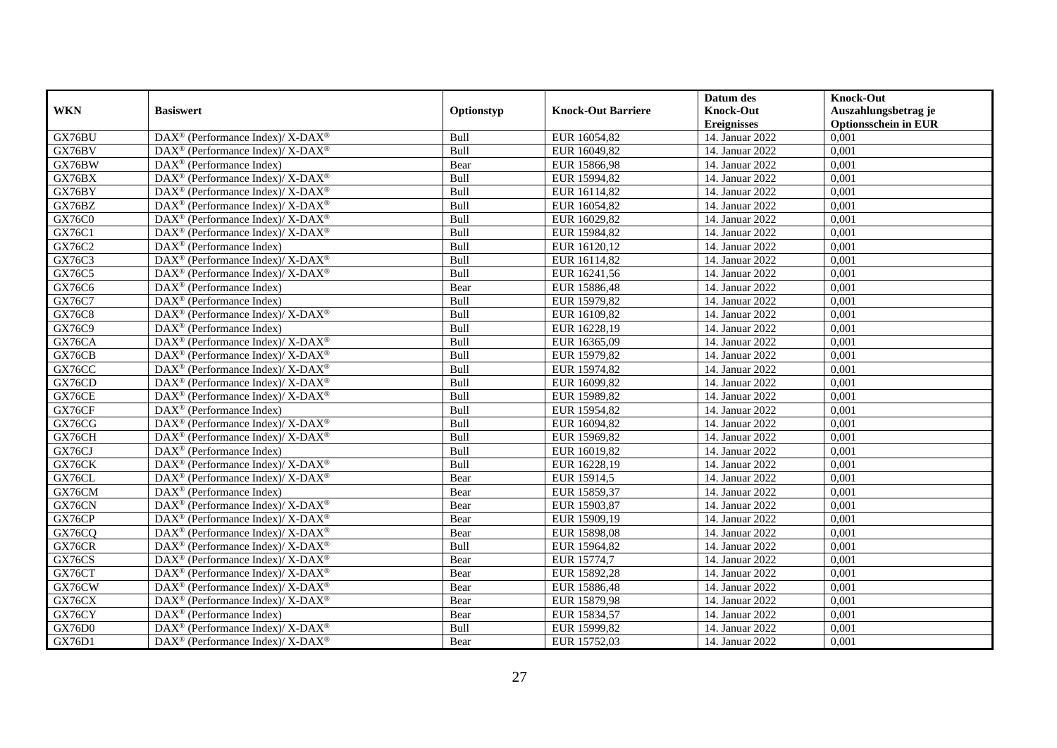|               |                                                                                         |            |                           | Datum des          | <b>Knock-Out</b>            |
|---------------|-----------------------------------------------------------------------------------------|------------|---------------------------|--------------------|-----------------------------|
| <b>WKN</b>    | <b>Basiswert</b>                                                                        | Optionstyp | <b>Knock-Out Barriere</b> | <b>Knock-Out</b>   | Auszahlungsbetrag je        |
|               |                                                                                         |            |                           | <b>Ereignisses</b> | <b>Optionsschein in EUR</b> |
| GX76BU        | DAX <sup>®</sup> (Performance Index)/ X-DAX <sup>®</sup>                                | Bull       | EUR 16054,82              | 14. Januar 2022    | 0,001                       |
| GX76BV        | $DAX^{\circledast}$ (Performance Index)/ X-DAX <sup>®</sup>                             | Bull       | EUR 16049,82              | 14. Januar 2022    | 0,001                       |
| GX76BW        | $DAX^{\circledcirc}$ (Performance Index)                                                | Bear       | EUR 15866,98              | 14. Januar 2022    | 0,001                       |
| GX76BX        | DAX <sup>®</sup> (Performance Index)/ X-DAX <sup>®</sup>                                | Bull       | EUR 15994,82              | 14. Januar 2022    | 0,001                       |
| GX76BY        | DAX <sup>®</sup> (Performance Index)/ X-DAX <sup>®</sup>                                | Bull       | EUR 16114,82              | 14. Januar 2022    | 0,001                       |
| GX76BZ        | DAX <sup>®</sup> (Performance Index)/ X-DAX <sup>®</sup>                                | Bull       | EUR 16054,82              | 14. Januar 2022    | 0,001                       |
| <b>GX76C0</b> | $DAX^{\circledcirc}$ (Performance Index)/ X-DAX <sup>®</sup>                            | Bull       | EUR 16029,82              | 14. Januar 2022    | 0,001                       |
| GX76C1        | $DAX^{\circledast}$ (Performance Index)/ X-DAX <sup>®</sup>                             | Bull       | EUR 15984,82              | 14. Januar 2022    | 0,001                       |
| GX76C2        | $DAX^{\circledast}$ (Performance Index)                                                 | Bull       | EUR 16120,12              | 14. Januar 2022    | 0,001                       |
| GX76C3        | DAX <sup>®</sup> (Performance Index)/ X-DAX <sup>®</sup>                                | Bull       | EUR 16114,82              | 14. Januar 2022    | 0,001                       |
| GX76C5        | $DAX^{\circledast}$ (Performance Index)/ X-DAX <sup>®</sup>                             | Bull       | EUR 16241,56              | 14. Januar 2022    | 0,001                       |
| GX76C6        | $\overline{\text{DAX}^{\otimes}}$ (Performance Index)                                   | Bear       | EUR 15886,48              | 14. Januar 2022    | 0,001                       |
| GX76C7        | $\text{DAX}^{\otimes}$ (Performance Index)                                              | Bull       | EUR 15979,82              | 14. Januar 2022    | 0,001                       |
| GX76C8        | DAX <sup>®</sup> (Performance Index)/ X-DAX <sup>®</sup>                                | Bull       | EUR 16109,82              | 14. Januar 2022    | 0,001                       |
| GX76C9        | $\text{DAX}^{\otimes}$ (Performance Index)                                              | Bull       | EUR 16228,19              | 14. Januar 2022    | 0,001                       |
| GX76CA        | DAX <sup>®</sup> (Performance Index)/ X-DAX <sup>®</sup>                                | Bull       | EUR 16365,09              | 14. Januar 2022    | 0,001                       |
| GX76CB        | DAX <sup>®</sup> (Performance Index)/ X-DAX <sup>®</sup>                                | Bull       | EUR 15979,82              | 14. Januar 2022    | 0,001                       |
| GX76CC        | $DAX^{\circledcirc}$ (Performance Index)/ X-DAX <sup>®</sup>                            | Bull       | EUR 15974.82              | 14. Januar 2022    | 0,001                       |
| GX76CD        | $DAX^{\circledast}$ (Performance Index)/ X-DAX <sup>®</sup>                             | Bull       | EUR 16099,82              | 14. Januar 2022    | 0,001                       |
| GX76CE        | DAX <sup>®</sup> (Performance Index)/ X-DAX <sup>®</sup>                                | Bull       | EUR 15989,82              | 14. Januar 2022    | 0,001                       |
| GX76CF        | $DAX^{\circledR}$ (Performance Index)                                                   | Bull       | EUR 15954,82              | 14. Januar 2022    | 0,001                       |
| GX76CG        | $\text{DAX}^{\circledast}$ (Performance Index)/ $\overline{\text{X-DAX}^{\circledast}}$ | Bull       | EUR 16094,82              | 14. Januar 2022    | 0,001                       |
| GX76CH        | $DAX^{\circledast}$ (Performance Index)/ X-DAX <sup>®</sup>                             | Bull       | EUR 15969,82              | 14. Januar 2022    | 0,001                       |
| GX76CJ        | $\text{DAX}^{\textcircled{n}}$ (Performance Index)                                      | Bull       | EUR 16019,82              | 14. Januar 2022    | 0,001                       |
| GX76CK        | $DAX^{\circledcirc}$ (Performance Index)/ X-DAX <sup>®</sup>                            | Bull       | EUR 16228,19              | 14. Januar 2022    | 0,001                       |
| GX76CL        | DAX <sup>®</sup> (Performance Index)/ X-DAX <sup>®</sup>                                | Bear       | EUR 15914,5               | 14. Januar 2022    | 0,001                       |
| GX76CM        | DAX <sup>®</sup> (Performance Index)                                                    | Bear       | EUR 15859,37              | 14. Januar 2022    | 0,001                       |
| GX76CN        | $DAX^{\circledast}$ (Performance Index)/ $\overline{X-DAX^{\circledast}}$               | Bear       | EUR 15903,87              | 14. Januar 2022    | 0,001                       |
| GX76CP        | DAX <sup>®</sup> (Performance Index)/ X-DAX <sup>®</sup>                                | Bear       | EUR 15909,19              | 14. Januar 2022    | 0,001                       |
| GX76CQ        | $DAX^{\circledast}$ (Performance Index)/ X-DAX <sup>®</sup>                             | Bear       | EUR 15898,08              | 14. Januar 2022    | 0,001                       |
| GX76CR        | $DAX^{\circledast}$ (Performance Index)/ X-DAX <sup>®</sup>                             | Bull       | EUR 15964,82              | 14. Januar 2022    | 0,001                       |
| GX76CS        | $DAX^{\circledast}$ (Performance Index)/ X-DAX <sup>®</sup>                             | Bear       | EUR 15774,7               | 14. Januar 2022    | 0,001                       |
| GX76CT        | $DAX^{\circledast}$ (Performance Index)/ X-DAX <sup>®</sup>                             | Bear       | EUR 15892,28              | 14. Januar 2022    | 0,001                       |
| GX76CW        | DAX <sup>®</sup> (Performance Index)/ X-DAX <sup>®</sup>                                | Bear       | EUR 15886,48              | 14. Januar 2022    | 0,001                       |
| GX76CX        | $DAX^{\circledast}$ (Performance Index)/ X-DAX <sup>®</sup>                             | Bear       | EUR 15879,98              | 14. Januar 2022    | 0,001                       |
| GX76CY        | $DAX^{\circledR}$ (Performance Index)                                                   | Bear       | EUR 15834,57              | 14. Januar 2022    | 0,001                       |
| GX76D0        | DAX <sup>®</sup> (Performance Index)/ X-DAX <sup>®</sup>                                | Bull       | EUR 15999,82              | 14. Januar 2022    | 0,001                       |
| GX76D1        | $DAX^{\circledast}$ (Performance Index)/ X-DAX <sup>®</sup>                             | Bear       | EUR 15752,03              | 14. Januar 2022    | 0,001                       |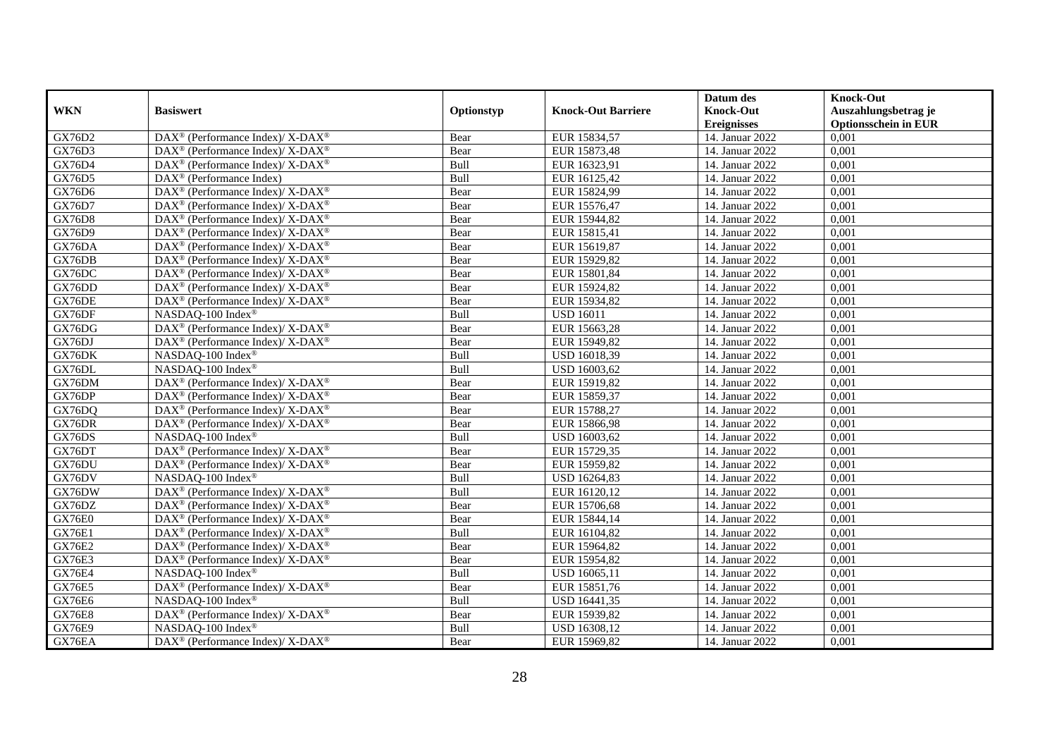|               |                                                                           |            |                           | Datum des          | <b>Knock-Out</b>            |
|---------------|---------------------------------------------------------------------------|------------|---------------------------|--------------------|-----------------------------|
| <b>WKN</b>    | <b>Basiswert</b>                                                          | Optionstyp | <b>Knock-Out Barriere</b> | <b>Knock-Out</b>   | Auszahlungsbetrag je        |
|               |                                                                           |            |                           | <b>Ereignisses</b> | <b>Optionsschein in EUR</b> |
| GX76D2        | DAX <sup>®</sup> (Performance Index)/ X-DAX <sup>®</sup>                  | Bear       | EUR 15834,57              | 14. Januar 2022    | 0,001                       |
| GX76D3        | $DAX^{\circledast}$ (Performance Index)/ X-DAX <sup>®</sup>               | Bear       | EUR 15873,48              | 14. Januar 2022    | 0,001                       |
| GX76D4        | DAX <sup>®</sup> (Performance Index)/ X-DAX <sup>®</sup>                  | Bull       | EUR 16323,91              | 14. Januar 2022    | 0,001                       |
| GX76D5        | $\text{DAX}^{\otimes}$ (Performance Index)                                | Bull       | EUR 16125,42              | 14. Januar 2022    | 0,001                       |
| GX76D6        | $DAX^{\circledast}$ (Performance Index)/ $\overline{X-DAX^{\circledast}}$ | Bear       | EUR 15824,99              | 14. Januar 2022    | 0,001                       |
| GX76D7        | DAX <sup>®</sup> (Performance Index)/ X-DAX <sup>®</sup>                  | Bear       | EUR 15576,47              | 14. Januar 2022    | 0,001                       |
| <b>GX76D8</b> | $DAX^{\circledcirc}$ (Performance Index)/ X-DAX <sup>®</sup>              | Bear       | EUR 15944,82              | 14. Januar 2022    | 0,001                       |
| GX76D9        | $DAX^{\circledast}$ (Performance Index)/ X-DAX <sup>®</sup>               | Bear       | EUR 15815,41              | 14. Januar 2022    | 0,001                       |
| GX76DA        | DAX <sup>®</sup> (Performance Index)/ X-DAX <sup>®</sup>                  | Bear       | EUR 15619,87              | 14. Januar 2022    | 0,001                       |
| GX76DB        | $DAX^{\circledast}$ (Performance Index)/ X-DAX <sup>®</sup>               | Bear       | EUR 15929,82              | 14. Januar 2022    | 0,001                       |
| GX76DC        | DAX <sup>®</sup> (Performance Index)/ X-DAX <sup>®</sup>                  | Bear       | EUR 15801,84              | 14. Januar 2022    | 0,001                       |
| GX76DD        | DAX <sup>®</sup> (Performance Index)/ X-DAX <sup>®</sup>                  | Bear       | EUR 15924,82              | 14. Januar 2022    | 0,001                       |
| GX76DE        | $DAX^{\circledast}$ (Performance Index)/ X-DAX <sup>®</sup>               | Bear       | EUR 15934,82              | 14. Januar 2022    | 0,001                       |
| GX76DF        | NASDAQ-100 Index®                                                         | Bull       | <b>USD 16011</b>          | 14. Januar 2022    | 0,001                       |
| GX76DG        | $DAX^{\circledast}$ (Performance Index)/ X-DAX <sup>®</sup>               | Bear       | EUR 15663,28              | 14. Januar 2022    | 0,001                       |
| GX76DJ        | DAX <sup>®</sup> (Performance Index)/ X-DAX <sup>®</sup>                  | Bear       | EUR 15949,82              | 14. Januar 2022    | 0,001                       |
| GX76DK        | NASDAQ-100 Index®                                                         | Bull       | USD 16018,39              | 14. Januar 2022    | 0,001                       |
| GX76DL        | NASDAO-100 Index®                                                         | Bull       | USD 16003,62              | 14. Januar 2022    | 0,001                       |
| GX76DM        | DAX <sup>®</sup> (Performance Index)/ X-DAX <sup>®</sup>                  | Bear       | EUR 15919,82              | 14. Januar 2022    | 0,001                       |
| GX76DP        | $DAX^{\circledast}$ (Performance Index)/ X-DAX <sup>®</sup>               | Bear       | EUR 15859,37              | 14. Januar 2022    | 0,001                       |
| GX76DQ        | DAX <sup>®</sup> (Performance Index)/ X-DAX <sup>®</sup>                  | Bear       | EUR 15788,27              | 14. Januar 2022    | 0,001                       |
| GX76DR        | DAX <sup>®</sup> (Performance Index)/ X-DAX <sup>®</sup>                  | Bear       | EUR 15866,98              | 14. Januar 2022    | 0,001                       |
| GX76DS        | NASDAQ-100 Index®                                                         | Bull       | USD 16003,62              | 14. Januar 2022    | 0,001                       |
| GX76DT        | DAX <sup>®</sup> (Performance Index)/ X-DAX <sup>®</sup>                  | Bear       | EUR 15729,35              | 14. Januar 2022    | 0,001                       |
| GX76DU        | $DAX^{\circledcirc}$ (Performance Index)/ X-DAX <sup>®</sup>              | Bear       | EUR 15959,82              | 14. Januar 2022    | 0,001                       |
| GX76DV        | NASDAQ-100 Index®                                                         | Bull       | USD 16264,83              | 14. Januar 2022    | 0,001                       |
| GX76DW        | $DAX^{\circledast}$ (Performance Index)/ $\overline{X-DAX^{\circledast}}$ | Bull       | EUR 16120,12              | 14. Januar 2022    | 0,001                       |
| GX76DZ        | DAX <sup>®</sup> (Performance Index)/ X-DAX <sup>®</sup>                  | Bear       | EUR 15706,68              | 14. Januar 2022    | 0,001                       |
| GX76E0        | DAX <sup>®</sup> (Performance Index)/ X-DAX <sup>®</sup>                  | Bear       | EUR 15844,14              | 14. Januar 2022    | 0,001                       |
| <b>GX76E1</b> | $DAX^{\circledast}$ (Performance Index)/ X-DAX <sup>®</sup>               | Bull       | EUR 16104,82              | 14. Januar 2022    | 0,001                       |
| <b>GX76E2</b> | $DAX^{\circledast}$ (Performance Index)/ X-DAX <sup>®</sup>               | Bear       | EUR 15964,82              | 14. Januar 2022    | 0,001                       |
| <b>GX76E3</b> | DAX <sup>®</sup> (Performance Index)/ X-DAX <sup>®</sup>                  | Bear       | EUR 15954,82              | 14. Januar 2022    | 0,001                       |
| GX76E4        | NASDAQ-100 Index®                                                         | Bull       | USD 16065,11              | 14. Januar 2022    | 0,001                       |
| <b>GX76E5</b> | DAX <sup>®</sup> (Performance Index)/ X-DAX <sup>®</sup>                  | Bear       | EUR 15851,76              | 14. Januar 2022    | 0,001                       |
| <b>GX76E6</b> | NASDAQ-100 Index®                                                         | Bull       | USD 16441,35              | 14. Januar 2022    | 0,001                       |
| <b>GX76E8</b> | DAX <sup>®</sup> (Performance Index)/ X-DAX <sup>®</sup>                  | Bear       | EUR 15939,82              | 14. Januar 2022    | 0,001                       |
| <b>GX76E9</b> | NASDAQ-100 Index®                                                         | Bull       | USD 16308,12              | 14. Januar 2022    | 0,001                       |
| GX76EA        | $DAX^{\circledast}$ (Performance Index)/ X-DAX <sup>®</sup>               | Bear       | EUR 15969,82              | 14. Januar 2022    | 0,001                       |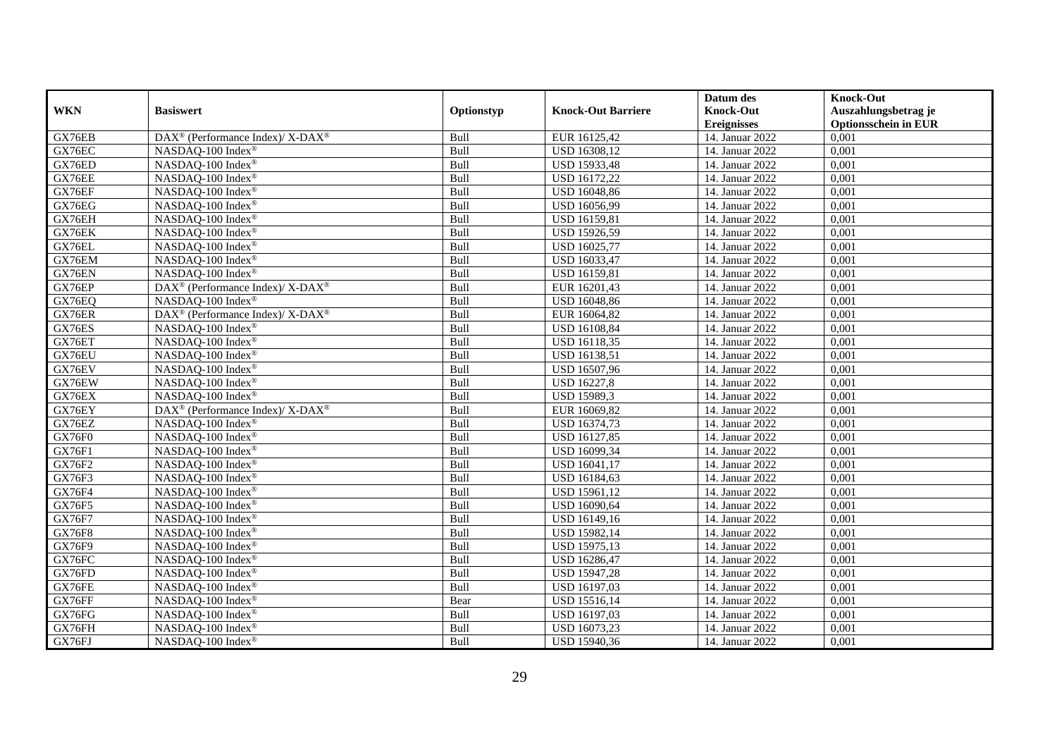|               |                                                              |            |                           | Datum des          | <b>Knock-Out</b>            |
|---------------|--------------------------------------------------------------|------------|---------------------------|--------------------|-----------------------------|
| <b>WKN</b>    | <b>Basiswert</b>                                             | Optionstyp | <b>Knock-Out Barriere</b> | <b>Knock-Out</b>   | Auszahlungsbetrag je        |
|               |                                                              |            |                           | <b>Ereignisses</b> | <b>Optionsschein in EUR</b> |
| GX76EB        | DAX <sup>®</sup> (Performance Index)/ X-DAX <sup>®</sup>     | Bull       | EUR 16125,42              | 14. Januar 2022    | 0,001                       |
| GX76EC        | NASDAQ-100 Index®                                            | Bull       | USD 16308,12              | 14. Januar 2022    | 0,001                       |
| GX76ED        | NASDAQ-100 Index®                                            | Bull       | USD 15933,48              | 14. Januar 2022    | 0,001                       |
| GX76EE        | NASDAQ-100 Index®                                            | Bull       | USD 16172,22              | 14. Januar 2022    | 0,001                       |
| GX76EF        | NASDAQ-100 Index®                                            | Bull       | USD 16048,86              | 14. Januar 2022    | 0,001                       |
| GX76EG        | NASDAQ-100 Index®                                            | Bull       | USD 16056,99              | 14. Januar 2022    | 0,001                       |
| GX76EH        | NASDAQ-100 Index®                                            | Bull       | USD 16159,81              | 14. Januar 2022    | 0,001                       |
| GX76EK        | NASDAQ-100 Index®                                            | Bull       | USD 15926,59              | 14. Januar 2022    | 0,001                       |
| GX76EL        | NASDAQ-100 Index®                                            | Bull       | USD 16025,77              | 14. Januar 2022    | 0,001                       |
| GX76EM        | NASDAQ-100 Index®                                            | Bull       | USD 16033,47              | 14. Januar 2022    | 0,001                       |
| GX76EN        | NASDAQ-100 Index®                                            | Bull       | USD 16159,81              | 14. Januar 2022    | 0,001                       |
| GX76EP        | DAX <sup>®</sup> (Performance Index)/ X-DAX <sup>®</sup>     | Bull       | EUR 16201,43              | 14. Januar 2022    | 0,001                       |
| GX76EQ        | NASDAQ-100 Index®                                            | Bull       | USD 16048,86              | 14. Januar 2022    | 0,001                       |
| GX76ER        | $DAX^{\circledcirc}$ (Performance Index)/ X-DAX <sup>®</sup> | Bull       | EUR 16064.82              | 14. Januar 2022    | 0.001                       |
| GX76ES        | NASDAQ-100 Index®                                            | Bull       | USD 16108,84              | 14. Januar 2022    | 0,001                       |
| GX76ET        | NASDAQ-100 Index®                                            | Bull       | USD 16118,35              | 14. Januar 2022    | 0,001                       |
| GX76EU        | NASDAQ-100 Index®                                            | Bull       | <b>USD 16138,51</b>       | 14. Januar 2022    | 0,001                       |
| GX76EV        | NASDAQ-100 Index®                                            | Bull       | USD 16507,96              | 14. Januar 2022    | 0,001                       |
| GX76EW        | NASDAQ-100 Index®                                            | Bull       | <b>USD 16227,8</b>        | 14. Januar 2022    | 0,001                       |
| GX76EX        | NASDAQ-100 Index®                                            | Bull       | USD 15989,3               | 14. Januar 2022    | 0,001                       |
| GX76EY        | DAX <sup>®</sup> (Performance Index)/ X-DAX <sup>®</sup>     | Bull       | EUR 16069,82              | 14. Januar 2022    | 0,001                       |
| GX76EZ        | NASDAQ-100 Index®                                            | Bull       | USD 16374,73              | 14. Januar 2022    | 0,001                       |
| GX76F0        | NASDAQ-100 Index®                                            | Bull       | USD 16127,85              | 14. Januar 2022    | 0,001                       |
| <b>GX76F1</b> | NASDAQ-100 Index®                                            | Bull       | USD 16099,34              | 14. Januar 2022    | 0,001                       |
| GX76F2        | NASDAQ-100 Index®                                            | Bull       | USD 16041,17              | 14. Januar 2022    | 0,001                       |
| GX76F3        | NASDAQ-100 Index®                                            | Bull       | USD 16184,63              | 14. Januar 2022    | 0,001                       |
| <b>GX76F4</b> | NASDAQ-100 Index®                                            | Bull       | USD 15961,12              | 14. Januar 2022    | 0,001                       |
| GX76F5        | NASDAQ-100 Index®                                            | Bull       | USD 16090,64              | 14. Januar 2022    | 0,001                       |
| GX76F7        | NASDAQ-100 Index®                                            | Bull       | USD 16149,16              | 14. Januar 2022    | 0,001                       |
| <b>GX76F8</b> | NASDAQ-100 Index®                                            | Bull       | USD 15982,14              | 14. Januar 2022    | 0,001                       |
| GX76F9        | NASDAQ-100 Index®                                            | Bull       | USD 15975,13              | 14. Januar 2022    | 0,001                       |
| GX76FC        | NASDAQ-100 Index®                                            | Bull       | USD 16286,47              | 14. Januar 2022    | 0,001                       |
| GX76FD        | NASDAQ-100 Index®                                            | Bull       | USD 15947,28              | 14. Januar 2022    | 0,001                       |
| GX76FE        | NASDAQ-100 Index®                                            | Bull       | USD 16197,03              | 14. Januar 2022    | 0,001                       |
| GX76FF        | NASDAQ-100 Index®                                            | Bear       | USD 15516,14              | 14. Januar 2022    | 0,001                       |
| GX76FG        | NASDAQ-100 Index®                                            | Bull       | USD 16197,03              | 14. Januar 2022    | 0,001                       |
| GX76FH        | NASDAQ-100 Index <sup>®</sup>                                | Bull       | USD 16073,23              | 14. Januar 2022    | 0,001                       |
| GX76FJ        | NASDAQ-100 Index®                                            | Bull       | USD 15940,36              | 14. Januar 2022    | 0,001                       |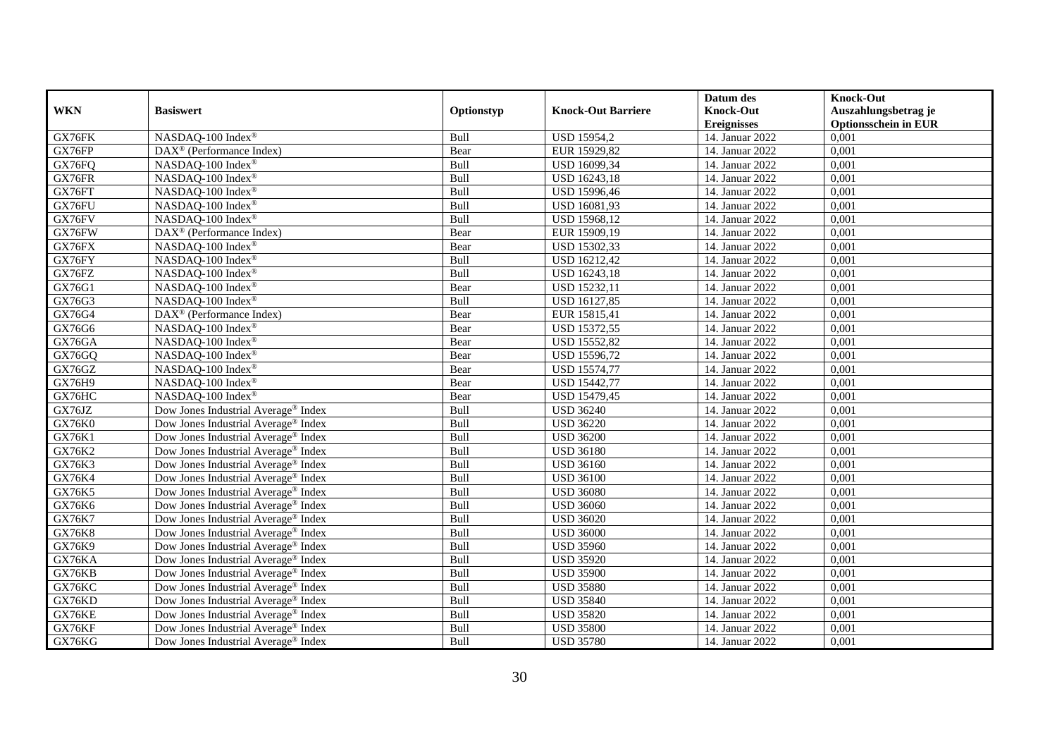|               |                                                 |            |                           | Datum des          | <b>Knock-Out</b>            |
|---------------|-------------------------------------------------|------------|---------------------------|--------------------|-----------------------------|
| <b>WKN</b>    | <b>Basiswert</b>                                | Optionstyp | <b>Knock-Out Barriere</b> | <b>Knock-Out</b>   | Auszahlungsbetrag je        |
|               |                                                 |            |                           | <b>Ereignisses</b> | <b>Optionsschein in EUR</b> |
| GX76FK        | NASDAQ-100 Index®                               | Bull       | <b>USD 15954,2</b>        | 14. Januar 2022    | 0,001                       |
| GX76FP        | $\text{DAX}^{\otimes}$ (Performance Index)      | Bear       | EUR 15929,82              | 14. Januar 2022    | 0,001                       |
| GX76FQ        | NASDAQ-100 Index®                               | Bull       | USD 16099,34              | 14. Januar 2022    | 0,001                       |
| GX76FR        | NASDAQ-100 Index®                               | Bull       | USD 16243,18              | 14. Januar 2022    | 0,001                       |
| GX76FT        | NASDAQ-100 Index®                               | Bull       | <b>USD 15996,46</b>       | 14. Januar 2022    | 0,001                       |
| GX76FU        | NASDAQ-100 Index®                               | Bull       | USD 16081,93              | 14. Januar 2022    | 0,001                       |
| GX76FV        | NASDAQ-100 Index®                               | Bull       | USD 15968,12              | 14. Januar 2022    | 0,001                       |
| GX76FW        | DAX <sup>®</sup> (Performance Index)            | Bear       | EUR 15909,19              | 14. Januar 2022    | 0,001                       |
| GX76FX        | NASDAQ-100 Index®                               | Bear       | USD 15302,33              | 14. Januar 2022    | 0,001                       |
| GX76FY        | NASDAQ-100 Index®                               | Bull       | USD 16212,42              | 14. Januar 2022    | 0,001                       |
| GX76FZ        | NASDAQ-100 Index®                               | Bull       | <b>USD 16243,18</b>       | 14. Januar 2022    | 0,001                       |
| GX76G1        | NASDAQ-100 Index®                               | Bear       | <b>USD 15232,11</b>       | 14. Januar 2022    | 0,001                       |
| GX76G3        | NASDAQ-100 Index®                               | Bull       | USD 16127,85              | 14. Januar 2022    | 0,001                       |
| GX76G4        | DAX <sup>®</sup> (Performance Index)            | Bear       | EUR 15815,41              | 14. Januar 2022    | 0,001                       |
| GX76G6        | NASDAQ-100 Index <sup>®</sup>                   | Bear       | <b>USD 15372,55</b>       | 14. Januar 2022    | 0,001                       |
| GX76GA        | NASDAQ-100 Index®                               | Bear       | <b>USD 15552,82</b>       | 14. Januar 2022    | 0,001                       |
| GX76GQ        | NASDAQ-100 Index®                               | Bear       | USD 15596,72              | 14. Januar 2022    | 0,001                       |
| GX76GZ        | NASDAQ-100 Index®                               | Bear       | <b>USD 15574,77</b>       | 14. Januar 2022    | 0,001                       |
| GX76H9        | NASDAQ-100 Index®                               | Bear       | USD 15442,77              | 14. Januar 2022    | 0,001                       |
| GX76HC        | NASDAQ-100 Index®                               | Bear       | USD 15479,45              | 14. Januar 2022    | 0,001                       |
| GX76JZ        | Dow Jones Industrial Average® Index             | Bull       | <b>USD 36240</b>          | 14. Januar 2022    | 0,001                       |
| <b>GX76K0</b> | Dow Jones Industrial Average <sup>®</sup> Index | Bull       | <b>USD 36220</b>          | 14. Januar 2022    | 0,001                       |
| GX76K1        | Dow Jones Industrial Average® Index             | Bull       | <b>USD 36200</b>          | 14. Januar 2022    | 0,001                       |
| GX76K2        | Dow Jones Industrial Average® Index             | Bull       | <b>USD 36180</b>          | 14. Januar 2022    | 0,001                       |
| GX76K3        | Dow Jones Industrial Average <sup>®</sup> Index | Bull       | <b>USD 36160</b>          | 14. Januar 2022    | 0,001                       |
| GX76K4        | Dow Jones Industrial Average <sup>®</sup> Index | Bull       | <b>USD 36100</b>          | 14. Januar 2022    | 0,001                       |
| GX76K5        | Dow Jones Industrial Average <sup>®</sup> Index | Bull       | <b>USD 36080</b>          | 14. Januar 2022    | 0,001                       |
| GX76K6        | Dow Jones Industrial Average <sup>®</sup> Index | Bull       | <b>USD 36060</b>          | 14. Januar 2022    | 0,001                       |
| GX76K7        | Dow Jones Industrial Average® Index             | Bull       | <b>USD 36020</b>          | 14. Januar 2022    | 0,001                       |
| GX76K8        | Dow Jones Industrial Average® Index             | Bull       | <b>USD 36000</b>          | 14. Januar 2022    | 0,001                       |
| GX76K9        | Dow Jones Industrial Average <sup>®</sup> Index | Bull       | <b>USD 35960</b>          | 14. Januar 2022    | 0,001                       |
| GX76KA        | Dow Jones Industrial Average <sup>®</sup> Index | Bull       | <b>USD 35920</b>          | 14. Januar 2022    | 0.001                       |
| GX76KB        | Dow Jones Industrial Average <sup>®</sup> Index | Bull       | <b>USD 35900</b>          | 14. Januar 2022    | 0,001                       |
| GX76KC        | Dow Jones Industrial Average <sup>®</sup> Index | Bull       | <b>USD 35880</b>          | 14. Januar 2022    | 0,001                       |
| GX76KD        | Dow Jones Industrial Average <sup>®</sup> Index | Bull       | <b>USD 35840</b>          | 14. Januar 2022    | 0,001                       |
| GX76KE        | Dow Jones Industrial Average <sup>®</sup> Index | Bull       | <b>USD 35820</b>          | 14. Januar 2022    | 0,001                       |
| GX76KF        | Dow Jones Industrial Average <sup>®</sup> Index | Bull       | <b>USD 35800</b>          | 14. Januar 2022    | 0,001                       |
| GX76KG        | Dow Jones Industrial Average <sup>®</sup> Index | Bull       | <b>USD 35780</b>          | 14. Januar 2022    | 0,001                       |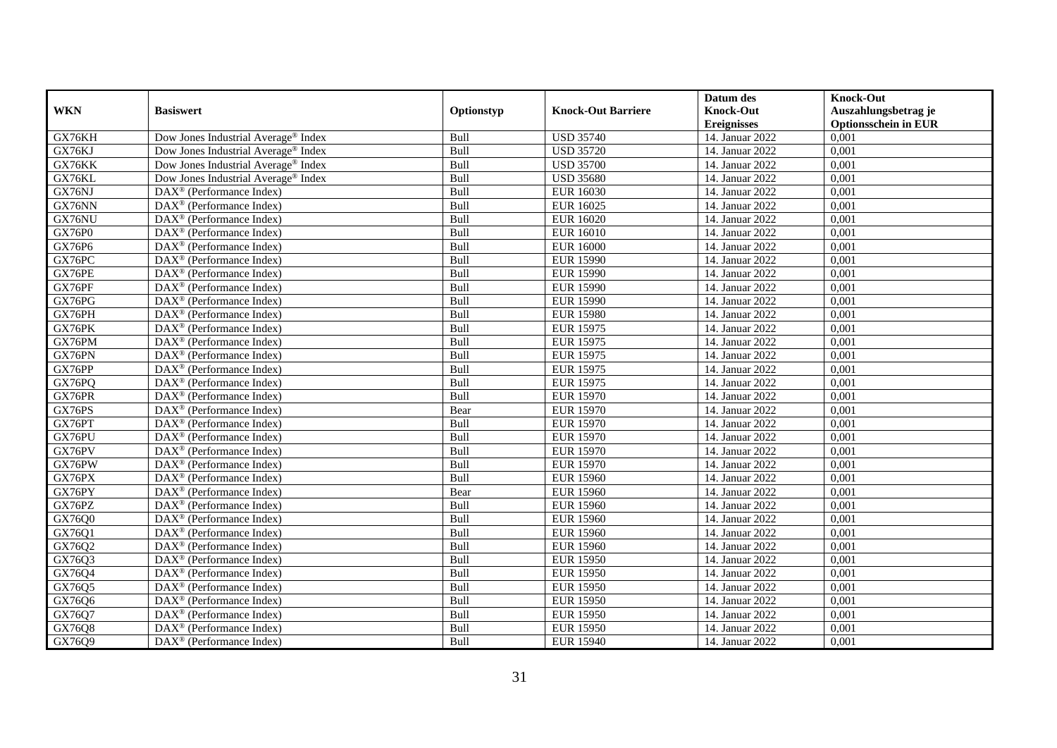|               |                                                       |            |                           | Datum des          | <b>Knock-Out</b>            |
|---------------|-------------------------------------------------------|------------|---------------------------|--------------------|-----------------------------|
| <b>WKN</b>    | <b>Basiswert</b>                                      | Optionstyp | <b>Knock-Out Barriere</b> | <b>Knock-Out</b>   | Auszahlungsbetrag je        |
|               |                                                       |            |                           | <b>Ereignisses</b> | <b>Optionsschein in EUR</b> |
| GX76KH        | Dow Jones Industrial Average® Index                   | Bull       | <b>USD 35740</b>          | 14. Januar 2022    | 0,001                       |
| GX76KJ        | Dow Jones Industrial Average <sup>®</sup> Index       | Bull       | <b>USD 35720</b>          | 14. Januar 2022    | 0,001                       |
| GX76KK        | Dow Jones Industrial Average <sup>®</sup> Index       | Bull       | <b>USD 35700</b>          | 14. Januar 2022    | 0,001                       |
| GX76KL        | Dow Jones Industrial Average® Index                   | Bull       | <b>USD 35680</b>          | 14. Januar 2022    | 0,001                       |
| GX76NJ        | $\text{DAX}^{\circledast}$ (Performance Index)        | Bull       | <b>EUR 16030</b>          | 14. Januar 2022    | 0,001                       |
| GX76NN        | $DAX^{\circledast}$ (Performance Index)               | Bull       | <b>EUR 16025</b>          | 14. Januar 2022    | 0,001                       |
| GX76NU        | $DAX^{\circledR}$ (Performance Index)                 | Bull       | <b>EUR 16020</b>          | 14. Januar 2022    | 0,001                       |
| <b>GX76P0</b> | DAX <sup>®</sup> (Performance Index)                  | Bull       | <b>EUR 16010</b>          | 14. Januar 2022    | 0,001                       |
| GX76P6        | $DAX^{\circledast}$ (Performance Index)               | Bull       | <b>EUR 16000</b>          | 14. Januar 2022    | 0,001                       |
| GX76PC        | $\overline{\text{DAX}^{\otimes}}$ (Performance Index) | Bull       | <b>EUR 15990</b>          | 14. Januar 2022    | 0,001                       |
| GX76PE        | $\overline{\text{DAX}^{\otimes}}$ (Performance Index) | Bull       | <b>EUR 15990</b>          | 14. Januar 2022    | 0,001                       |
| GX76PF        | $\text{DAX}^{\circledast}$ (Performance Index)        | Bull       | <b>EUR 15990</b>          | 14. Januar 2022    | 0,001                       |
| GX76PG        | $\text{DAX}^{\otimes}$ (Performance Index)            | Bull       | <b>EUR 15990</b>          | 14. Januar 2022    | 0,001                       |
| GX76PH        | DAX <sup>®</sup> (Performance Index)                  | Bull       | <b>EUR 15980</b>          | 14. Januar 2022    | 0.001                       |
| GX76PK        | DAX <sup>®</sup> (Performance Index)                  | Bull       | <b>EUR 15975</b>          | 14. Januar 2022    | 0,001                       |
| GX76PM        | DAX <sup>®</sup> (Performance Index)                  | Bull       | <b>EUR 15975</b>          | 14. Januar 2022    | 0,001                       |
| GX76PN        | DAX <sup>®</sup> (Performance Index)                  | Bull       | <b>EUR 15975</b>          | 14. Januar 2022    | 0,001                       |
| GX76PP        | $\text{DAX}^{\otimes}$ (Performance Index)            | Bull       | <b>EUR 15975</b>          | 14. Januar 2022    | 0,001                       |
| GX76PQ        | $DAX^{\circledast}$ (Performance Index)               | Bull       | <b>EUR 15975</b>          | 14. Januar 2022    | 0,001                       |
| GX76PR        | $\text{DAX}^{\otimes}$ (Performance Index)            | Bull       | <b>EUR 15970</b>          | 14. Januar 2022    | 0,001                       |
| GX76PS        | $\text{DAX}^{\otimes}$ (Performance Index)            | Bear       | <b>EUR 15970</b>          | 14. Januar 2022    | 0,001                       |
| GX76PT        | $DAX^{\circledcirc}$ (Performance Index)              | Bull       | <b>EUR 15970</b>          | 14. Januar 2022    | 0,001                       |
| GX76PU        | $DAX^{\circledR}$ (Performance Index)                 | Bull       | <b>EUR 15970</b>          | 14. Januar 2022    | 0,001                       |
| GX76PV        | DAX <sup>®</sup> (Performance Index)                  | Bull       | <b>EUR 15970</b>          | 14. Januar 2022    | 0,001                       |
| GX76PW        | $DAX^{\circledcirc}$ (Performance Index)              | Bull       | <b>EUR 15970</b>          | 14. Januar 2022    | 0,001                       |
| GX76PX        | $DAX^{\circledast}$ (Performance Index)               | Bull       | <b>EUR 15960</b>          | 14. Januar 2022    | 0,001                       |
| GX76PY        | $\overline{\text{DAX}^{\otimes}}$ (Performance Index) | Bear       | <b>EUR 15960</b>          | 14. Januar 2022    | 0,001                       |
| GX76PZ        | DAX <sup>®</sup> (Performance Index)                  | Bull       | <b>EUR 15960</b>          | 14. Januar 2022    | 0,001                       |
| GX76Q0        | $DAX^{\circledast}$ (Performance Index)               | Bull       | <b>EUR 15960</b>          | 14. Januar 2022    | 0,001                       |
| GX76Q1        | $\text{DAX}^{\textcircled{}}$ (Performance Index)     | Bull       | <b>EUR 15960</b>          | 14. Januar 2022    | 0,001                       |
| GX76Q2        | $DAX^{\circledR}$ (Performance Index)                 | Bull       | <b>EUR 15960</b>          | 14. Januar 2022    | 0,001                       |
| GX76Q3        | DAX <sup>®</sup> (Performance Index)                  | Bull       | <b>EUR 15950</b>          | 14. Januar 2022    | 0,001                       |
| GX76Q4        | $\overline{\text{DAX}^{\otimes}}$ (Performance Index) | Bull       | <b>EUR 15950</b>          | 14. Januar 2022    | 0,001                       |
| GX76Q5        | DAX <sup>®</sup> (Performance Index)                  | Bull       | <b>EUR 15950</b>          | 14. Januar 2022    | 0,001                       |
| GX76Q6        | $\text{DAX}^{\circledast}$ (Performance Index)        | Bull       | <b>EUR 15950</b>          | 14. Januar 2022    | 0,001                       |
| GX76Q7        | $\text{DAX}^{\otimes}$ (Performance Index)            | Bull       | <b>EUR 15950</b>          | 14. Januar 2022    | 0,001                       |
| GX76Q8        | $\text{DAX}^{\otimes}$ (Performance Index)            | Bull       | <b>EUR 15950</b>          | 14. Januar 2022    | 0,001                       |
| GX76Q9        | $\text{DAX}^{\circledast}$ (Performance Index)        | Bull       | <b>EUR 15940</b>          | 14. Januar 2022    | 0,001                       |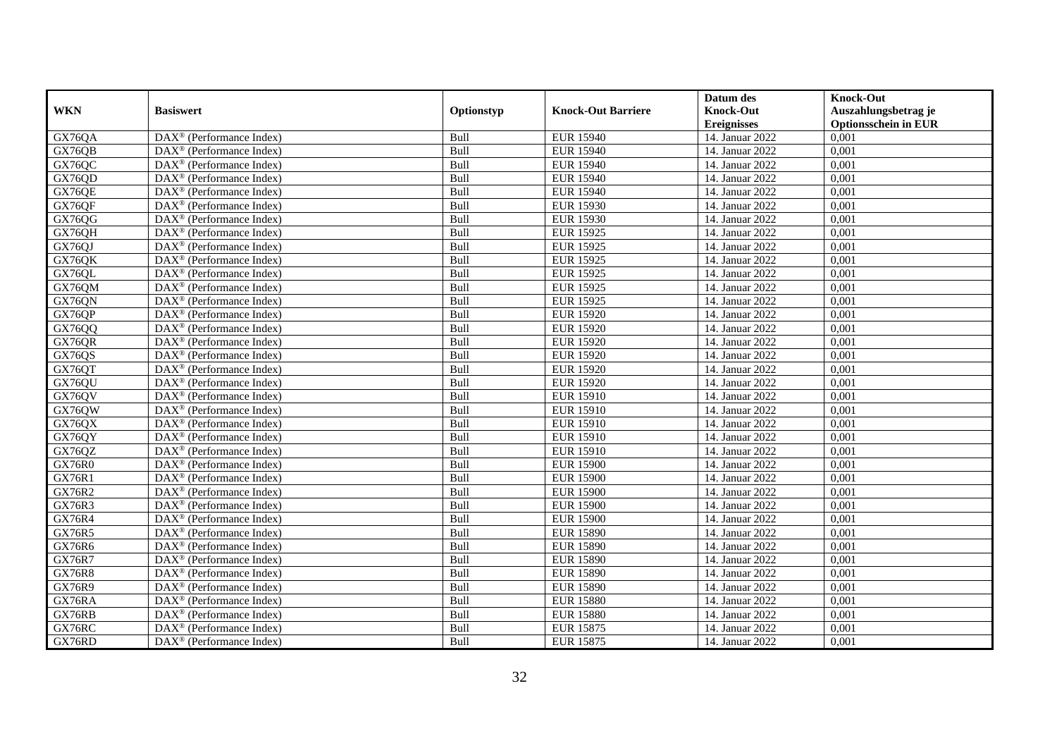|               |                                                         |            |                           | Datum des          | <b>Knock-Out</b>            |
|---------------|---------------------------------------------------------|------------|---------------------------|--------------------|-----------------------------|
| <b>WKN</b>    | <b>Basiswert</b>                                        | Optionstyp | <b>Knock-Out Barriere</b> | <b>Knock-Out</b>   | Auszahlungsbetrag je        |
|               |                                                         |            |                           | <b>Ereignisses</b> | <b>Optionsschein in EUR</b> |
| GX76QA        | DAX <sup>®</sup> (Performance Index)                    | Bull       | <b>EUR 15940</b>          | 14. Januar 2022    | 0,001                       |
| GX76QB        | $DAX^{\circledast}$ (Performance Index)                 | Bull       | <b>EUR 15940</b>          | 14. Januar 2022    | 0,001                       |
| GX76QC        | $DAX^{\circledcirc}$ (Performance Index)                | Bull       | <b>EUR 15940</b>          | 14. Januar 2022    | 0,001                       |
| GX76QD        | $\text{DAX}^{\otimes}$ (Performance Index)              | Bull       | <b>EUR 15940</b>          | 14. Januar 2022    | 0,001                       |
| GX76QE        | $\text{DAX}^{\circledast}$ (Performance Index)          | Bull       | <b>EUR 15940</b>          | 14. Januar 2022    | 0,001                       |
| GX76QF        | $DAX^{\circledR}$ (Performance Index)                   | Bull       | <b>EUR 15930</b>          | 14. Januar 2022    | 0,001                       |
| GX76QG        | $DAX^{\circledR}$ (Performance Index)                   | Bull       | <b>EUR 15930</b>          | 14. Januar 2022    | 0,001                       |
| GX76QH        | DAX <sup>®</sup> (Performance Index)                    | Bull       | <b>EUR 15925</b>          | 14. Januar 2022    | 0,001                       |
| GX76QJ        | $DAX^{\circledast}$ (Performance Index)                 | Bull       | <b>EUR 15925</b>          | 14. Januar 2022    | 0,001                       |
| GX76QK        | $\overline{\text{DAX}^{\otimes}}$ (Performance Index)   | Bull       | <b>EUR 15925</b>          | 14. Januar 2022    | 0,001                       |
| GX76QL        | $\overline{\text{DAX}^{\otimes}}$ (Performance Index)   | Bull       | <b>EUR 15925</b>          | 14. Januar 2022    | 0,001                       |
| GX76QM        | $\text{DAX}^{\circledast}$ (Performance Index)          | Bull       | <b>EUR 15925</b>          | 14. Januar 2022    | 0,001                       |
| GX76QN        | $\text{DAX}^{\otimes}$ (Performance Index)              | Bull       | <b>EUR 15925</b>          | 14. Januar 2022    | 0,001                       |
| GX76QP        | DAX <sup>®</sup> (Performance Index)                    | Bull       | <b>EUR 15920</b>          | 14. Januar 2022    | 0.001                       |
| GX76QQ        | DAX <sup>®</sup> (Performance Index)                    | Bull       | <b>EUR 15920</b>          | 14. Januar 2022    | 0,001                       |
| GX76QR        | $\overline{\text{DAX}}^{\textcirc}$ (Performance Index) | Bull       | <b>EUR 15920</b>          | 14. Januar 2022    | 0,001                       |
| GX76QS        | DAX <sup>®</sup> (Performance Index)                    | Bull       | <b>EUR 15920</b>          | 14. Januar 2022    | 0,001                       |
| GX76QT        | $DAX^{\circledast}$ (Performance Index)                 | Bull       | <b>EUR 15920</b>          | 14. Januar 2022    | 0,001                       |
| GX76QU        | $DAX^{\circledast}$ (Performance Index)                 | Bull       | <b>EUR 15920</b>          | 14. Januar 2022    | 0,001                       |
| GX76QV        | $\text{DAX}^{\otimes}$ (Performance Index)              | Bull       | <b>EUR 15910</b>          | 14. Januar 2022    | 0,001                       |
| GX76QW        | $\text{DAX}^{\otimes}$ (Performance Index)              | Bull       | <b>EUR 15910</b>          | 14. Januar 2022    | 0,001                       |
| GX76QX        | $DAX^{\circledcirc}$ (Performance Index)                | Bull       | <b>EUR 15910</b>          | 14. Januar 2022    | 0,001                       |
| GX76QY        | $\text{DAX}^{\otimes}$ (Performance Index)              | Bull       | <b>EUR 15910</b>          | 14. Januar 2022    | 0,001                       |
| GX76QZ        | DAX <sup>®</sup> (Performance Index)                    | Bull       | <b>EUR 15910</b>          | 14. Januar 2022    | 0,001                       |
| <b>GX76R0</b> | $DAX^{\circledcirc}$ (Performance Index)                | Bull       | <b>EUR 15900</b>          | 14. Januar 2022    | 0,001                       |
| GX76R1        | $DAX^{\circledast}$ (Performance Index)                 | Bull       | <b>EUR 15900</b>          | 14. Januar 2022    | 0,001                       |
| GX76R2        | $\overline{\text{DAX}^{\otimes}}$ (Performance Index)   | Bull       | <b>EUR 15900</b>          | 14. Januar 2022    | 0,001                       |
| <b>GX76R3</b> | DAX <sup>®</sup> (Performance Index)                    | Bull       | <b>EUR 15900</b>          | 14. Januar 2022    | 0,001                       |
| <b>GX76R4</b> | $DAX^{\circledast}$ (Performance Index)                 | Bull       | <b>EUR 15900</b>          | 14. Januar 2022    | 0,001                       |
| GX76R5        | $\text{DAX}^{\textcircled{}}$ (Performance Index)       | Bull       | <b>EUR 15890</b>          | 14. Januar 2022    | 0,001                       |
| GX76R6        | $DAX^{\circledR}$ (Performance Index)                   | Bull       | <b>EUR 15890</b>          | 14. Januar 2022    | 0,001                       |
| <b>GX76R7</b> | DAX <sup>®</sup> (Performance Index)                    | Bull       | <b>EUR 15890</b>          | 14. Januar 2022    | 0,001                       |
| <b>GX76R8</b> | $DAX^{\circledR}$ (Performance Index)                   | Bull       | <b>EUR 15890</b>          | 14. Januar 2022    | 0,001                       |
| <b>GX76R9</b> | $DAX^{\circledast}$ (Performance Index)                 | Bull       | <b>EUR 15890</b>          | 14. Januar 2022    | 0,001                       |
| GX76RA        | $\text{DAX}^{\otimes}$ (Performance Index)              | Bull       | <b>EUR 15880</b>          | 14. Januar 2022    | 0,001                       |
| GX76RB        | $\text{DAX}^{\otimes}$ (Performance Index)              | Bull       | <b>EUR 15880</b>          | 14. Januar 2022    | 0,001                       |
| GX76RC        | $DAX^{\circledast}$ (Performance Index)                 | Bull       | <b>EUR 15875</b>          | 14. Januar 2022    | 0,001                       |
| GX76RD        | $\text{DAX}^{\textcircled{}}$ (Performance Index)       | Bull       | <b>EUR 15875</b>          | 14. Januar 2022    | 0,001                       |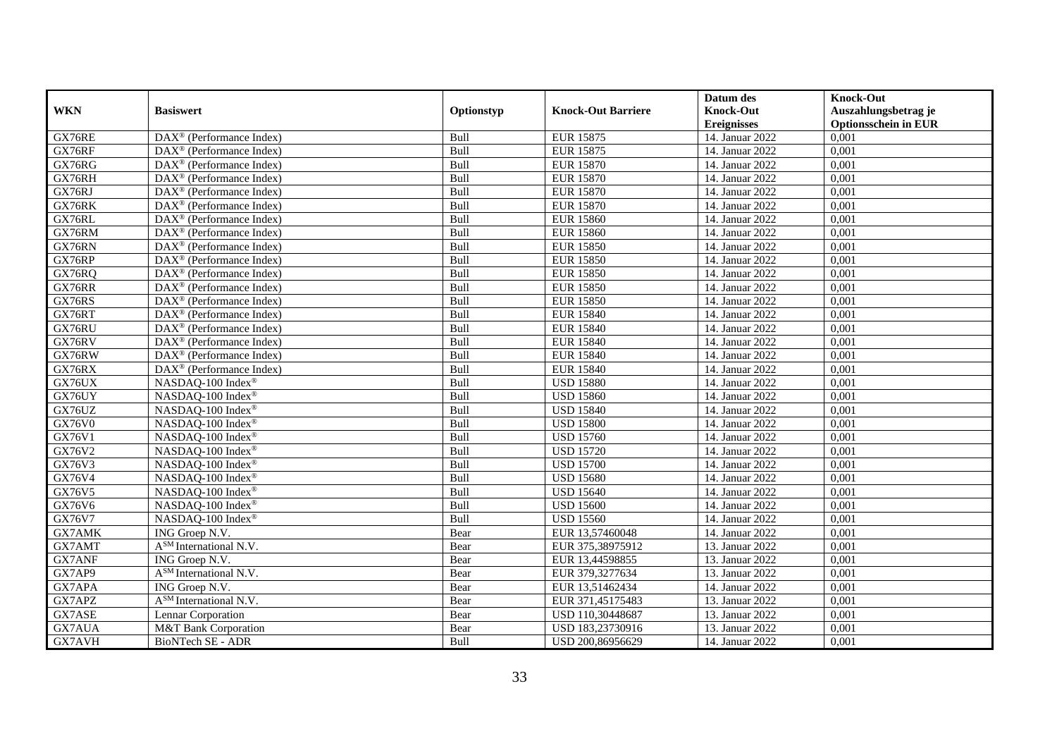|               |                                                         |            |                           | Datum des          | <b>Knock-Out</b>            |
|---------------|---------------------------------------------------------|------------|---------------------------|--------------------|-----------------------------|
| <b>WKN</b>    | <b>Basiswert</b>                                        | Optionstyp | <b>Knock-Out Barriere</b> | <b>Knock-Out</b>   | Auszahlungsbetrag je        |
|               |                                                         |            |                           | <b>Ereignisses</b> | <b>Optionsschein in EUR</b> |
| GX76RE        | DAX <sup>®</sup> (Performance Index)                    | Bull       | <b>EUR 15875</b>          | 14. Januar 2022    | 0,001                       |
| GX76RF        | $DAX^{\circledast}$ (Performance Index)                 | Bull       | <b>EUR 15875</b>          | 14. Januar 2022    | 0,001                       |
| GX76RG        | $DAX^{\circledcirc}$ (Performance Index)                | Bull       | <b>EUR 15870</b>          | 14. Januar 2022    | 0,001                       |
| GX76RH        | $DAX^{\circledcirc}$ (Performance Index)                | Bull       | <b>EUR 15870</b>          | 14. Januar 2022    | 0,001                       |
| GX76RJ        | DAX <sup>®</sup> (Performance Index)                    | Bull       | <b>EUR 15870</b>          | 14. Januar 2022    | 0,001                       |
| GX76RK        | $DAX^{\circledR}$ (Performance Index)                   | Bull       | <b>EUR 15870</b>          | 14. Januar 2022    | 0,001                       |
| GX76RL        | $DAX^{\circledR}$ (Performance Index)                   | Bull       | <b>EUR 15860</b>          | 14. Januar 2022    | 0,001                       |
| GX76RM        | $DAX^{\circledast}$ (Performance Index)                 | Bull       | <b>EUR 15860</b>          | 14. Januar 2022    | 0,001                       |
| GX76RN        | $DAX^{\circledast}$ (Performance Index)                 | Bull       | <b>EUR 15850</b>          | 14. Januar 2022    | 0,001                       |
| GX76RP        | $DAX^{\circledast}$ (Performance Index)                 | Bull       | <b>EUR 15850</b>          | 14. Januar 2022    | 0,001                       |
| GX76RQ        | $\overline{\text{DAX}}^{\textcirc}$ (Performance Index) | Bull       | <b>EUR 15850</b>          | 14. Januar 2022    | 0,001                       |
| GX76RR        | $\overline{\text{DAX}^{\otimes}}$ (Performance Index)   | Bull       | <b>EUR 15850</b>          | 14. Januar 2022    | 0,001                       |
| GX76RS        | $DAX^{\circledast}$ (Performance Index)                 | Bull       | <b>EUR 15850</b>          | 14. Januar 2022    | 0,001                       |
| GX76RT        | $DAX^{\circledR}$ (Performance Index)                   | Bull       | <b>EUR 15840</b>          | 14. Januar 2022    | 0,001                       |
| GX76RU        | $DAX^{\circledast}$ (Performance Index)                 | Bull       | <b>EUR 15840</b>          | 14. Januar 2022    | 0,001                       |
| GX76RV        | $DAX^{\circledast}$ (Performance Index)                 | Bull       | <b>EUR 15840</b>          | 14. Januar 2022    | 0,001                       |
| GX76RW        | DAX <sup>®</sup> (Performance Index)                    | Bull       | <b>EUR 15840</b>          | 14. Januar 2022    | 0,001                       |
| GX76RX        | $DAX^{\circledast}$ (Performance Index)                 | Bull       | <b>EUR 15840</b>          | 14. Januar 2022    | 0,001                       |
| GX76UX        | NASDAQ-100 Index®                                       | Bull       | <b>USD 15880</b>          | 14. Januar 2022    | 0,001                       |
| GX76UY        | NASDAQ-100 Index®                                       | Bull       | <b>USD 15860</b>          | 14. Januar 2022    | 0,001                       |
| GX76UZ        | NASDAQ-100 Index®                                       | Bull       | <b>USD 15840</b>          | 14. Januar 2022    | 0,001                       |
| <b>GX76V0</b> | NASDAQ-100 Index®                                       | Bull       | <b>USD 15800</b>          | 14. Januar 2022    | 0,001                       |
| GX76V1        | NASDAQ-100 Index®                                       | Bull       | <b>USD 15760</b>          | 14. Januar 2022    | 0,001                       |
| GX76V2        | NASDAQ-100 Index®                                       | Bull       | <b>USD 15720</b>          | 14. Januar 2022    | 0,001                       |
| GX76V3        | NASDAQ-100 Index®                                       | Bull       | <b>USD 15700</b>          | 14. Januar 2022    | 0,001                       |
| GX76V4        | NASDAQ-100 Index®                                       | Bull       | <b>USD 15680</b>          | 14. Januar 2022    | 0,001                       |
| GX76V5        | NASDAQ-100 Index®                                       | Bull       | <b>USD 15640</b>          | 14. Januar 2022    | 0,001                       |
| GX76V6        | NASDAQ-100 Index®                                       | Bull       | <b>USD 15600</b>          | 14. Januar 2022    | 0,001                       |
| GX76V7        | NASDAQ-100 Index®                                       | Bull       | <b>USD 15560</b>          | 14. Januar 2022    | 0,001                       |
| GX7AMK        | ING Groep N.V.                                          | Bear       | EUR 13,57460048           | 14. Januar 2022    | 0,001                       |
| GX7AMT        | A <sup>SM</sup> International N.V.                      | Bear       | EUR 375,38975912          | 13. Januar 2022    | 0,001                       |
| GX7ANF        | ING Groep N.V.                                          | Bear       | EUR 13,44598855           | 13. Januar 2022    | 0,001                       |
| GX7AP9        | A <sup>SM</sup> International N.V.                      | Bear       | EUR 379,3277634           | 13. Januar 2022    | 0,001                       |
| GX7APA        | ING Groep N.V.                                          | Bear       | EUR 13,51462434           | 14. Januar 2022    | 0,001                       |
| GX7APZ        | A <sup>SM</sup> International N.V.                      | Bear       | EUR 371,45175483          | 13. Januar 2022    | 0,001                       |
| GX7ASE        | Lennar Corporation                                      | Bear       | USD 110,30448687          | 13. Januar 2022    | 0,001                       |
| GX7AUA        | M&T Bank Corporation                                    | Bear       | USD 183,23730916          | 13. Januar 2022    | 0,001                       |
| GX7AVH        | BioNTech SE - ADR                                       | Bull       | USD 200,86956629          | 14. Januar 2022    | 0,001                       |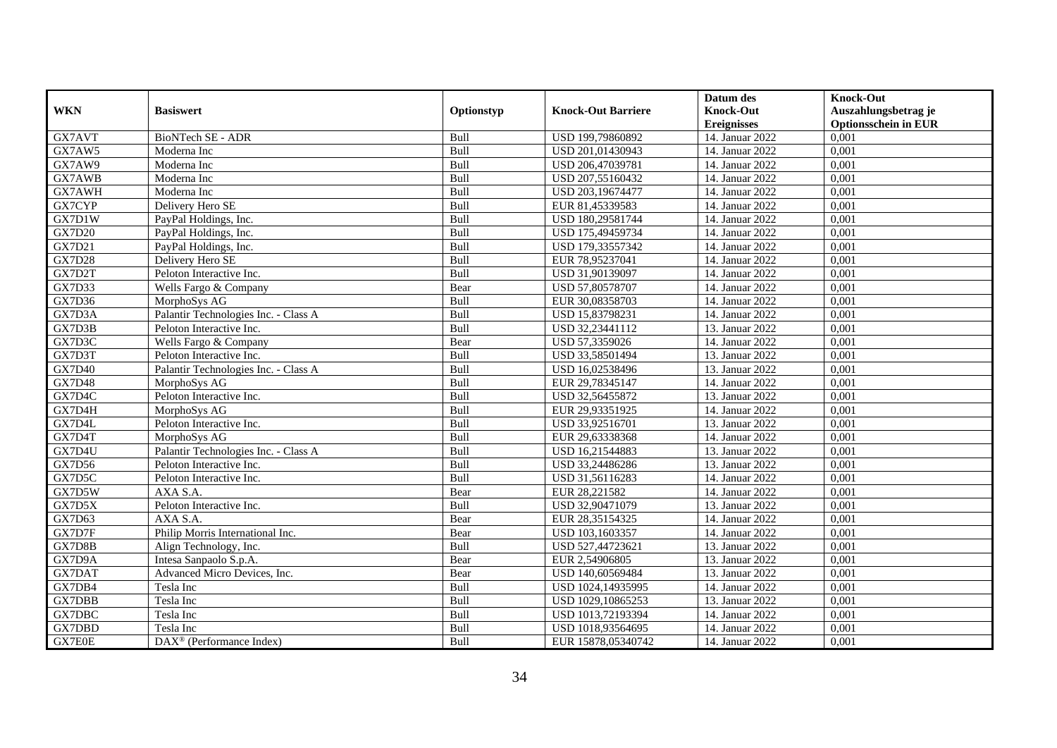|               |                                         |            |                           | Datum des          | <b>Knock-Out</b>            |
|---------------|-----------------------------------------|------------|---------------------------|--------------------|-----------------------------|
| <b>WKN</b>    | <b>Basiswert</b>                        | Optionstyp | <b>Knock-Out Barriere</b> | <b>Knock-Out</b>   | Auszahlungsbetrag je        |
|               |                                         |            |                           | <b>Ereignisses</b> | <b>Optionsschein in EUR</b> |
| GX7AVT        | BioNTech SE - ADR                       | Bull       | USD 199,79860892          | 14. Januar 2022    | 0,001                       |
| GX7AW5        | Moderna Inc                             | Bull       | USD 201,01430943          | 14. Januar 2022    | 0,001                       |
| GX7AW9        | Moderna Inc                             | Bull       | USD 206,47039781          | 14. Januar 2022    | 0,001                       |
| GX7AWB        | Moderna Inc                             | Bull       | USD 207,55160432          | 14. Januar 2022    | 0,001                       |
| GX7AWH        | Moderna Inc                             | Bull       | USD 203,19674477          | 14. Januar 2022    | 0,001                       |
| GX7CYP        | Delivery Hero SE                        | Bull       | EUR 81,45339583           | 14. Januar 2022    | 0,001                       |
| GX7D1W        | PayPal Holdings, Inc.                   | Bull       | USD 180,29581744          | 14. Januar 2022    | 0,001                       |
| <b>GX7D20</b> | PayPal Holdings, Inc.                   | Bull       | USD 175,49459734          | 14. Januar 2022    | 0,001                       |
| GX7D21        | PayPal Holdings, Inc.                   | Bull       | USD 179,33557342          | 14. Januar 2022    | 0,001                       |
| <b>GX7D28</b> | Delivery Hero SE                        | Bull       | EUR 78,95237041           | 14. Januar 2022    | 0,001                       |
| GX7D2T        | Peloton Interactive Inc.                | Bull       | USD 31,90139097           | 14. Januar 2022    | 0,001                       |
| GX7D33        | Wells Fargo & Company                   | Bear       | USD 57,80578707           | 14. Januar 2022    | 0,001                       |
| GX7D36        | MorphoSys AG                            | Bull       | EUR 30,08358703           | 14. Januar 2022    | 0,001                       |
| GX7D3A        | Palantir Technologies Inc. - Class A    | Bull       | USD 15,83798231           | 14. Januar 2022    | 0,001                       |
| GX7D3B        | Peloton Interactive Inc.                | Bull       | USD 32,23441112           | 13. Januar 2022    | 0,001                       |
| GX7D3C        | Wells Fargo & Company                   | Bear       | USD 57,3359026            | 14. Januar 2022    | 0,001                       |
| GX7D3T        | Peloton Interactive Inc.                | Bull       | USD 33,58501494           | 13. Januar 2022    | 0,001                       |
| <b>GX7D40</b> | Palantir Technologies Inc. - Class A    | Bull       | USD 16,02538496           | 13. Januar 2022    | 0,001                       |
| <b>GX7D48</b> | MorphoSys AG                            | Bull       | EUR 29,78345147           | 14. Januar 2022    | 0,001                       |
| GX7D4C        | Peloton Interactive Inc.                | Bull       | USD 32,56455872           | 13. Januar 2022    | 0,001                       |
| GX7D4H        | MorphoSys AG                            | Bull       | EUR 29,93351925           | 14. Januar 2022    | 0,001                       |
| GX7D4L        | Peloton Interactive Inc.                | Bull       | USD 33,92516701           | 13. Januar 2022    | 0,001                       |
| GX7D4T        | MorphoSys AG                            | Bull       | EUR 29,63338368           | 14. Januar 2022    | 0,001                       |
| GX7D4U        | Palantir Technologies Inc. - Class A    | Bull       | USD 16,21544883           | 13. Januar 2022    | 0,001                       |
| <b>GX7D56</b> | Peloton Interactive Inc.                | Bull       | USD 33,24486286           | 13. Januar 2022    | 0,001                       |
| GX7D5C        | Peloton Interactive Inc.                | Bull       | USD 31,56116283           | 14. Januar 2022    | 0,001                       |
| GX7D5W        | AXA S.A.                                | Bear       | EUR 28,221582             | 14. Januar 2022    | 0,001                       |
| GX7D5X        | Peloton Interactive Inc.                | Bull       | USD 32,90471079           | 13. Januar 2022    | 0,001                       |
| GX7D63        | AXA S.A.                                | Bear       | EUR 28,35154325           | 14. Januar 2022    | 0,001                       |
| GX7D7F        | Philip Morris International Inc.        | Bear       | USD 103.1603357           | 14. Januar 2022    | 0.001                       |
| GX7D8B        | Align Technology, Inc.                  | Bull       | USD 527,44723621          | 13. Januar 2022    | 0,001                       |
| GX7D9A        | Intesa Sanpaolo S.p.A.                  | Bear       | EUR 2,54906805            | 13. Januar 2022    | 0,001                       |
| GX7DAT        | Advanced Micro Devices, Inc.            | Bear       | USD 140,60569484          | 13. Januar 2022    | 0,001                       |
| GX7DB4        | Tesla Inc                               | Bull       | USD 1024,14935995         | 14. Januar 2022    | 0,001                       |
| <b>GX7DBB</b> | Tesla Inc                               | Bull       | USD 1029,10865253         | 13. Januar 2022    | 0,001                       |
| GX7DBC        | Tesla Inc                               | Bull       | USD 1013,72193394         | 14. Januar 2022    | 0,001                       |
| GX7DBD        | Tesla Inc                               | Bull       | USD 1018,93564695         | 14. Januar 2022    | 0,001                       |
| GX7E0E        | $DAX^{\circledast}$ (Performance Index) | Bull       | EUR 15878,05340742        | 14. Januar 2022    | 0,001                       |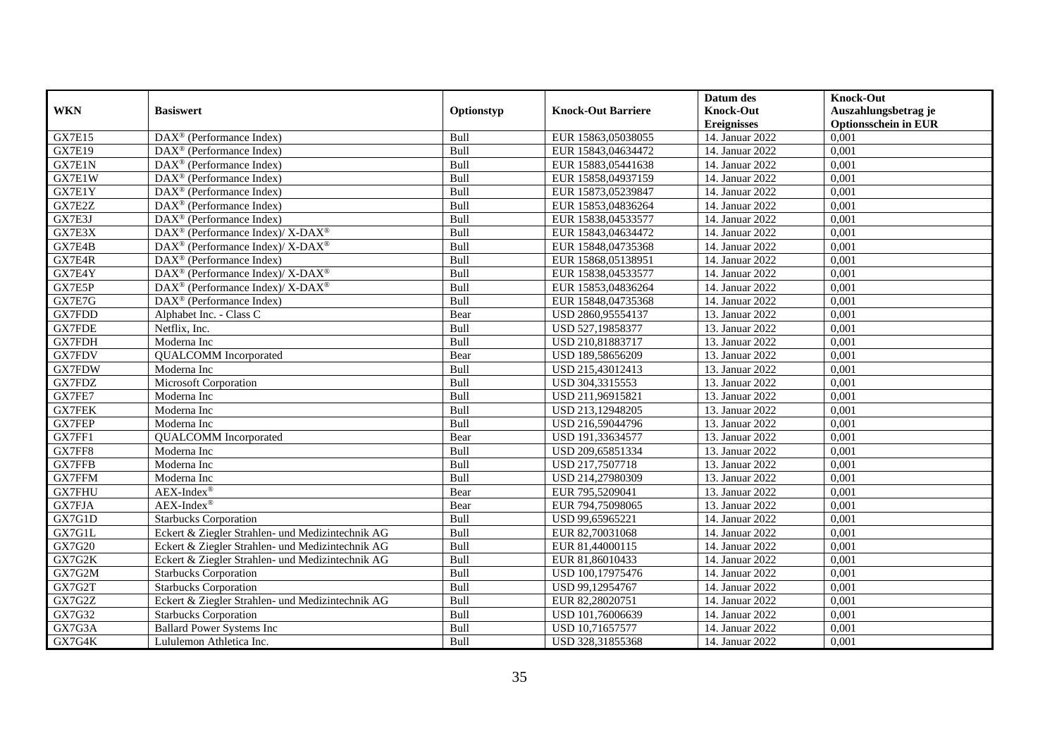|               |                                                          |            |                           | Datum des          | <b>Knock-Out</b>            |
|---------------|----------------------------------------------------------|------------|---------------------------|--------------------|-----------------------------|
| <b>WKN</b>    | <b>Basiswert</b>                                         | Optionstyp | <b>Knock-Out Barriere</b> | <b>Knock-Out</b>   | Auszahlungsbetrag je        |
|               |                                                          |            |                           | <b>Ereignisses</b> | <b>Optionsschein in EUR</b> |
| <b>GX7E15</b> | $\overline{\text{DAX}^{\otimes}}$ (Performance Index)    | Bull       | EUR 15863,05038055        | 14. Januar 2022    | 0,001                       |
| <b>GX7E19</b> | $DAX^{\circledR}$ (Performance Index)                    | Bull       | EUR 15843,04634472        | 14. Januar 2022    | 0,001                       |
| GX7E1N        | $DAX^{\circledR}$ (Performance Index)                    | Bull       | EUR 15883,05441638        | 14. Januar 2022    | 0,001                       |
| GX7E1W        | $DAX^{\circledast}$ (Performance Index)                  | Bull       | EUR 15858,04937159        | 14. Januar 2022    | 0,001                       |
| GX7E1Y        | DAX <sup>®</sup> (Performance Index)                     | Bull       | EUR 15873,05239847        | 14. Januar 2022    | 0,001                       |
| GX7E2Z        | $\text{DAX}^{\textcircled{}}$ (Performance Index)        | Bull       | EUR 15853,04836264        | 14. Januar 2022    | 0,001                       |
| GX7E3J        | $DAX^{\circledast}$ (Performance Index)                  | Bull       | EUR 15838,04533577        | 14. Januar 2022    | 0,001                       |
| GX7E3X        | DAX <sup>®</sup> (Performance Index)/ X-DAX <sup>®</sup> | Bull       | EUR 15843,04634472        | 14. Januar 2022    | 0,001                       |
| GX7E4B        | DAX <sup>®</sup> (Performance Index)/ X-DAX <sup>®</sup> | Bull       | EUR 15848,04735368        | 14. Januar 2022    | 0,001                       |
| GX7E4R        | $DAX^{\circledR}$ (Performance Index)                    | Bull       | EUR 15868,05138951        | 14. Januar 2022    | 0,001                       |
| GX7E4Y        | DAX <sup>®</sup> (Performance Index)/ X-DAX <sup>®</sup> | Bull       | EUR 15838,04533577        | 14. Januar 2022    | 0,001                       |
| GX7E5P        | DAX <sup>®</sup> (Performance Index)/ X-DAX <sup>®</sup> | Bull       | EUR 15853,04836264        | 14. Januar 2022    | 0,001                       |
| GX7E7G        | $\text{DAX}^{\otimes}$ (Performance Index)               | Bull       | EUR 15848,04735368        | 14. Januar 2022    | 0,001                       |
| GX7FDD        | Alphabet Inc. - Class C                                  | Bear       | USD 2860,95554137         | 13. Januar 2022    | 0,001                       |
| <b>GX7FDE</b> | Netflix, Inc.                                            | Bull       | USD 527,19858377          | 13. Januar 2022    | 0,001                       |
| GX7FDH        | Moderna Inc                                              | Bull       | USD 210,81883717          | 13. Januar 2022    | 0,001                       |
| <b>GX7FDV</b> | <b>QUALCOMM</b> Incorporated                             | Bear       | USD 189,58656209          | 13. Januar 2022    | 0,001                       |
| <b>GX7FDW</b> | Moderna Inc                                              | Bull       | USD 215,43012413          | 13. Januar 2022    | 0,001                       |
| GX7FDZ        | <b>Microsoft Corporation</b>                             | Bull       | USD 304,3315553           | 13. Januar 2022    | 0,001                       |
| GX7FE7        | Moderna Inc                                              | Bull       | USD 211,96915821          | 13. Januar 2022    | 0,001                       |
| <b>GX7FEK</b> | Moderna Inc                                              | Bull       | USD 213,12948205          | 13. Januar 2022    | 0,001                       |
| <b>GX7FEP</b> | Moderna Inc                                              | Bull       | USD 216,59044796          | 13. Januar 2022    | $0,\overline{001}$          |
| GX7FF1        | <b>QUALCOMM</b> Incorporated                             | Bear       | USD 191,33634577          | 13. Januar 2022    | 0,001                       |
| GX7FF8        | Moderna Inc                                              | Bull       | USD 209,65851334          | 13. Januar 2022    | 0,001                       |
| GX7FFB        | Moderna Inc                                              | Bull       | USD 217,7507718           | 13. Januar 2022    | 0,001                       |
| GX7FFM        | Moderna Inc                                              | Bull       | USD 214,27980309          | 13. Januar 2022    | 0,001                       |
| <b>GX7FHU</b> | $AEX-Index^{\circledR}$                                  | Bear       | EUR 795,5209041           | 13. Januar 2022    | 0,001                       |
| GX7FJA        | $AEX-Index^{\circledR}$                                  | Bear       | EUR 794,75098065          | 13. Januar 2022    | 0,001                       |
| GX7G1D        | <b>Starbucks Corporation</b>                             | Bull       | USD 99,65965221           | 14. Januar 2022    | 0,001                       |
| GX7G1L        | Eckert & Ziegler Strahlen- und Medizintechnik AG         | Bull       | EUR 82,70031068           | 14. Januar 2022    | 0,001                       |
| GX7G20        | Eckert & Ziegler Strahlen- und Medizintechnik AG         | Bull       | EUR 81,44000115           | 14. Januar 2022    | 0,001                       |
| GX7G2K        | Eckert & Ziegler Strahlen- und Medizintechnik AG         | Bull       | EUR 81,86010433           | 14. Januar 2022    | 0,001                       |
| GX7G2M        | <b>Starbucks Corporation</b>                             | Bull       | USD 100,17975476          | 14. Januar 2022    | 0,001                       |
| GX7G2T        | <b>Starbucks Corporation</b>                             | Bull       | USD 99,12954767           | 14. Januar 2022    | 0,001                       |
| GX7G2Z        | Eckert & Ziegler Strahlen- und Medizintechnik AG         | Bull       | EUR 82,28020751           | 14. Januar 2022    | 0,001                       |
| GX7G32        | <b>Starbucks Corporation</b>                             | Bull       | USD 101,76006639          | 14. Januar 2022    | 0,001                       |
| GX7G3A        | <b>Ballard Power Systems Inc</b>                         | Bull       | USD 10,71657577           | 14. Januar 2022    | 0,001                       |
| GX7G4K        | Lululemon Athletica Inc.                                 | Bull       | USD 328,31855368          | 14. Januar 2022    | 0,001                       |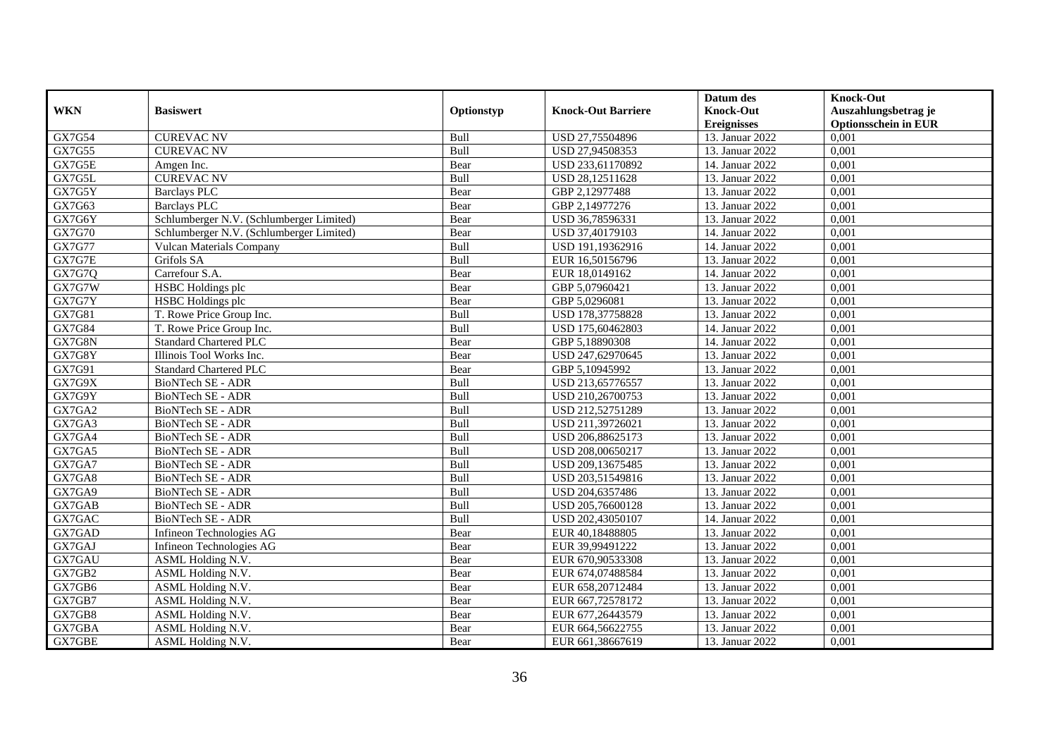|                     |                                          |            |                           | Datum des          | <b>Knock-Out</b>            |
|---------------------|------------------------------------------|------------|---------------------------|--------------------|-----------------------------|
| <b>WKN</b>          | <b>Basiswert</b>                         | Optionstyp | <b>Knock-Out Barriere</b> | <b>Knock-Out</b>   | Auszahlungsbetrag je        |
|                     |                                          |            |                           | <b>Ereignisses</b> | <b>Optionsschein in EUR</b> |
| GX7G54              | <b>CUREVAC NV</b>                        | Bull       | USD 27,75504896           | 13. Januar 2022    | 0,001                       |
| GX7G55              | <b>CUREVAC NV</b>                        | Bull       | USD 27,94508353           | 13. Januar 2022    | 0,001                       |
| GX7G5E              | Amgen Inc.                               | Bear       | USD 233,61170892          | 14. Januar 2022    | 0,001                       |
| GX7G5L              | <b>CUREVAC NV</b>                        | Bull       | USD 28,12511628           | 13. Januar 2022    | 0,001                       |
| GX7G5Y              | <b>Barclays PLC</b>                      | Bear       | GBP 2,12977488            | 13. Januar 2022    | 0,001                       |
| GX7G63              | <b>Barclays PLC</b>                      | Bear       | GBP 2,14977276            | 13. Januar 2022    | 0,001                       |
| GX7G6Y              | Schlumberger N.V. (Schlumberger Limited) | Bear       | USD 36,78596331           | 13. Januar 2022    | 0,001                       |
| <b>GX7G70</b>       | Schlumberger N.V. (Schlumberger Limited) | Bear       | USD 37,40179103           | 14. Januar 2022    | 0,001                       |
| <b>GX7G77</b>       | <b>Vulcan Materials Company</b>          | Bull       | USD 191,19362916          | 14. Januar 2022    | 0,001                       |
| GX7G7E              | Grifols SA                               | Bull       | EUR 16,50156796           | 13. Januar 2022    | 0,001                       |
| <b>GX7G7Q</b>       | Carrefour S.A.                           | Bear       | EUR 18,0149162            | 14. Januar 2022    | 0,001                       |
| GX7G7W              | <b>HSBC</b> Holdings plc                 | Bear       | GBP 5,07960421            | 13. Januar 2022    | 0,001                       |
| GX7G7Y              | <b>HSBC</b> Holdings plc                 | Bear       | GBP 5,0296081             | 13. Januar 2022    | 0.001                       |
| GX7G81              | T. Rowe Price Group Inc.                 | Bull       | USD 178,37758828          | 13. Januar 2022    | 0,001                       |
| GX7G84              | T. Rowe Price Group Inc.                 | Bull       | USD 175,60462803          | 14. Januar 2022    | 0,001                       |
| GX7G8N              | <b>Standard Chartered PLC</b>            | Bear       | GBP 5,18890308            | 14. Januar 2022    | 0,001                       |
| GX7G8Y              | Illinois Tool Works Inc.                 | Bear       | USD 247,62970645          | 13. Januar 2022    | 0,001                       |
| GX7G91              | Standard Chartered PLC                   | Bear       | GBP 5,10945992            | 13. Januar 2022    | 0,001                       |
| GX7G9X              | BioNTech SE - ADR                        | Bull       | USD 213,65776557          | 13. Januar 2022    | 0,001                       |
| GX7G9Y              | <b>BioNTech SE - ADR</b>                 | Bull       | USD 210,26700753          | 13. Januar 2022    | 0,001                       |
| GX7GA2              | BioNTech SE - ADR                        | Bull       | USD 212,52751289          | 13. Januar 2022    | 0,001                       |
| GX7GA3              | BioNTech SE - ADR                        | Bull       | USD 211,39726021          | 13. Januar 2022    | $0,\overline{001}$          |
| GX7GA4              | BioNTech SE - ADR                        | Bull       | USD 206,88625173          | 13. Januar 2022    | 0,001                       |
| GX7GA5              | BioNTech SE - ADR                        | Bull       | USD 208,00650217          | 13. Januar 2022    | 0,001                       |
| $GX7G\overline{A7}$ | BioNTech SE - ADR                        | Bull       | USD 209,13675485          | 13. Januar 2022    | 0,001                       |
| GX7GA8              | BioNTech SE - ADR                        | Bull       | USD 203,51549816          | 13. Januar 2022    | 0,001                       |
| GX7GA9              | BioNTech SE - ADR                        | Bull       | USD 204,6357486           | 13. Januar 2022    | 0,001                       |
| GX7GAB              | BioNTech SE - ADR                        | Bull       | USD 205,76600128          | 13. Januar 2022    | 0,001                       |
| GX7GAC              | BioNTech SE - ADR                        | Bull       | USD 202,43050107          | 14. Januar 2022    | 0,001                       |
| GX7GAD              | Infineon Technologies AG                 | Bear       | EUR 40,18488805           | 13. Januar 2022    | 0,001                       |
| GX7GAJ              | Infineon Technologies AG                 | Bear       | EUR 39,99491222           | 13. Januar 2022    | 0,001                       |
| GX7GAU              | ASML Holding N.V.                        | Bear       | EUR 670,90533308          | 13. Januar 2022    | 0.001                       |
| GX7GB2              | ASML Holding N.V.                        | Bear       | EUR 674,07488584          | 13. Januar 2022    | 0,001                       |
| GX7GB6              | ASML Holding N.V.                        | Bear       | EUR 658,20712484          | 13. Januar 2022    | 0,001                       |
| GX7GB7              | ASML Holding N.V.                        | Bear       | EUR 667,72578172          | 13. Januar 2022    | 0,001                       |
| GX7GB8              | ASML Holding N.V.                        | Bear       | EUR 677,26443579          | 13. Januar 2022    | 0,001                       |
| GX7GBA              | ASML Holding N.V.                        | Bear       | EUR 664,56622755          | 13. Januar 2022    | 0,001                       |
| GX7GBE              | ASML Holding N.V.                        | Bear       | EUR 661,38667619          | 13. Januar 2022    | 0,001                       |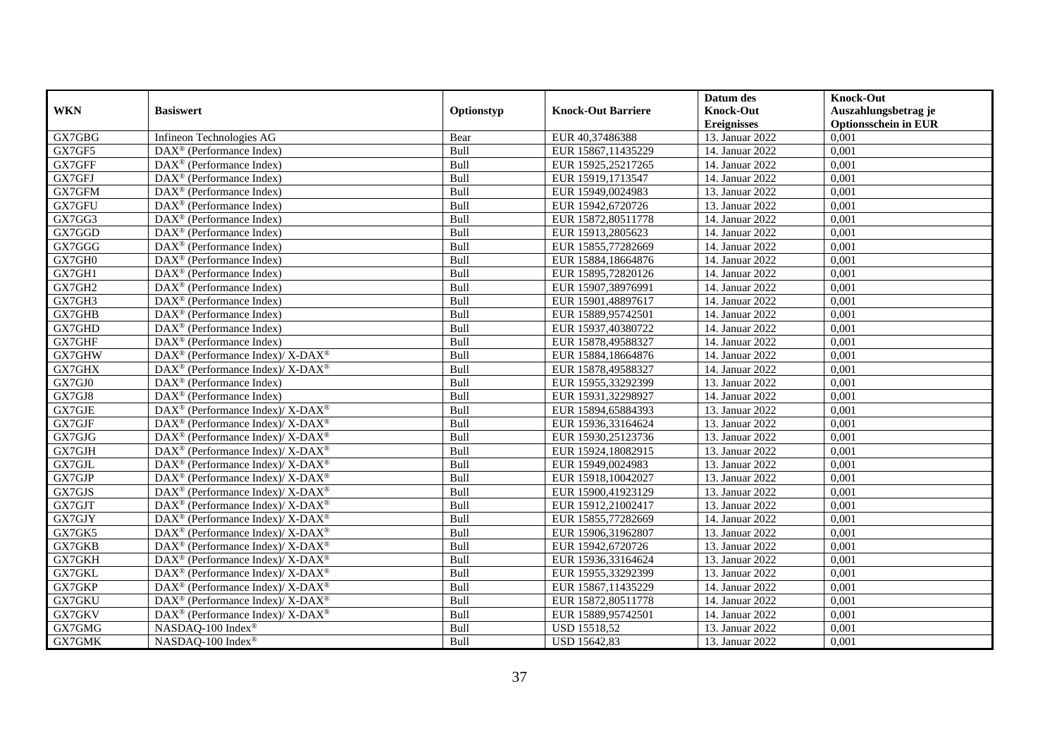|            |                                                              |            |                           | Datum des          | <b>Knock-Out</b>            |
|------------|--------------------------------------------------------------|------------|---------------------------|--------------------|-----------------------------|
| <b>WKN</b> | <b>Basiswert</b>                                             | Optionstyp | <b>Knock-Out Barriere</b> | <b>Knock-Out</b>   | Auszahlungsbetrag je        |
|            |                                                              |            |                           | <b>Ereignisses</b> | <b>Optionsschein in EUR</b> |
| GX7GBG     | Infineon Technologies AG                                     | Bear       | EUR 40,37486388           | 13. Januar 2022    | 0,001                       |
| GX7GF5     | $\text{DAX}^{\otimes}$ (Performance Index)                   | Bull       | EUR 15867,11435229        | 14. Januar 2022    | 0,001                       |
| GX7GFF     | $\text{DAX}^{\otimes}$ (Performance Index)                   | Bull       | EUR 15925,25217265        | 14. Januar 2022    | 0,001                       |
| GX7GFJ     | $\text{DAX}^{\otimes}$ (Performance Index)                   | Bull       | EUR 15919,1713547         | 14. Januar 2022    | 0,001                       |
| GX7GFM     | $\text{DAX}^{\otimes}$ (Performance Index)                   | Bull       | EUR 15949,0024983         | 13. Januar 2022    | 0,001                       |
| GX7GFU     | $DAX^{\circledR}$ (Performance Index)                        | Bull       | EUR 15942,6720726         | 13. Januar 2022    | 0,001                       |
| GX7GG3     | $DAX^{\circledcirc}$ (Performance Index)                     | Bull       | EUR 15872,80511778        | 14. Januar 2022    | 0,001                       |
| GX7GGD     | $DAX^{\circledR}$ (Performance Index)                        | Bull       | EUR 15913,2805623         | 14. Januar 2022    | 0,001                       |
| GX7GGG     | $DAX^{\circledcirc}$ (Performance Index)                     | Bull       | EUR 15855,77282669        | 14. Januar 2022    | 0,001                       |
| GX7GH0     | $\text{DAX}^{\otimes}$ (Performance Index)                   | Bull       | EUR 15884,18664876        | 14. Januar 2022    | 0,001                       |
| GX7GH1     | $\text{DAX}^{\circledast}$ (Performance Index)               | Bull       | EUR 15895,72820126        | 14. Januar 2022    | 0,001                       |
| GX7GH2     | $DAX^{\circledast}$ (Performance Index)                      | Bull       | EUR 15907,38976991        | 14. Januar 2022    | 0,001                       |
| GX7GH3     | $DAX^{\circledast}$ (Performance Index)                      | Bull       | EUR 15901,48897617        | 14. Januar 2022    | 0,001                       |
| GX7GHB     | $DAX^{\circledcirc}$ (Performance Index)                     | Bull       | EUR 15889,95742501        | 14. Januar 2022    | 0,001                       |
| GX7GHD     | DAX <sup>®</sup> (Performance Index)                         | Bull       | EUR 15937,40380722        | 14. Januar 2022    | 0,001                       |
| GX7GHF     | DAX <sup>®</sup> (Performance Index)                         | Bull       | EUR 15878,49588327        | 14. Januar 2022    | 0,001                       |
| GX7GHW     | DAX <sup>®</sup> (Performance Index)/ X-DAX <sup>®</sup>     | Bull       | EUR 15884,18664876        | 14. Januar 2022    | 0,001                       |
| GX7GHX     | $DAX^{\circledast}$ (Performance Index)/ X-DAX <sup>®</sup>  | Bull       | EUR 15878,49588327        | 14. Januar 2022    | 0,001                       |
| GX7GJ0     | $DAX^{\circledast}$ (Performance Index)                      | Bull       | EUR 15955,33292399        | 13. Januar 2022    | 0,001                       |
| GX7GJ8     | $DAX^{\circledast}$ (Performance Index)                      | Bull       | EUR 15931,32298927        | 14. Januar 2022    | 0,001                       |
| GX7GJE     | DAX <sup>®</sup> (Performance Index)/ X-DAX <sup>®</sup>     | Bull       | EUR 15894,65884393        | 13. Januar 2022    | 0,001                       |
| GX7GJF     | $DAX^{\circledcirc}$ (Performance Index)/ X-DAX <sup>®</sup> | Bull       | EUR 15936,33164624        | 13. Januar 2022    | 0,001                       |
| GX7GJG     | DAX <sup>®</sup> (Performance Index)/ X-DAX <sup>®</sup>     | Bull       | EUR 15930,25123736        | 13. Januar 2022    | 0,001                       |
| GX7GJH     | $DAX^{\circledcirc}$ (Performance Index)/ X-DAX <sup>®</sup> | Bull       | EUR 15924,18082915        | 13. Januar 2022    | 0,001                       |
| GX7GJL     | $DAX^{\circledast}$ (Performance Index)/ X-DAX <sup>®</sup>  | Bull       | EUR 15949,0024983         | 13. Januar 2022    | 0,001                       |
| GX7GJP     | DAX <sup>®</sup> (Performance Index)/ X-DAX <sup>®</sup>     | Bull       | EUR 15918,10042027        | 13. Januar 2022    | 0,001                       |
| GX7GJS     | $DAX^{\circledast}$ (Performance Index)/ X-DAX <sup>®</sup>  | Bull       | EUR 15900,41923129        | 13. Januar 2022    | 0,001                       |
| GX7GJT     | $DAX^{\circledast}$ (Performance Index)/ X-DAX <sup>®</sup>  | Bull       | EUR 15912,21002417        | 13. Januar 2022    | 0,001                       |
| GX7GJY     | $DAX^{\circledast}$ (Performance Index)/ X-DAX <sup>®</sup>  | Bull       | EUR 15855,77282669        | 14. Januar 2022    | 0,001                       |
| GX7GK5     | $DAX^{\circledcirc}$ (Performance Index)/ X-DAX <sup>®</sup> | Bull       | EUR 15906,31962807        | 13. Januar 2022    | 0.001                       |
| GX7GKB     | DAX <sup>®</sup> (Performance Index)/ X-DAX <sup>®</sup>     | Bull       | EUR 15942,6720726         | 13. Januar 2022    | 0,001                       |
| GX7GKH     | $DAX^{\circledast}$ (Performance Index)/ X-DAX <sup>®</sup>  | Bull       | EUR 15936,33164624        | 13. Januar 2022    | 0,001                       |
| GX7GKL     | $DAX^{\circledast}$ (Performance Index)/ X-DAX <sup>®</sup>  | Bull       | EUR 15955,33292399        | 13. Januar 2022    | 0,001                       |
| GX7GKP     | DAX <sup>®</sup> (Performance Index)/ X-DAX <sup>®</sup>     | Bull       | EUR 15867,11435229        | 14. Januar 2022    | 0,001                       |
| GX7GKU     | DAX <sup>®</sup> (Performance Index)/ X-DAX <sup>®</sup>     | Bull       | EUR 15872,80511778        | 14. Januar 2022    | 0,001                       |
| GX7GKV     | $DAX^{\circledast}$ (Performance Index)/ X-DAX <sup>®</sup>  | Bull       | EUR 15889,95742501        | 14. Januar 2022    | 0,001                       |
| GX7GMG     | NASDAQ-100 Index®                                            | Bull       | <b>USD 15518,52</b>       | 13. Januar 2022    | 0,001                       |
| GX7GMK     | NASDAQ-100 Index®                                            | Bull       | USD 15642,83              | 13. Januar 2022    | 0,001                       |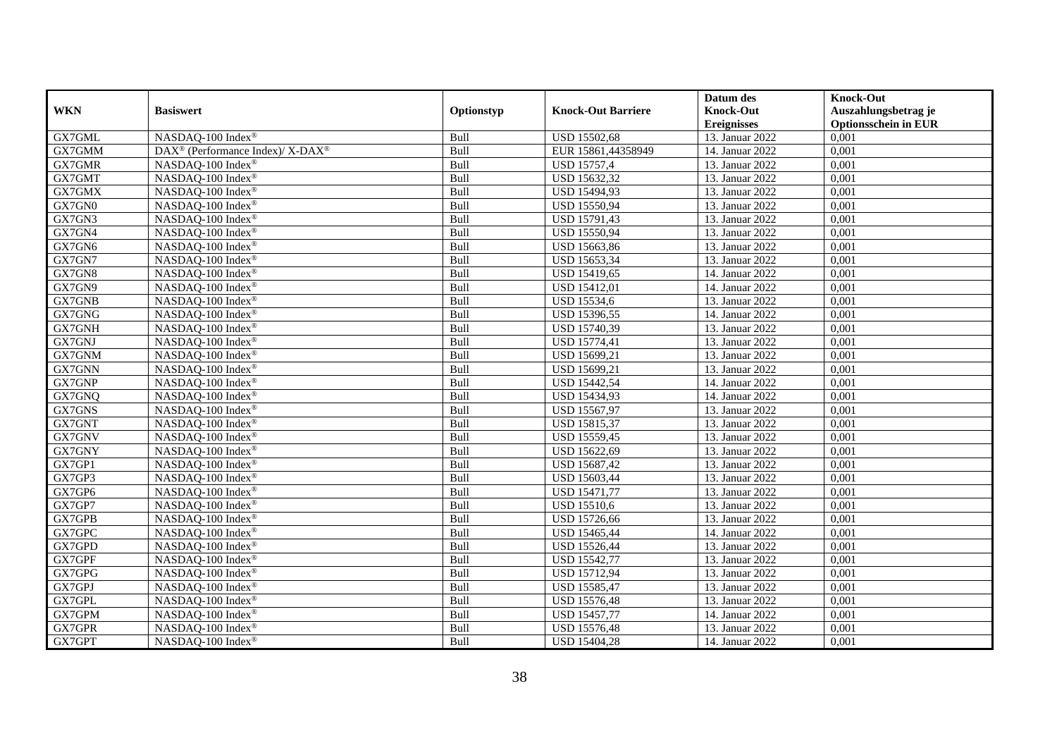|            |                                                          |            |                           | Datum des          | <b>Knock-Out</b>            |
|------------|----------------------------------------------------------|------------|---------------------------|--------------------|-----------------------------|
| <b>WKN</b> | <b>Basiswert</b>                                         | Optionstyp | <b>Knock-Out Barriere</b> | <b>Knock-Out</b>   | Auszahlungsbetrag je        |
|            |                                                          |            |                           | <b>Ereignisses</b> | <b>Optionsschein in EUR</b> |
| GX7GML     | NASDAQ-100 Index®                                        | Bull       | <b>USD 15502,68</b>       | 13. Januar 2022    | 0,001                       |
| GX7GMM     | DAX <sup>®</sup> (Performance Index)/ X-DAX <sup>®</sup> | Bull       | EUR 15861,44358949        | 14. Januar 2022    | 0,001                       |
| GX7GMR     | NASDAQ-100 Index <sup>®</sup>                            | Bull       | <b>USD 15757,4</b>        | 13. Januar 2022    | 0,001                       |
| GX7GMT     | NASDAQ-100 Index®                                        | Bull       | USD 15632,32              | 13. Januar 2022    | 0,001                       |
| GX7GMX     | NASDAQ-100 Index®                                        | Bull       | USD 15494,93              | 13. Januar 2022    | 0,001                       |
| GX7GN0     | NASDAQ-100 Index®                                        | Bull       | USD 15550,94              | 13. Januar 2022    | 0,001                       |
| GX7GN3     | NASDAQ-100 Index®                                        | Bull       | USD 15791,43              | 13. Januar 2022    | 0,001                       |
| GX7GN4     | NASDAQ-100 Index <sup>®</sup>                            | Bull       | USD 15550,94              | 13. Januar 2022    | 0,001                       |
| GX7GN6     | NASDAQ-100 Index <sup>®</sup>                            | Bull       | USD 15663,86              | 13. Januar 2022    | 0,001                       |
| GX7GN7     | NASDAQ-100 Index®                                        | Bull       | USD 15653,34              | 13. Januar 2022    | 0,001                       |
| GX7GN8     | NASDAQ-100 Index®                                        | Bull       | <b>USD 15419,65</b>       | 14. Januar 2022    | 0,001                       |
| GX7GN9     | NASDAQ-100 Index®                                        | Bull       | <b>USD 15412,01</b>       | 14. Januar 2022    | 0,001                       |
| GX7GNB     | NASDAQ-100 Index®                                        | Bull       | <b>USD 15534,6</b>        | 13. Januar 2022    | 0,001                       |
| GX7GNG     | NASDAQ-100 Index®                                        | Bull       | USD 15396,55              | 14. Januar 2022    | 0,001                       |
| GX7GNH     | NASDAQ-100 Index <sup>®</sup>                            | Bull       | USD 15740,39              | 13. Januar 2022    | 0,001                       |
| GX7GNJ     | NASDAQ-100 Index®                                        | Bull       | <b>USD 15774,41</b>       | 13. Januar 2022    | 0,001                       |
| GX7GNM     | NASDAQ-100 Index®                                        | Bull       | USD 15699,21              | 13. Januar 2022    | 0,001                       |
| GX7GNN     | NASDAQ-100 Index®                                        | Bull       | USD 15699,21              | 13. Januar 2022    | 0,001                       |
| GX7GNP     | NASDAQ-100 Index®                                        | Bull       | <b>USD 15442,54</b>       | 14. Januar 2022    | 0,001                       |
| GX7GNQ     | NASDAQ-100 Index®                                        | Bull       | USD 15434,93              | 14. Januar 2022    | 0,001                       |
| GX7GNS     | NASDAQ-100 Index®                                        | Bull       | USD 15567,97              | 13. Januar 2022    | 0,001                       |
| GX7GNT     | NASDAQ-100 Index®                                        | Bull       | USD 15815,37              | 13. Januar 2022    | 0,001                       |
| GX7GNV     | NASDAQ-100 Index®                                        | Bull       | USD 15559,45              | 13. Januar 2022    | 0,001                       |
| GX7GNY     | NASDAQ-100 Index®                                        | Bull       | USD 15622,69              | 13. Januar 2022    | 0,001                       |
| GX7GP1     | NASDAQ-100 Index®                                        | Bull       | USD 15687,42              | 13. Januar 2022    | 0,001                       |
| GX7GP3     | NASDAQ-100 Index®                                        | Bull       | USD 15603,44              | 13. Januar 2022    | 0,001                       |
| GX7GP6     | NASDAQ-100 Index®                                        | Bull       | <b>USD 15471,77</b>       | 13. Januar 2022    | 0,001                       |
| GX7GP7     | NASDAQ-100 Index <sup>®</sup>                            | Bull       | <b>USD 15510,6</b>        | 13. Januar 2022    | 0,001                       |
| GX7GPB     | NASDAQ-100 Index®                                        | Bull       | <b>USD 15726,66</b>       | 13. Januar 2022    | 0,001                       |
| GX7GPC     | NASDAQ-100 Index®                                        | Bull       | USD 15465,44              | 14. Januar 2022    | 0,001                       |
| GX7GPD     | NASDAQ-100 Index®                                        | Bull       | USD 15526,44              | 13. Januar 2022    | 0,001                       |
| GX7GPF     | NASDAQ-100 Index®                                        | Bull       | <b>USD 15542,77</b>       | 13. Januar 2022    | 0,001                       |
| GX7GPG     | NASDAQ-100 Index®                                        | Bull       | <b>USD 15712,94</b>       | 13. Januar 2022    | 0,001                       |
| GX7GPJ     | NASDAQ-100 Index®                                        | Bull       | USD 15585,47              | 13. Januar 2022    | 0,001                       |
| GX7GPL     | NASDAQ-100 Index®                                        | Bull       | <b>USD 15576,48</b>       | 13. Januar 2022    | 0,001                       |
| GX7GPM     | NASDAQ-100 Index®                                        | Bull       | USD 15457,77              | 14. Januar 2022    | 0,001                       |
| GX7GPR     | NASDAQ-100 Index®                                        | Bull       | <b>USD 15576,48</b>       | 13. Januar 2022    | 0,001                       |
| GX7GPT     | NASDAQ-100 Index®                                        | Bull       | <b>USD 15404,28</b>       | 14. Januar 2022    | 0,001                       |